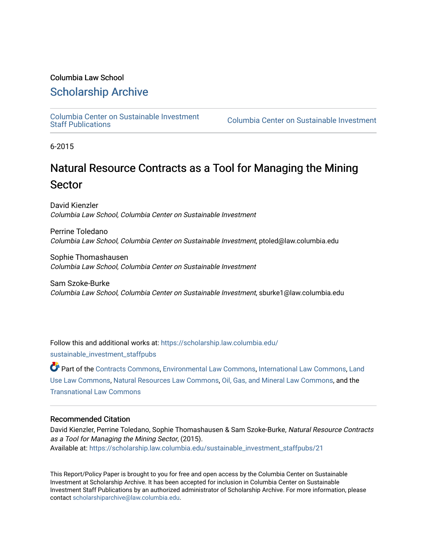# Columbia Law School

# [Scholarship Archive](https://scholarship.law.columbia.edu/)

[Columbia Center on Sustainable Investment](https://scholarship.law.columbia.edu/sustainable_investment_staffpubs) 

Columbia Center on Sustainable Investment

6-2015

# Natural Resource Contracts as a Tool for Managing the Mining Sector

David Kienzler Columbia Law School, Columbia Center on Sustainable Investment

Perrine Toledano Columbia Law School, Columbia Center on Sustainable Investment, ptoled@law.columbia.edu

Sophie Thomashausen Columbia Law School, Columbia Center on Sustainable Investment

Sam Szoke-Burke Columbia Law School, Columbia Center on Sustainable Investment, sburke1@law.columbia.edu

Follow this and additional works at: [https://scholarship.law.columbia.edu/](https://scholarship.law.columbia.edu/sustainable_investment_staffpubs?utm_source=scholarship.law.columbia.edu%2Fsustainable_investment_staffpubs%2F21&utm_medium=PDF&utm_campaign=PDFCoverPages) [sustainable\\_investment\\_staffpubs](https://scholarship.law.columbia.edu/sustainable_investment_staffpubs?utm_source=scholarship.law.columbia.edu%2Fsustainable_investment_staffpubs%2F21&utm_medium=PDF&utm_campaign=PDFCoverPages)

Part of the [Contracts Commons](http://network.bepress.com/hgg/discipline/591?utm_source=scholarship.law.columbia.edu%2Fsustainable_investment_staffpubs%2F21&utm_medium=PDF&utm_campaign=PDFCoverPages), [Environmental Law Commons,](http://network.bepress.com/hgg/discipline/599?utm_source=scholarship.law.columbia.edu%2Fsustainable_investment_staffpubs%2F21&utm_medium=PDF&utm_campaign=PDFCoverPages) [International Law Commons](http://network.bepress.com/hgg/discipline/609?utm_source=scholarship.law.columbia.edu%2Fsustainable_investment_staffpubs%2F21&utm_medium=PDF&utm_campaign=PDFCoverPages), [Land](http://network.bepress.com/hgg/discipline/852?utm_source=scholarship.law.columbia.edu%2Fsustainable_investment_staffpubs%2F21&utm_medium=PDF&utm_campaign=PDFCoverPages)  [Use Law Commons](http://network.bepress.com/hgg/discipline/852?utm_source=scholarship.law.columbia.edu%2Fsustainable_investment_staffpubs%2F21&utm_medium=PDF&utm_campaign=PDFCoverPages), [Natural Resources Law Commons,](http://network.bepress.com/hgg/discipline/863?utm_source=scholarship.law.columbia.edu%2Fsustainable_investment_staffpubs%2F21&utm_medium=PDF&utm_campaign=PDFCoverPages) [Oil, Gas, and Mineral Law Commons,](http://network.bepress.com/hgg/discipline/864?utm_source=scholarship.law.columbia.edu%2Fsustainable_investment_staffpubs%2F21&utm_medium=PDF&utm_campaign=PDFCoverPages) and the [Transnational Law Commons](http://network.bepress.com/hgg/discipline/1123?utm_source=scholarship.law.columbia.edu%2Fsustainable_investment_staffpubs%2F21&utm_medium=PDF&utm_campaign=PDFCoverPages)

### Recommended Citation

David Kienzler, Perrine Toledano, Sophie Thomashausen & Sam Szoke-Burke, Natural Resource Contracts as a Tool for Managing the Mining Sector, (2015). Available at: [https://scholarship.law.columbia.edu/sustainable\\_investment\\_staffpubs/21](https://scholarship.law.columbia.edu/sustainable_investment_staffpubs/21?utm_source=scholarship.law.columbia.edu%2Fsustainable_investment_staffpubs%2F21&utm_medium=PDF&utm_campaign=PDFCoverPages)

This Report/Policy Paper is brought to you for free and open access by the Columbia Center on Sustainable Investment at Scholarship Archive. It has been accepted for inclusion in Columbia Center on Sustainable Investment Staff Publications by an authorized administrator of Scholarship Archive. For more information, please contact [scholarshiparchive@law.columbia.edu.](mailto:scholarshiparchive@law.columbia.edu)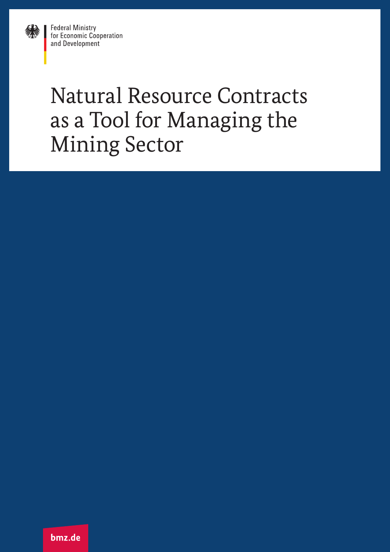

**Federal Ministry** for Economic Cooperation and Development

# Natural Resource Contracts as a Tool for Managing the Mining Sector

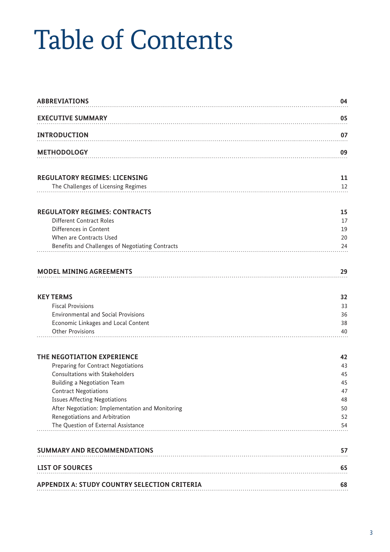# Table of Contents

| <b>ABBREVIATIONS</b>                             | 04 |
|--------------------------------------------------|----|
| <b>EXECUTIVE SUMMARY</b>                         | 05 |
| <b>INTRODUCTION</b>                              | 07 |
| <b>METHODOLOGY</b>                               | 09 |
| <b>REGULATORY REGIMES: LICENSING</b>             | 11 |
| The Challenges of Licensing Regimes              | 12 |
| <b>REGULATORY REGIMES: CONTRACTS</b>             | 15 |
| Different Contract Roles                         | 17 |
| Differences in Content                           | 19 |
| When are Contracts Used                          | 20 |
| Benefits and Challenges of Negotiating Contracts | 24 |
| <b>MODEL MINING AGREEMENTS</b>                   | 29 |
| <b>KEY TERMS</b>                                 | 32 |
| <b>Fiscal Provisions</b>                         | 33 |
| <b>Environmental and Social Provisions</b>       | 36 |
| Economic Linkages and Local Content              | 38 |
| <b>Other Provisions</b>                          | 40 |
| THE NEGOTIATION EXPERIENCE                       | 42 |
| Preparing for Contract Negotiations              | 43 |
| <b>Consultations with Stakeholders</b>           | 45 |
| Building a Negotiation Team                      | 45 |
| <b>Contract Negotiations</b>                     | 47 |
| <b>Issues Affecting Negotiations</b>             | 48 |
| After Negotiation: Implementation and Monitoring | 50 |
| Renegotiations and Arbitration                   | 52 |
| The Question of External Assistance              | 54 |
| <b>SUMMARY AND RECOMMENDATIONS</b>               | 57 |
| <b>LIST OF SOURCES</b>                           | 65 |
| APPENDIX A: STUDY COUNTRY SELECTION CRITERIA     | 68 |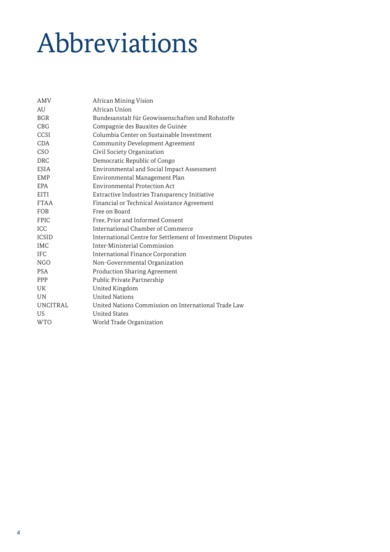# Abbreviations

| <b>AMV</b>      | African Mining Vision                                      |
|-----------------|------------------------------------------------------------|
| AU              | African Union                                              |
| <b>BGR</b>      | Bundesanstalt für Geowissenschaften und Rohstoffe          |
| CBG             | Compagnie des Bauxites de Guinée                           |
| CCSI            | Columbia Center on Sustainable Investment                  |
| <b>CDA</b>      | Community Development Agreement                            |
| CSO             | Civil Society Organization                                 |
| <b>DRC</b>      | Democratic Republic of Congo                               |
| <b>ESIA</b>     | Environmental and Social Impact Assessment                 |
| <b>EMP</b>      | Environmental Management Plan                              |
| <b>EPA</b>      | Environmental Protection Act                               |
| EITI            | Extractive Industries Transparency Initiative              |
| <b>FTAA</b>     | Financial or Technical Assistance Agreement                |
| <b>FOB</b>      | Free on Board                                              |
| <b>FPIC</b>     | Free, Prior and Informed Consent                           |
| <b>ICC</b>      | International Chamber of Commerce                          |
| <b>ICSID</b>    | International Centre for Settlement of Investment Disputes |
| <b>IMC</b>      | Inter-Ministerial Commission                               |
| <b>IFC</b>      | International Finance Corporation                          |
| NGO             | Non-Governmental Organization                              |
| <b>PSA</b>      | <b>Production Sharing Agreement</b>                        |
| <b>PPP</b>      | Public Private Partnership                                 |
| <b>UK</b>       | United Kingdom                                             |
| <b>UN</b>       | <b>United Nations</b>                                      |
| <b>UNCITRAL</b> | United Nations Commission on International Trade Law       |
| US.             | <b>United States</b>                                       |
| <b>WTO</b>      | World Trade Organization                                   |
|                 |                                                            |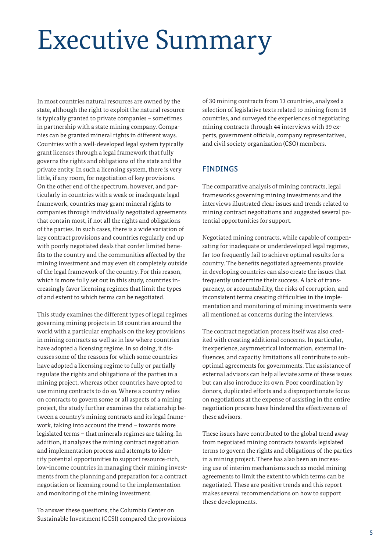# Executive Summary

In most countries natural resources are owned by the state, although the right to exploit the natural resource is typically granted to private companies – sometimes in partnership with a state mining company. Companies can be granted mineral rights in different ways. Countries with a well-developed legal system typically grant licenses through a legal framework that fully governs the rights and obligations of the state and the private entity. In such a licensing system, there is very little, if any room, for negotiation of key provisions. On the other end of the spectrum, however, and particularly in countries with a weak or inadequate legal framework, countries may grant mineral rights to companies through individually negotiated agreements that contain most, if not all the rights and obligations of the parties. In such cases, there is a wide variation of key contract provisions and countries regularly end up with poorly negotiated deals that confer limited benefits to the country and the communities affected by the mining investment and may even sit completely outside of the legal framework of the country. For this reason, which is more fully set out in this study, countries increasingly favor licensing regimes that limit the types of and extent to which terms can be negotiated.

This study examines the different types of legal regimes governing mining projects in 18 countries around the world with a particular emphasis on the key provisions in mining contracts as well as in law where countries have adopted a licensing regime. In so doing, it discusses some of the reasons for which some countries have adopted a licensing regime to fully or partially regulate the rights and obligations of the parties in a mining project, whereas other countries have opted to use mining contracts to do so. Where a country relies on contracts to govern some or all aspects of a mining project, the study further examines the relationship between a country's mining contracts and its legal framework, taking into account the trend – towards more legislated terms – that minerals regimes are taking. In addition, it analyzes the mining contract negotiation and implementation process and attempts to identify potential opportunities to support resource-rich, low-income countries in managing their mining investments from the planning and preparation for a contract negotiation or licensing round to the implementation and monitoring of the mining investment.

To answer these questions, the Columbia Center on Sustainable Investment (CCSI) compared the provisions

of 30 mining contracts from 13 countries, analyzed a selection of legislative texts related to mining from 18 countries, and surveyed the experiences of negotiating mining contracts through 44 interviews with 39 experts, government officials, company representatives, and civil society organization (CSO) members.

# FINDINGS

The comparative analysis of mining contracts, legal frameworks governing mining investments and the interviews illustrated clear issues and trends related to mining contract negotiations and suggested several potential opportunities for support.

Negotiated mining contracts, while capable of compensating for inadequate or underdeveloped legal regimes, far too frequently fail to achieve optimal results for a country. The benefits negotiated agreements provide in developing countries can also create the issues that frequently undermine their success. A lack of transparency, or accountability, the risks of corruption, and inconsistent terms creating difficulties in the implementation and monitoring of mining investments were all mentioned as concerns during the interviews.

The contract negotiation process itself was also credited with creating additional concerns. In particular, inexperience, asymmetrical information, external influences, and capacity limitations all contribute to suboptimal agreements for governments. The assistance of external advisors can help alleviate some of these issues but can also introduce its own. Poor coordination by donors, duplicated efforts and a disproportionate focus on negotiations at the expense of assisting in the entire negotiation process have hindered the effectiveness of these advisors.

These issues have contributed to the global trend away from negotiated mining contracts towards legislated terms to govern the rights and obligations of the parties in a mining project. There has also been an increasing use of interim mechanisms such as model mining agreements to limit the extent to which terms can be negotiated. These are positive trends and this report makes several recommendations on how to support these developments.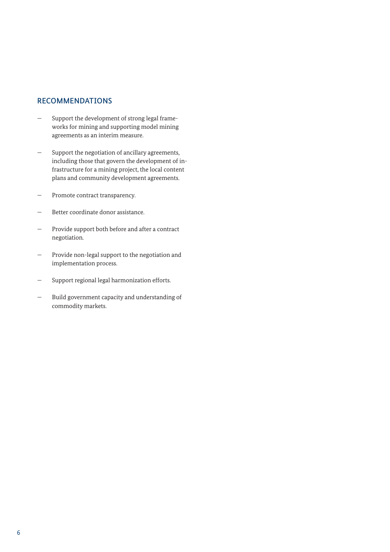# RECOMMENDATIONS

- Support the development of strong legal frameworks for mining and supporting model mining agreements as an interim measure.
- Support the negotiation of ancillary agreements, including those that govern the development of infrastructure for a mining project, the local content plans and community development agreements.
- Promote contract transparency.
- Better coordinate donor assistance.
- Provide support both before and after a contract negotiation.
- Provide non-legal support to the negotiation and implementation process.
- Support regional legal harmonization efforts.
- Build government capacity and understanding of commodity markets.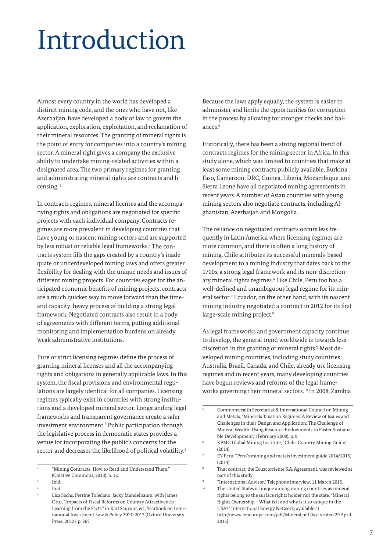# Introduction

Almost every country in the world has developed a distinct mining code, and the ones who have not, like Azerbaijan, have developed a body of law to govern the application, exploration, exploitation, and reclamation of their mineral resources. The granting of mineral rights is the point of entry for companies into a country's mining sector. A mineral right gives a company the exclusive ability to undertake mining-related activities within a designated area. The two primary regimes for granting and administrating mineral rights are contracts and licensing. 1

In contracts regimes, mineral licenses and the accompanying rights and obligations are negotiated for specific projects with each individual company. Contracts regimes are more prevalent in developing countries that have young or nascent mining sectors and are supported by less robust or reliable legal frameworks.<sup>2</sup> The contracts system fills the gaps created by a country's inadequate or underdeveloped mining laws and offers greater flexibility for dealing with the unique needs and issues of different mining projects. For countries eager for the anticipated economic benefits of mining projects, contracts are a much quicker way to move forward than the timeand capacity-heavy process of building a strong legal framework. Negotiated contracts also result in a body of agreements with different terms, putting additional monitoring and implementation burdens on already weak administrative institutions.

Pure or strict licensing regimes define the process of granting mineral licenses and all the accompanying rights and obligations in generally applicable laws. In this system, the fiscal provisions and environmental regulations are largely identical for all companies. Licensing regimes typically exist in countries with strong institutions and a developed mineral sector. Longstanding legal frameworks and transparent governance create a safer investment environment.3 Public participation through the legislative process in democratic states provides a venue for incorporating the public's concerns for the sector and decreases the likelihood of political volatility.4

Because the laws apply equally, the system is easier to administer and limits the opportunities for corruption in the process by allowing for stronger checks and balances.<sup>5</sup>

Historically, there has been a strong regional trend of contracts regimes for the mining sector in Africa. In this study alone, which was limited to countries that make at least some mining contracts publicly available, Burkina Faso, Cameroon, DRC, Guinea, Liberia, Mozambique, and Sierra Leone have all negotiated mining agreements in recent years. A number of Asian countries with young mining sectors also negotiate contracts, including Afghanistan, Azerbaijan and Mongolia.

The reliance on negotiated contracts occurs less frequently in Latin America where licensing regimes are more common, and there is often a long history of mining. Chile attributes its successful minerals-based development to a mining industry that dates back to the 1700s, a strong legal framework and its non-discretionary mineral rights regimes.<sup>6</sup> Like Chile, Peru too has a well-defined and unambiguous legal regime for its mineral sector.7 Ecuador, on the other hand, with its nascent mining industry negotiated a contract in 2012 for its first large-scale mining project.<sup>8</sup>

As legal frameworks and government capacity continue to develop, the general trend worldwide is towards less discretion in the granting of mineral rights.<sup>9</sup> Most developed mining countries, including study countries Australia, Brazil, Canada, and Chile, already use licensing regimes and in recent years, many developing countries have begun reviews and reforms of the legal frameworks governing their mineral sectors.<sup>10</sup> In 2008, Zambia

<sup>&</sup>quot;Mining Contracts: How to Read and Understand Them," (Creative Commons, 2013), p. 12.

<sup>2</sup> Ibid.

Ibid.

<sup>4</sup> Lisa Sachs, Perrine Toledano, Jacky Mandelbaum, with James Otto, "Impacts of Fiscal Reforms on Country Attractiveness: Learning from the Facts," in Karl Sauvant, ed., Yearbook on International Investment Law & Policy 2011-2012 (Oxford University Press, 2012), p. 367.

<sup>5</sup> Commonwealth Secretariat & International Council on Mining and Metals, "Minerals Taxation Regimes: A Review of Issues and Challenges in their Design and Application, The Challenge of Mineral Wealth: Using Resource Endowments to Foster Sustainable Development," (February 2009), p. 9.

<sup>6</sup> KPMG Global Mining Institute, "Chile: Country Mining Guide," (2014).

<sup>7</sup> EY Peru, "Peru's mining and metals investment guide 2014/2015,"  $(2014)$ 

That contract, the Ecuacorriente S.A. Agreement, was reviewed as part of this study.

 $\frac{9}{10}$  "International Advisor." Telephone interview. 11 March 2015.

The United States is unique among mining countries as mineral rights belong to the surface rights holder not the state. "Mineral Rights Ownership – What is it and why is it so unique in the USA?" International Energy Network, available at <http://www.ieneurope.com/pdf/Mineral.pdf> (last visited 29 April 2015).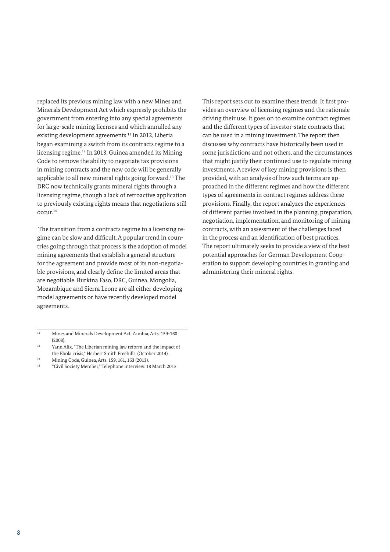replaced its previous mining law with a new Mines and Minerals Development Act which expressly prohibits the government from entering into any special agreements for large-scale mining licenses and which annulled any existing development agreements.<sup>11</sup> In 2012, Liberia began examining a switch from its contracts regime to a licensing regime.12 In 2013, Guinea amended its Mining Code to remove the ability to negotiate tax provisions in mining contracts and the new code will be generally applicable to all new mineral rights going forward.13 The DRC now technically grants mineral rights through a licensing regime, though a lack of retroactive application to previously existing rights means that negotiations still occur.14

 The transition from a contracts regime to a licensing regime can be slow and difficult. A popular trend in countries going through that process is the adoption of model mining agreements that establish a general structure for the agreement and provide most of its non-negotiable provisions, and clearly define the limited areas that are negotiable. Burkina Faso, DRC, Guinea, Mongolia, Mozambique and Sierra Leone are all either developing model agreements or have recently developed model agreements.

- <sup>13</sup> Mining Code, Guinea, Arts. 159, 161, 163 (2013).
- <sup>14</sup> "Civil Society Member," Telephone interview. 18 March 2015.

This report sets out to examine these trends. It first provides an overview of licensing regimes and the rationale driving their use. It goes on to examine contract regimes and the different types of investor-state contracts that can be used in a mining investment. The report then discusses why contracts have historically been used in some jurisdictions and not others, and the circumstances that might justify their continued use to regulate mining investments. A review of key mining provisions is then provided, with an analysis of how such terms are approached in the different regimes and how the different types of agreements in contract regimes address these provisions. Finally, the report analyzes the experiences of different parties involved in the planning, preparation, negotiation, implementation, and monitoring of mining contracts, with an assessment of the challenges faced in the process and an identification of best practices. The report ultimately seeks to provide a view of the best potential approaches for German Development Cooperation to support developing countries in granting and administering their mineral rights.

<sup>11</sup> Mines and Minerals Development Act, Zambia, Arts. 159-160 (2008).

<sup>&</sup>lt;sup>12</sup> Yann Alix, "The Liberian mining law reform and the impact of the Ebola crisis," Herbert Smith Freehills, (October 2014).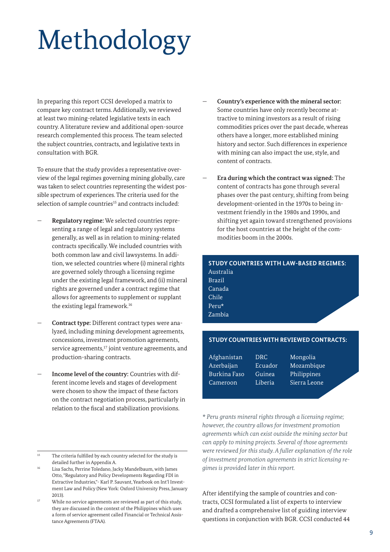# Methodology

In preparing this report CCSI developed a matrix to compare key contract terms. Additionally, we reviewed at least two mining-related legislative texts in each country. A literature review and additional open-source research complemented this process. The team selected the subject countries, contracts, and legislative texts in consultation with BGR.

To ensure that the study provides a representative overview of the legal regimes governing mining globally, care was taken to select countries representing the widest possible spectrum of experiences. The criteria used for the selection of sample countries<sup>15</sup> and contracts included:

- **Regulatory regime:** We selected countries representing a range of legal and regulatory systems generally, as well as in relation to mining-related contracts specifically. We included countries with both common law and civil lawsystems. In addition, we selected countries where (i) mineral rights are governed solely through a licensing regime under the existing legal framework, and (ii) mineral rights are governed under a contract regime that allows for agreements to supplement or supplant the existing legal framework.16
- **Contract type:** Different contract types were analyzed, including mining development agreements, concessions, investment promotion agreements, service agreements,<sup>17</sup> joint venture agreements, and production-sharing contracts.
- **Income level of the country:** Countries with different income levels and stages of development were chosen to show the impact of these factors on the contract negotiation process, particularly in relation to the fiscal and stabilization provisions.
- **Country's experience with the mineral sector:** Some countries have only recently become attractive to mining investors as a result of rising commodities prices over the past decade, whereas others have a longer, more established mining history and sector. Such differences in experience with mining can also impact the use, style, and content of contracts.
- **Era during which the contract was signed:** The content of contracts has gone through several phases over the past century, shifting from being development-oriented in the 1970s to being investment friendly in the 1980s and 1990s, and shifting yet again toward strengthened provisions for the host countries at the height of the commodities boom in the 2000s.

# **STUDY COUNTRIES WITH LAW-BASED REGIMES:** Australia Brazil Canada Chile Peru\* Zambia

### **STUDY COUNTRIES WITH REVIEWED CONTRACTS:**

| Afghanistan  | DRC.    | Mongolia     |
|--------------|---------|--------------|
| Azerbaijan   | Ecuador | Mozambique   |
| Burkina Faso | Guinea  | Philippines  |
| Cameroon     | Liberia | Sierra Leone |

*\* Peru grants mineral rights through a licensing regime; however, the country allows for investment promotion agreements which can exist outside the mining sector but can apply to mining projects. Several of those agreements were reviewed for this study. A fuller explanation of the role of investment promotion agreements in strict licensing regimes is provided later in this report.*

After identifying the sample of countries and contracts, CCSI formulated a list of experts to interview and drafted a comprehensive list of guiding interview questions in conjunction with BGR. CCSI conducted 44

<sup>&</sup>lt;sup>15</sup> The criteria fulfilled by each country selected for the study is detailed further in Appendix A.

<sup>16</sup> Lisa Sachs, Perrine Toledano, Jacky Mandelbaum, with James Otto, "Regulatory and Policy Developments Regarding FDI in Extractive Industries,"- Karl P. Sauvant, Yearbook on Int'l Investment Law and Policy (New York: Oxford University Press, January 2013).

While no service agreements are reviewed as part of this study, they are discussed in the context of the Philippines which uses a form of service agreement called Financial or Technical Assistance Agreements (FTAA).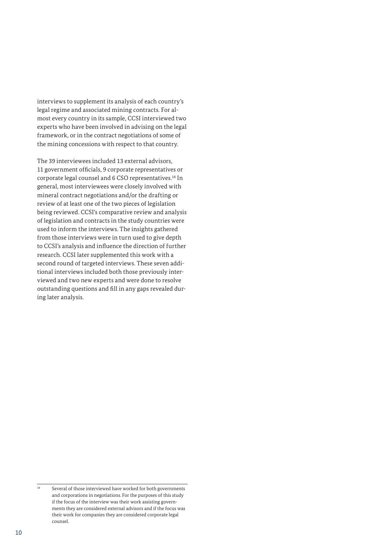interviews to supplement its analysis of each country's legal regime and associated mining contracts. For almost every country in its sample, CCSI interviewed two experts who have been involved in advising on the legal framework, or in the contract negotiations of some of the mining concessions with respect to that country.

The 39 interviewees included 13 external advisors, 11 government officials, 9 corporate representatives or corporate legal counsel and 6 CSO representatives.18 In general, most interviewees were closely involved with mineral contract negotiations and/or the drafting or review of at least one of the two pieces of legislation being reviewed. CCSI's comparative review and analysis of legislation and contracts in the study countries were used to inform the interviews. The insights gathered from those interviews were in turn used to give depth to CCSI's analysis and influence the direction of further research. CCSI later supplemented this work with a second round of targeted interviews. These seven additional interviews included both those previously interviewed and two new experts and were done to resolve outstanding questions and fill in any gaps revealed during later analysis.

<sup>18</sup> Several of those interviewed have worked for both governments and corporations in negotiations. For the purposes of this study if the focus of the interview was their work assisting governments they are considered external advisors and if the focus was their work for companies they are considered corporate legal counsel.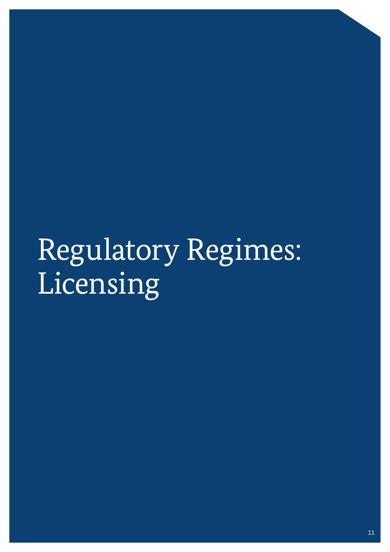# Regulatory Regimes: Licensing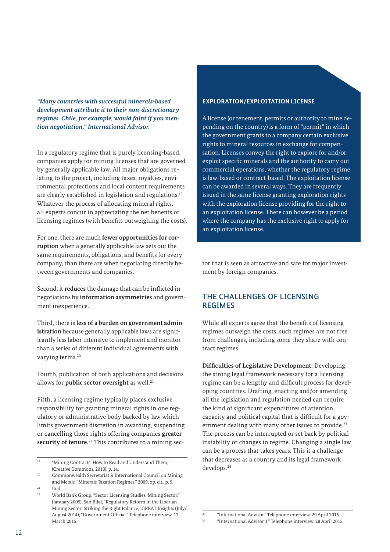*"Many countries with successful minerals-based development attribute it to their non-discretionary regimes. Chile, for example, would faint if you mention negotiation," International Advisor.* 

In a regulatory regime that is purely licensing-based, companies apply for mining licenses that are governed by generally applicable law. All major obligations relating to the project, including taxes, royalties, environmental protections and local content requirements are clearly established in legislation and regulations.19 Whatever the process of allocating mineral rights, all experts concur in appreciating the net benefits of licensing regimes (with benefits outweighing the costs).

For one, there are much **fewer opportunities for corruption** when a generally applicable law sets out the same requirements, obligations, and benefits for every company, than there are when negotiating directly between governments and companies.

Second, it **reduces** the damage that can be inflicted in negotiations by **information asymmetries** and government inexperience.

Third, there is **less of a burden on government administration** because generally applicable laws are significantly less labor intensive to implement and monitor than a series of different individual agreements with varying terms.<sup>20</sup>

Fourth, publication of both applications and decisions allows for **public sector oversight** as well.<sup>21</sup>

Fifth, a licensing regime typically places exclusive responsibility for granting mineral rights in one regulatory or administrative body backed by law which limits government discretion in awarding, suspending or cancelling those rights offering companies **greater security of tenure.**22 This contributes to a mining sec-

 $21$  Ibid.

#### **EXPLORATION/EXPLOITATION LICENSE**

A license (or tenement, permits or authority to mine depending on the country) is a form of "permit" in which the government grants to a company certain exclusive rights to mineral resources in exchange for compensation. Licenses convey the right to explore for and/or exploit specific minerals and the authority to carry out commercial operations, whether the regulatory regime is law-based or contract-based. The exploitation license can be awarded in several ways. They are frequently issued in the same license granting exploration rights with the exploration license providing for the right to an exploitation license. There can however be a period where the company has the exclusive right to apply for an exploitation license.

tor that is seen as attractive and safe for major investment by foreign companies.

# THE CHALLENGES OF LICENSING REGIMES

While all experts agree that the benefits of licensing regimes outweigh the costs, such regimes are not free from challenges, including some they share with contract regimes.

**Difficulties of Legislative Development:** Developing the strong legal framework necessary for a licensing regime can be a lengthy and difficult process for developing countries. Drafting, enacting and/or amending all the legislation and regulation needed can require the kind of significant expenditures of attention, capacity and political capital that is difficult for a government dealing with many other issues to provide.<sup>23</sup> The process can be interrupted or set back by political instability or changes in regime. Changing a single law can be a process that takes years. This is a challenge that decreases as a country and its legal framework develops.24

<sup>19</sup> "Mining Contracts: How to Read and Understand Them," (Creative Commons, 2013), p. 14.

<sup>20</sup> Commonwealth Secretariat & International Council on Mining and Metals, "Minerals Taxation Regimes," 2009, op. cit., p. 9.

<sup>&</sup>lt;sup>22</sup> World Bank Group, "Sector Licensing Studies: Mining Sector," (January 2009); San Bilal, "Regulatory Reform in the Liberian Mining Sector: Striking the Right Balance," GREAT Insights (July/ August 2014); "Government Official." Telephone interview. 17 March 2015.

<sup>23</sup> "International Advisor." Telephone interview. 29 April 2015.

<sup>24</sup> "International Advisor 1." Telephone interview. 28 April 2015.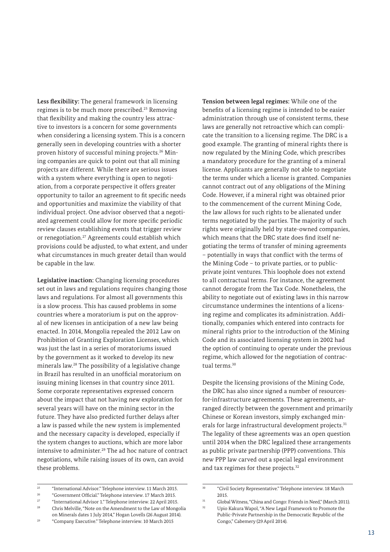**Less flexibility:** The general framework in licensing regimes is to be much more prescribed.<sup>25</sup> Removing that flexibility and making the country less attractive to investors is a concern for some governments when considering a licensing system. This is a concern generally seen in developing countries with a shorter proven history of successful mining projects.26 Mining companies are quick to point out that all mining projects are different. While there are serious issues with a system where everything is open to negotiation, from a corporate perspective it offers greater opportunity to tailor an agreement to fit specific needs and opportunities and maximize the viability of that individual project. One advisor observed that a negotiated agreement could allow for more specific periodic review clauses establishing events that trigger review or renegotiation.27 Agreements could establish which provisions could be adjusted, to what extent, and under what circumstances in much greater detail than would be capable in the law.

**Legislative inaction:** Changing licensing procedures set out in laws and regulations requires changing those laws and regulations. For almost all governments this is a slow process. This has caused problems in some countries where a moratorium is put on the approval of new licenses in anticipation of a new law being enacted. In 2014, Mongolia repealed the 2012 Law on Prohibition of Granting Exploration Licenses, which was just the last in a series of moratoriums issued by the government as it worked to develop its new minerals law.28 The possibility of a legislative change in Brazil has resulted in an unofficial moratorium on issuing mining licenses in that country since 2011. Some corporate representatives expressed concern about the impact that not having new exploration for several years will have on the mining sector in the future. They have also predicted further delays after a law is passed while the new system is implemented and the necessary capacity is developed, especially if the system changes to auctions, which are more labor intensive to administer.29 The ad hoc nature of contract negotiations, while raising issues of its own, can avoid these problems.

<sup>29</sup> "Company Executive." Telephone interview. 10 March 2015

**Tension between legal regimes:** While one of the benefits of a licensing regime is intended to be easier administration through use of consistent terms, these laws are generally not retroactive which can complicate the transition to a licensing regime. The DRC is a good example. The granting of mineral rights there is now regulated by the Mining Code, which prescribes a mandatory procedure for the granting of a mineral license. Applicants are generally not able to negotiate the terms under which a license is granted. Companies cannot contract out of any obligations of the Mining Code. However, if a mineral right was obtained prior to the commencement of the current Mining Code, the law allows for such rights to be alienated under terms negotiated by the parties. The majority of such rights were originally held by state-owned companies, which means that the DRC state does find itself negotiating the terms of transfer of mining agreements – potentially in ways that conflict with the terms of the Mining Code – to private parties, or to publicprivate joint ventures. This loophole does not extend to all contractual terms. For instance, the agreement cannot derogate from the Tax Code. Nonetheless, the ability to negotiate out of existing laws in this narrow circumstance undermines the intentions of a licensing regime and complicates its administration. Additionally, companies which entered into contracts for mineral rights prior to the introduction of the Mining Code and its associated licensing system in 2002 had the option of continuing to operate under the previous regime, which allowed for the negotiation of contractual terms.30

Despite the licensing provisions of the Mining Code, the DRC has also since signed a number of resourcesfor-infrastructure agreements. These agreements, arranged directly between the government and primarily Chinese or Korean investors, simply exchanged minerals for large infrastructural development projects.<sup>31</sup> The legality of these agreements was an open question until 2014 when the DRC legalized these arrangements as public private partnership (PPP) conventions. This new PPP law carved out a special legal environment and tax regimes for these projects.32

<sup>25</sup> "International Advisor." Telephone interview. 11 March 2015.

<sup>26</sup> "Government Official." Telephone interview. 17 March 2015.

<sup>&</sup>lt;sup>27</sup> "International Advisor 1." Telephone interview. 22 April 2015.<br><sup>28</sup> Chris Malville, "Note an the Amendment to the Law of Mangu

Chris Melville, "Note on the Amendment to the Law of Mongolia on Minerals dates 1 July 2014," Hogan Lovells (26 August 2014).

<sup>30</sup> "Civil Society Representative." Telephone interview. 18 March 2015.

<sup>31</sup> Global Witness, "China and Congo: Friends in Need," (March 2011). <sup>32</sup> Upio Kakura Wapol, "A New Legal Framework to Promote the Public-Private Partnership in the Democratic Republic of the Congo," Cabemery (29 April 2014).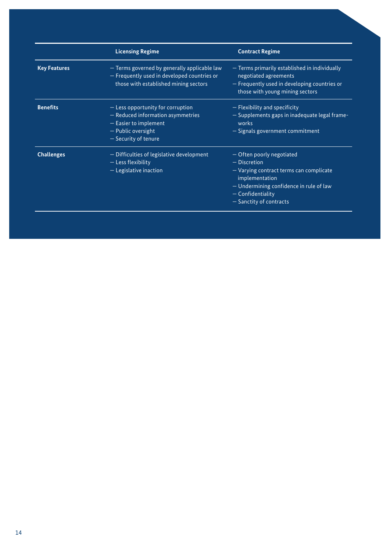|                     | <b>Licensing Regime</b>                                                                                                                             | <b>Contract Regime</b>                                                                                                                                                                                    |  |  |  |  |
|---------------------|-----------------------------------------------------------------------------------------------------------------------------------------------------|-----------------------------------------------------------------------------------------------------------------------------------------------------------------------------------------------------------|--|--|--|--|
| <b>Key Features</b> | - Terms governed by generally applicable law<br>- Frequently used in developed countries or<br>those with established mining sectors                | - Terms primarily established in individually<br>negotiated agreements<br>- Frequently used in developing countries or<br>those with young mining sectors                                                 |  |  |  |  |
| <b>Benefits</b>     | $-$ Less opportunity for corruption<br>$-$ Reduced information asymmetries<br>$-$ Easier to implement<br>- Public oversight<br>- Security of tenure | - Flexibility and specificity<br>- Supplements gaps in inadequate legal frame-<br>works<br>- Signals government commitment                                                                                |  |  |  |  |
| <b>Challenges</b>   | - Difficulties of legislative development<br>$-$ Less flexibility<br>$-$ Legislative inaction                                                       | - Often poorly negotiated<br>$-$ Discretion<br>- Varying contract terms can complicate<br>implementation<br>$-$ Undermining confidence in rule of law<br>$-$ Confidentiality<br>$-$ Sanctity of contracts |  |  |  |  |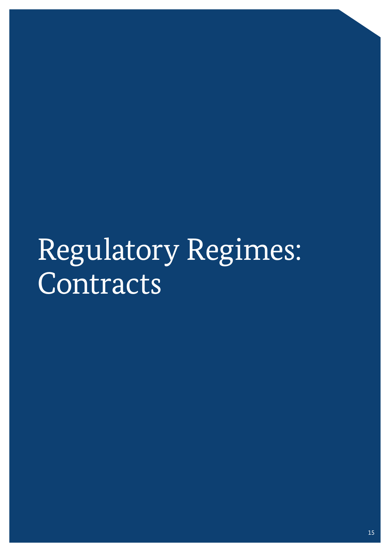# Regulatory Regimes: Contracts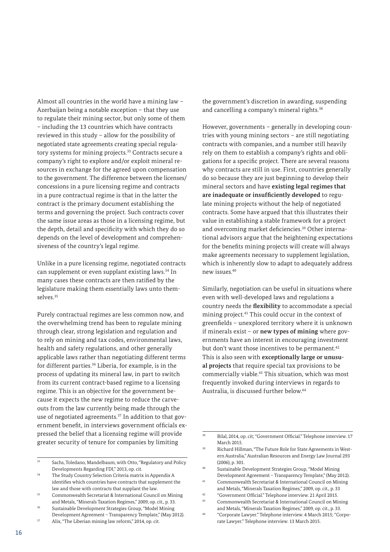Almost all countries in the world have a mining law – Azerbaijan being a notable exception – that they use to regulate their mining sector, but only some of them – including the 13 countries which have contracts reviewed in this study – allow for the possibility of negotiated state agreements creating special regulatory systems for mining projects.33 Contracts secure a company's right to explore and/or exploit mineral resources in exchange for the agreed upon compensation to the government. The difference between the licenses/ concessions in a pure licensing regime and contracts in a pure contractual regime is that in the latter the contract is the primary document establishing the terms and governing the project. Such contracts cover the same issue areas as those in a licensing regime, but the depth, detail and specificity with which they do so depends on the level of development and comprehensiveness of the country's legal regime.

Unlike in a pure licensing regime, negotiated contracts can supplement or even supplant existing laws.34 In many cases these contracts are then ratified by the legislature making them essentially laws unto themselves.35

Purely contractual regimes are less common now, and the overwhelming trend has been to regulate mining through clear, strong legislation and regulation and to rely on mining and tax codes, environmental laws, health and safety regulations, and other generally applicable laws rather than negotiating different terms for different parties.36 Liberia, for example, is in the process of updating its mineral law, in part to switch from its current contract-based regime to a licensing regime. This is an objective for the government because it expects the new regime to reduce the carveouts from the law currently being made through the use of negotiated agreements.<sup>37</sup> In addition to that government benefit, in interviews government officials expressed the belief that a licensing regime will provide greater security of tenure for companies by limiting

the government's discretion in awarding, suspending and cancelling a company's mineral rights.<sup>38</sup>

However, governments – generally in developing countries with young mining sectors – are still negotiating contracts with companies, and a number still heavily rely on them to establish a company's rights and obligations for a specific project. There are several reasons why contracts are still in use. First, countries generally do so because they are just beginning to develop their mineral sectors and have **existing legal regimes that are inadequate or insufficiently developed** to regulate mining projects without the help of negotiated contracts. Some have argued that this illustrates their value in establishing a stable framework for a project and overcoming market deficiencies.39 Other international advisors argue that the heightening expectations for the benefits mining projects will create will always make agreements necessary to supplement legislation, which is inherently slow to adapt to adequately address new issues.40

Similarly, negotiation can be useful in situations where even with well-developed laws and regulations a country needs the **flexibility** to accommodate a special mining project.41 This could occur in the context of greenfields – unexplored territory where it is unknown if minerals exist – or **new types of mining** where governments have an interest in encouraging investment but don't want those incentives to be permanent.<sup>42</sup> This is also seen with **exceptionally large or unusual projects** that require special tax provisions to be commercially viable.<sup>43</sup> This situation, which was most frequently invoked during interviews in regards to Australia, is discussed further below.44

<sup>33</sup> Sachs, Toledano, Mandelbaum, with Otto, "Regulatory and Policy Developments Regarding FDI," 2013, op. cit.

<sup>34</sup> The Study Country Selection Criteria matrix in Appendix A identifies which countries have contracts that supplement the law and those with contracts that supplant the law.

 $35$  Commonwealth Secretariat & International Council on Mining and Metals, "Minerals Taxation Regimes," 2009, op. cit., p. 33.

<sup>36</sup> Sustainable Development Strategies Group, "Model Mining Development Agreement – Transparency Template," (May 2012). <sup>37</sup> Alix, "The Liberian mining law reform," 2014, op. cit.

<sup>38</sup> Bilal, 2014, op. cit; "Government Official." Telephone interview. 17 March 2015

<sup>39</sup> Richard Hillman, "The Future Role for State Agreements in Western Australia," Australian Resources and Energy Law Journal 293  $(2006)$  p. 301.

<sup>40</sup> Sustainable Development Strategies Group, "Model Mining Development Agreement – Transparency Template," (May 2012).

<sup>41</sup> Commonwealth Secretariat & International Council on Mining and Metals, "Minerals Taxation Regimes," 2009, op. cit., p. 33

<sup>42</sup> "Government Official." Telephone interview. 21 April 2015.

<sup>43</sup> Commonwealth Secretariat & International Council on Mining and Metals, "Minerals Taxation Regimes," 2009, op. cit., p. 33.

<sup>44</sup> "Corporate Lawyer." Telephone interview. 4 March 2015; "Corporate Lawyer." Telephone interview. 13 March 2015.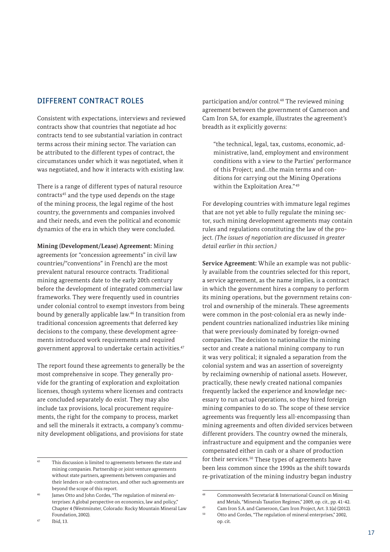# DIFFERENT CONTRACT ROLES

Consistent with expectations, interviews and reviewed contracts show that countries that negotiate ad hoc contracts tend to see substantial variation in contract terms across their mining sector. The variation can be attributed to the different types of contract, the circumstances under which it was negotiated, when it was negotiated, and how it interacts with existing law.

There is a range of different types of natural resource contracts45 and the type used depends on the stage of the mining process, the legal regime of the host country, the governments and companies involved and their needs, and even the political and economic dynamics of the era in which they were concluded.

**Mining (Development/Lease) Agreement:** Mining agreements (or "concession agreements" in civil law countries/"conventions" in French) are the most prevalent natural resource contracts. Traditional mining agreements date to the early 20th century before the development of integrated commercial law frameworks. They were frequently used in countries under colonial control to exempt investors from being bound by generally applicable law.46 In transition from traditional concession agreements that deferred key decisions to the company, these development agreements introduced work requirements and required government approval to undertake certain activities.47

The report found these agreements to generally be the most comprehensive in scope. They generally provide for the granting of exploration and exploitation licenses, though systems where licenses and contracts are concluded separately do exist. They may also include tax provisions, local procurement requirements, the right for the company to process, market and sell the minerals it extracts, a company's community development obligations, and provisions for state

participation and/or control.48 The reviewed mining agreement between the government of Cameroon and Cam Iron SA, for example, illustrates the agreement's breadth as it explicitly governs:

"the technical, legal, tax, customs, economic, administrative, land, employment and environment conditions with a view to the Parties' performance of this Project; and...the main terms and conditions for carrying out the Mining Operations within the Exploitation Area."<sup>49</sup>

For developing countries with immature legal regimes that are not yet able to fully regulate the mining sector, such mining development agreements may contain rules and regulations constituting the law of the project. *(The issues of negotiation are discussed in greater detail earlier in this section.)*

**Service Agreement:** While an example was not publicly available from the countries selected for this report, a service agreement, as the name implies, is a contract in which the government hires a company to perform its mining operations, but the government retains control and ownership of the minerals. These agreements were common in the post-colonial era as newly independent countries nationalized industries like mining that were previously dominated by foreign-owned companies. The decision to nationalize the mining sector and create a national mining company to run it was very political; it signaled a separation from the colonial system and was an assertion of sovereignty by reclaiming ownership of national assets. However, practically, these newly created national companies frequently lacked the experience and knowledge necessary to run actual operations, so they hired foreign mining companies to do so. The scope of these service agreements was frequently less all-encompassing than mining agreements and often divided services between different providers. The country owned the minerals, infrastructure and equipment and the companies were compensated either in cash or a share of production for their services.50 These types of agreements have been less common since the 1990s as the shift towards re-privatization of the mining industry began industry

op. cit.

 $45$  This discussion is limited to agreements between the state and mining companies. Partnership or joint venture agreements without state partners, agreements between companies and their lenders or sub-contractors, and other such agreements are beyond the scope of this report.

James Otto and John Cordes, "The regulation of mineral enterprises: A global perspective on economics, law and policy," Chapter 4 (Westminster, Colorado: Rocky Mountain Mineral Law Foundation, 2002).

<sup>48</sup> Commonwealth Secretariat & International Council on Mining and Metals, "Minerals Taxation Regimes," 2009, op. cit., pp. 41-42.

<sup>49</sup> Cam Iron S.A. and Cameroon, Cam Iron Project, Art. 3.1(a) (2012).

<sup>50</sup> Otto and Cordes, "The regulation of mineral enterprises," 2002,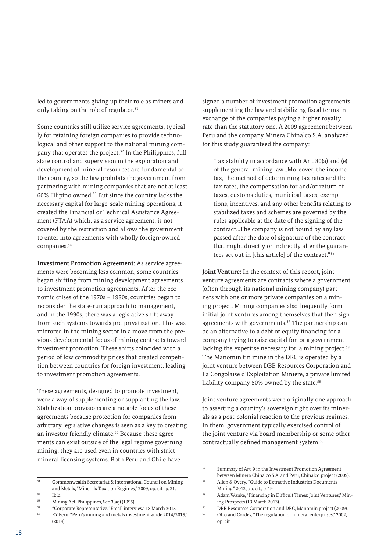led to governments giving up their role as miners and only taking on the role of regulator.<sup>51</sup>

Some countries still utilize service agreements, typically for retaining foreign companies to provide technological and other support to the national mining company that operates the project.52 In the Philippines, full state control and supervision in the exploration and development of mineral resources are fundamental to the country, so the law prohibits the government from partnering with mining companies that are not at least 60% Filipino owned.53 But since the country lacks the necessary capital for large-scale mining operations, it created the Financial or Technical Assistance Agreement (FTAA) which, as a service agreement, is not covered by the restriction and allows the government to enter into agreements with wholly foreign-owned companies.54

**Investment Promotion Agreement:** As service agreements were becoming less common, some countries began shifting from mining development agreements to investment promotion agreements. After the economic crises of the 1970s – 1980s, countries began to reconsider the state-run approach to management, and in the 1990s, there was a legislative shift away from such systems towards pre-privatization. This was mirrored in the mining sector in a move from the previous developmental focus of mining contracts toward investment promotion. These shifts coincided with a period of low commodity prices that created competition between countries for foreign investment, leading to investment promotion agreements.

These agreements, designed to promote investment, were a way of supplementing or supplanting the law. Stabilization provisions are a notable focus of these agreements because protection for companies from arbitrary legislative changes is seen as a key to creating an investor-friendly climate.<sup>55</sup> Because these agreements can exist outside of the legal regime governing mining, they are used even in countries with strict mineral licensing systems. Both Peru and Chile have

<sup>55</sup> EY Peru, "Peru's mining and metals investment guide 2014/2015," (2014).

signed a number of investment promotion agreements supplementing the law and stabilizing fiscal terms in exchange of the companies paying a higher royalty rate than the statutory one. A 2009 agreement between Peru and the company Minera Chinalco S.A. analyzed for this study guaranteed the company:

"tax stability in accordance with Art. 80(a) and (e) of the general mining law...Moreover, the income tax, the method of determining tax rates and the tax rates, the compensation for and/or return of taxes, customs duties, municipal taxes, exemptions, incentives, and any other benefits relating to stabilized taxes and schemes are governed by the rules applicable at the date of the signing of the contract...The company is not bound by any law passed after the date of signature of the contract that might directly or indirectly alter the guarantees set out in [this article] of the contract." <sup>56</sup>

**Joint Venture:** In the context of this report, joint venture agreements are contracts where a government (often through its national mining company) partners with one or more private companies on a mining project. Mining companies also frequently form initial joint ventures among themselves that then sign agreements with governments.<sup>57</sup> The partnership can be an alternative to a debt or equity financing for a company trying to raise capital for, or a government lacking the expertise necessary for, a mining project.<sup>58</sup> The Manomin tin mine in the DRC is operated by a joint venture between DBB Resources Corporation and La Congolaise d'Exploitation Miniere, a private limited liability company 50% owned by the state.<sup>59</sup>

Joint venture agreements were originally one approach to asserting a country's sovereign right over its minerals as a post-colonial reaction to the previous regimes. In them, government typically exercised control of the joint venture via board membership or some other contractually defined management system.<sup>60</sup>

<sup>51</sup> Commonwealth Secretariat & International Council on Mining and Metals, "Minerals Taxation Regimes," 2009, op. cit., p. 31.

 $\frac{52}{53}$  Ibid

<sup>&</sup>lt;sup>53</sup> Mining Act, Philippines, Sec 3(aq) (1995).<br>"Compare Penness tative" Email inter-

<sup>54</sup> "Corporate Representative." Email interview. 18 March 2015.

<sup>56</sup> Summary of Art. 9 in the Investment Promotion Agreement between Minera Chinalco S.A. and Peru, Chinalco project (2009).

<sup>57</sup> Allen & Overy, "Guide to Extractive Industries Documents – Mining," 2013, op. cit., p. 19.

<sup>58</sup> Adam Wanke, "Financing in Difficult Times: Joint Ventures," Mining Prospects (13 March 2013).

<sup>59</sup> DBB Resources Corporation and DRC, Manomin project (2009).

<sup>60</sup> Otto and Cordes, "The regulation of mineral enterprises," 2002, op. cit.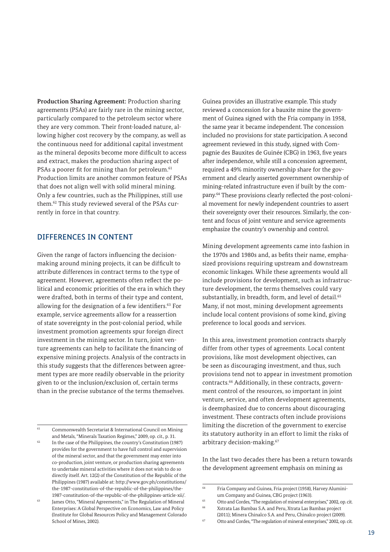**Production Sharing Agreement:** Production sharing agreements (PSAs) are fairly rare in the mining sector, particularly compared to the petroleum sector where they are very common. Their front-loaded nature, allowing higher cost recovery by the company, as well as the continuous need for additional capital investment as the mineral deposits become more difficult to access and extract, makes the production sharing aspect of PSAs a poorer fit for mining than for petroleum.<sup>61</sup> Production limits are another common feature of PSAs that does not align well with solid mineral mining. Only a few countries, such as the Philippines, still use them.62 This study reviewed several of the PSAs currently in force in that country.

### DIFFERENCES IN CONTENT

Given the range of factors influencing the decisionmaking around mining projects, it can be difficult to attribute differences in contract terms to the type of agreement. However, agreements often reflect the political and economic priorities of the era in which they were drafted, both in terms of their type and content, allowing for the designation of a few identifiers.63 For example, service agreements allow for a reassertion of state sovereignty in the post-colonial period, while investment promotion agreements spur foreign direct investment in the mining sector. In turn, joint venture agreements can help to facilitate the financing of expensive mining projects. Analysis of the contracts in this study suggests that the differences between agreement types are more readily observable in the priority given to or the inclusion/exclusion of, certain terms than in the precise substance of the terms themselves.

Guinea provides an illustrative example. This study reviewed a concession for a bauxite mine the government of Guinea signed with the Fria company in 1958, the same year it became independent. The concession included no provisions for state participation. A second agreement reviewed in this study, signed with Compagnie des Bauxites de Guinée (CBG) in 1963, five years after independence, while still a concession agreement, required a 49% minority ownership share for the government and clearly asserted government ownership of mining-related infrastructure even if built by the company.64 These provisions clearly reflected the post-colonial movement for newly independent countries to assert their sovereignty over their resources. Similarly, the content and focus of joint venture and service agreements emphasize the country's ownership and control.

Mining development agreements came into fashion in the 1970s and 1980s and, as befits their name, emphasized provisions requiring upstream and downstream economic linkages. While these agreements would all include provisions for development, such as infrastructure development, the terms themselves could vary substantially, in breadth, form, and level of detail.<sup>65</sup> Many, if not most, mining development agreements include local content provisions of some kind, giving preference to local goods and services.

In this area, investment promotion contracts sharply differ from other types of agreements. Local content provisions, like most development objectives, can be seen as discouraging investment, and thus, such provisions tend not to appear in investment promotion contracts.66 Additionally, in these contracts, government control of the resources, so important in joint venture, service, and often development agreements, is deemphasized due to concerns about discouraging investment. These contracts often include provisions limiting the discretion of the government to exercise its statutory authority in an effort to limit the risks of arbitrary decision-making.67

In the last two decades there has been a return towards the development agreement emphasis on mining as

<sup>61</sup> Commonwealth Secretariat & International Council on Mining and Metals, "Minerals Taxation Regimes," 2009, op. cit., p. 31.

<sup>62</sup> In the case of the Philippines, the country's Constitution (1987) provides for the government to have full control and supervision of the mineral sector, and that the government may enter into co-production, joint venture, or production sharing agreements to undertake mineral activities where it does not wish to do so directly itself. Art. 12(2) of the Constitution of the Republic of the Philippines (1987) available at: [http://www.gov.ph/constitutions/](http://www.gov.ph/constitutions/the-1987-constitution-of-the-republic-of-the-philippines/the-1987-constitution-of-the-republic-of-the-philippines-article-xii/. ) [the-1987-constitution-of-the-republic-of-the-philippines/the-](http://www.gov.ph/constitutions/the-1987-constitution-of-the-republic-of-the-philippines/the-1987-constitution-of-the-republic-of-the-philippines-article-xii/. )[1987-constitution-of-the-republic-of-the-philippines-article-xii/.](http://www.gov.ph/constitutions/the-1987-constitution-of-the-republic-of-the-philippines/the-1987-constitution-of-the-republic-of-the-philippines-article-xii/. )

<sup>63</sup> James Otto, "Mineral Agreements," in The Regulation of Mineral Enterprises: A Global Perspective on Economics, Law and Policy (Institute for Global Resources Policy and Management Colorado School of Mines, 2002).

<sup>64</sup> Fria Company and Guinea, Fria project (1958), Harvey Aluminium Company and Guinea, CBG project (1963).

<sup>65</sup> Otto and Cordes, "The regulation of mineral enterprises," 2002, op. cit. <sup>66</sup> Xstrata Las Bambas S.A. and Peru, Xtrata Las Bambas project (2011); Minera Chinalco S.A. and Peru, Chinalco project (2009).

<sup>67</sup> Otto and Cordes, "The regulation of mineral enterprises," 2002, op. cit.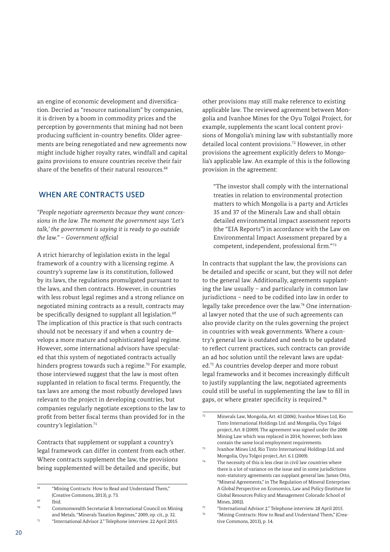an engine of economic development and diversification. Decried as "resource nationalism" by companies, it is driven by a boom in commodity prices and the perception by governments that mining had not been producing sufficient in-country benefits. Older agreements are being renegotiated and new agreements now might include higher royalty rates, windfall and capital gains provisions to ensure countries receive their fair share of the benefits of their natural resources.<sup>68</sup>

# WHEN ARE CONTRACTS USED

*"People negotiate agreements because they want concessions in the law. The moment the government says 'Let's talk,' the government is saying it is ready to go outside the law." – Government official*

A strict hierarchy of legislation exists in the legal framework of a country with a licensing regime. A country's supreme law is its constitution, followed by its laws, the regulations promulgated pursuant to the laws, and then contracts. However, in countries with less robust legal regimes and a strong reliance on negotiated mining contracts as a result, contracts may be specifically designed to supplant all legislation.<sup>69</sup> The implication of this practice is that such contracts should not be necessary if and when a country develops a more mature and sophisticated legal regime. However, some international advisors have speculated that this system of negotiated contracts actually hinders progress towards such a regime.<sup>70</sup> For example, those interviewed suggest that the law is most often supplanted in relation to fiscal terms. Frequently, the tax laws are among the most robustly developed laws relevant to the project in developing countries, but companies regularly negotiate exceptions to the law to profit from better fiscal terms than provided for in the country's legislation.71

Contracts that supplement or supplant a country's legal framework can differ in content from each other. Where contracts supplement the law, the provisions being supplemented will be detailed and specific, but

other provisions may still make reference to existing applicable law. The reviewed agreement between Mongolia and Ivanhoe Mines for the Oyu Tolgoi Project, for example, supplements the scant local content provisions of Mongolia's mining law with substantially more detailed local content provisions.72 However, in other provisions the agreement explicitly defers to Mongolia's applicable law. An example of this is the following provision in the agreement:

"The investor shall comply with the international treaties in relation to environmental protection matters to which Mongolia is a party and Articles 35 and 37 of the Minerals Law and shall obtain detailed environmental impact assessment reports (the "EIA Reports") in accordance with the Law on Environmental Impact Assessment prepared by a competent, independent, professional firm."73

In contracts that supplant the law, the provisions can be detailed and specific or scant, but they will not defer to the general law. Additionally, agreements supplanting the law usually – and particularly in common law jurisdictions – need to be codified into law in order to legally take precedence over the law.74 One international lawyer noted that the use of such agreements can also provide clarity on the rules governing the project in countries with weak governments. Where a country's general law is outdated and needs to be updated to reflect current practices, such contracts can provide an ad hoc solution until the relevant laws are updated.75 As countries develop deeper and more robust legal frameworks and it becomes increasingly difficult to justify supplanting the law, negotiated agreements could still be useful in supplementing the law to fill in gaps, or where greater specificity is required.76

<sup>&</sup>lt;sup>68</sup> "Mining Contracts: How to Read and Understand Them," (Creative Commons, 2013), p. 73.

<sup>69</sup> Ibid.

<sup>70</sup> Commonwealth Secretariat & International Council on Mining and Metals, "Minerals Taxation Regimes," 2009, op. cit., p. 32. <sup>71</sup> "International Advisor 2." Telephone interview. 22 April 2015.

<sup>72</sup> Minerals Law, Mongolia, Art. 43 (2006); Ivanhoe Mines Ltd, Rio Tinto International Holdings Ltd. and Mongolia, Oyu Tolgoi project, Art. 8 (2009). The agreement was signed under the 2006 Mining Law which was replaced in 2014; however, both laws contain the same local employment requirements.

<sup>73</sup> Ivanhoe Mines Ltd, Rio Tinto International Holdings Ltd. and Mongolia, Oyu Tolgoi project, Art. 6.1 (2009).

 $74$  The necessity of this is less clear in civil law countries where there is a lot of variance on the issue and in some jurisdictions non-statutory agreements can supplant general law. James Otto, "Mineral Agreements," in The Regulation of Mineral Enterprises: A Global Perspective on Economics, Law and Policy (Institute for Global Resources Policy and Management Colorado School of Mines, 2002).

<sup>75</sup> "International Advisor 2." Telephone interview. 28 April 2015.

<sup>&</sup>quot;Mining Contracts: How to Read and Understand Them," (Creative Commons, 2013), p. 14.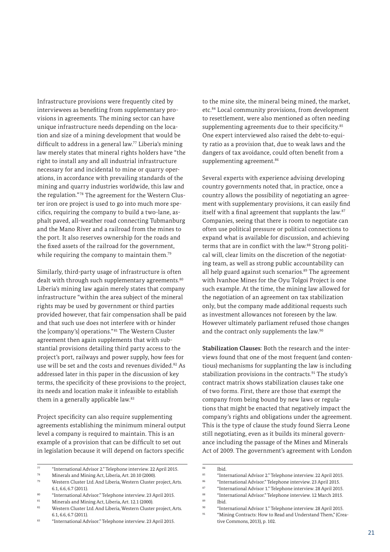Infrastructure provisions were frequently cited by interviewees as benefiting from supplementary provisions in agreements. The mining sector can have unique infrastructure needs depending on the location and size of a mining development that would be difficult to address in a general law.77 Liberia's mining law merely states that mineral rights holders have "the right to install any and all industrial infrastructure necessary for and incidental to mine or quarry operations, in accordance with prevailing standards of the mining and quarry industries worldwide, this law and the regulation."<sup>78</sup> The agreement for the Western Cluster iron ore project is used to go into much more specifics, requiring the company to build a two-lane, asphalt paved, all-weather road connecting Tubmanburg and the Mano River and a railroad from the mines to the port. It also reserves ownership for the roads and the fixed assets of the railroad for the government, while requiring the company to maintain them.<sup>79</sup>

Similarly, third-party usage of infrastructure is often dealt with through such supplementary agreements.<sup>80</sup> Liberia's mining law again merely states that company infrastructure "within the area subject of the mineral rights may be used by government or third parties provided however, that fair compensation shall be paid and that such use does not interfere with or hinder the [company's] operations." 81 The Western Cluster agreement then again supplements that with substantial provisions detailing third party access to the project's port, railways and power supply, how fees for use will be set and the costs and revenues divided.82 As addressed later in this paper in the discussion of key terms, the specificity of these provisions to the project, its needs and location make it infeasible to establish them in a generally applicable law.<sup>83</sup>

Project specificity can also require supplementing agreements establishing the minimum mineral output level a company is required to maintain. This is an example of a provision that can be difficult to set out in legislation because it will depend on factors specific

to the mine site, the mineral being mined, the market, etc.<sup>84</sup> Local community provisions, from development to resettlement, were also mentioned as often needing supplementing agreements due to their specificity.<sup>85</sup> One expert interviewed also raised the debt-to-equity ratio as a provision that, due to weak laws and the dangers of tax avoidance, could often benefit from a supplementing agreement.<sup>86</sup>

Several experts with experience advising developing country governments noted that, in practice, once a country allows the possibility of negotiating an agreement with supplementary provisions, it can easily find itself with a final agreement that supplants the law.<sup>87</sup> Companies, seeing that there is room to negotiate can often use political pressure or political connections to expand what is available for discussion, and achieving terms that are in conflict with the law.<sup>88</sup> Strong political will, clear limits on the discretion of the negotiating team, as well as strong public accountability can all help guard against such scenarios.<sup>89</sup> The agreement with Ivanhoe Mines for the Oyu Tolgoi Project is one such example. At the time, the mining law allowed for the negotiation of an agreement on tax stabilization only, but the company made additional requests such as investment allowances not foreseen by the law. However ultimately parliament refused those changes and the contract only supplements the law.<sup>90</sup>

**Stabilization Clauses:** Both the research and the interviews found that one of the most frequent (and contentious) mechanisms for supplanting the law is including stabilization provisions in the contracts.<sup>91</sup> The study's contract matrix shows stabilization clauses take one of two forms. First, there are those that exempt the company from being bound by new laws or regulations that might be enacted that negatively impact the company's rights and obligations under the agreement. This is the type of clause the study found Sierra Leone still negotiating, even as it builds its mineral governance including the passage of the Mines and Minerals Act of 2009. The government's agreement with London

<sup>77</sup> "International Advisor 2." Telephone interview. 22 April 2015.

<sup>78</sup> Minerals and Mining Act, Liberia, Art. 20.10 (2000).

<sup>79</sup> Western Cluster Ltd. And Liberia, Western Cluster project, Arts. 6.1, 6.6, 6.7 (2011).

<sup>80 &</sup>quot;International Advisor." Telephone interview. 23 April 2015.

<sup>81</sup> Minerals and Mining Act, Liberia, Art. 12.1 (2000).<br> $N^2$  Mestern Cluster Ltd, And Liberia, Mestern Cluster

Western Cluster Ltd. And Liberia, Western Cluster project, Arts. 6.1, 6.6, 6.7 (2011).

<sup>83</sup> "International Advisor." Telephone interview. 23 April 2015.

 $84$  Ibid.

<sup>85</sup> "International Advisor 2." Telephone interview. 22 April 2015.

<sup>86</sup> "International Advisor." Telephone interview. 23 April 2015.

<sup>87</sup> "International Advisor 1." Telephone interview. 28 April 2015.

<sup>&</sup>lt;sup>88</sup> "International Advisor." Telephone interview. 12 March 2015.

 $\begin{array}{cc}\n\text{89} & \text{Ibid.} \\
\text{90} & \text{``In this}\n\end{array}$ 

<sup>90</sup> "International Advisor 1." Telephone interview. 28 April 2015.

<sup>&</sup>lt;sup>91</sup> "Mining Contracts: How to Read and Understand Them," (Creative Commons, 2013), p. 102.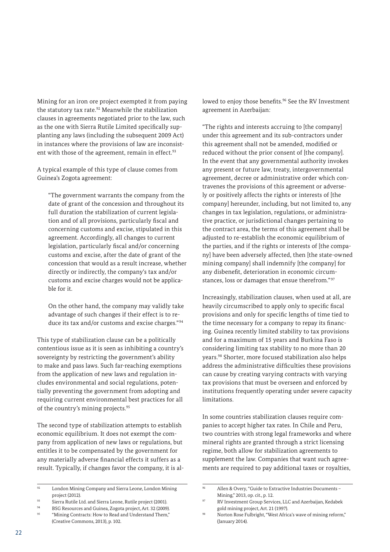Mining for an iron ore project exempted it from paying the statutory tax rate.<sup>92</sup> Meanwhile the stabilization clauses in agreements negotiated prior to the law, such as the one with Sierra Rutile Limited specifically supplanting any laws (including the subsequent 2009 Act) in instances where the provisions of law are inconsistent with those of the agreement, remain in effect.<sup>93</sup>

A typical example of this type of clause comes from Guinea's Zogota agreement:

"The government warrants the company from the date of grant of the concession and throughout its full duration the stabilization of current legislation and of all provisions, particularly fiscal and concerning customs and excise, stipulated in this agreement. Accordingly, all changes to current legislation, particularly fiscal and/or concerning customs and excise, after the date of grant of the concession that would as a result increase, whether directly or indirectly, the company's tax and/or customs and excise charges would not be applicable for it.

On the other hand, the company may validly take advantage of such changes if their effect is to reduce its tax and/or customs and excise charges."<sup>94</sup>

This type of stabilization clause can be a politically contentious issue as it is seen as inhibiting a country's sovereignty by restricting the government's ability to make and pass laws. Such far-reaching exemptions from the application of new laws and regulation includes environmental and social regulations, potentially preventing the government from adopting and requiring current environmental best practices for all of the country's mining projects.<sup>95</sup>

The second type of stabilization attempts to establish economic equilibrium. It does not exempt the company from application of new laws or regulations, but entitles it to be compensated by the government for any materially adverse financial effects it suffers as a result. Typically, if changes favor the company, it is allowed to enjoy those benefits.<sup>96</sup> See the RV Investment agreement in Azerbaijan:

"The rights and interests accruing to [the company] under this agreement and its sub-contractors under this agreement shall not be amended, modified or reduced without the prior consent of [the company]. In the event that any governmental authority invokes any present or future law, treaty, intergovernmental agreement, decree or administrative order which contravenes the provisions of this agreement or adversely or positively affects the rights or interests of [the company] hereunder, including, but not limited to, any changes in tax legislation, regulations, or administrative practice, or jurisdictional changes pertaining to the contract area, the terms of this agreement shall be adjusted to re-establish the economic equilibrium of the parties, and if the rights or interests of [the company] have been adversely affected, then [the state-owned mining company] shall indemnify [the company] for any disbenefit, deterioration in economic circumstances, loss or damages that ensue therefrom." <sup>97</sup>

Increasingly, stabilization clauses, when used at all, are heavily circumscribed to apply only to specific fiscal provisions and only for specific lengths of time tied to the time necessary for a company to repay its financing. Guinea recently limited stability to tax provisions and for a maximum of 15 years and Burkina Faso is considering limiting tax stability to no more than 20 years.98 Shorter, more focused stabilization also helps address the administrative difficulties these provisions can cause by creating varying contracts with varying tax provisions that must be overseen and enforced by institutions frequently operating under severe capacity limitations.

In some countries stabilization clauses require companies to accept higher tax rates. In Chile and Peru, two countries with strong legal frameworks and where mineral rights are granted through a strict licensing regime, both allow for stabilization agreements to supplement the law. Companies that want such agreements are required to pay additional taxes or royalties,

<sup>92</sup> London Mining Company and Sierra Leone, London Mining project (2012).

<sup>93</sup> Sierra Rutile Ltd. and Sierra Leone, Rutile project (2001).

<sup>94</sup> BSG Resources and Guinea, Zogota project, Art. 32 (2009).

<sup>&</sup>lt;sup>95</sup> "Mining Contracts: How to Read and Understand Them," (Creative Commons, 2013), p. 102.

Allen & Overy, "Guide to Extractive Industries Documents -Mining," 2013, op. cit., p. 12.

<sup>97</sup> RV Investment Group Services, LLC and Azerbaijan, Kedabek gold mining project, Art. 21 (1997).

Norton Rose Fulbright, "West Africa's wave of mining reform," (January 2014).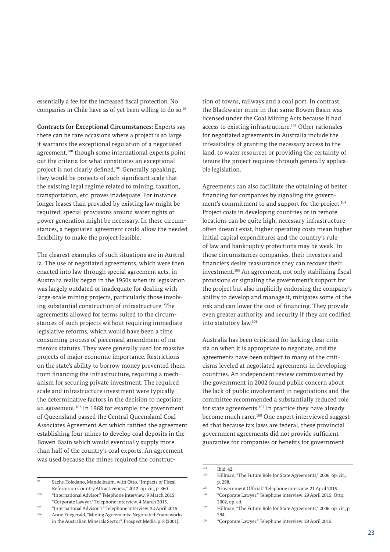essentially a fee for the increased fiscal protection. No companies in Chile have as of yet been willing to do so.<sup>99</sup>

**Contracts for Exceptional Circumstances:** Experts say there can be rare occasions where a project is so large it warrants the exceptional regulation of a negotiated agreement,<sup>100</sup> though some international experts point out the criteria for what constitutes an exceptional project is not clearly defined.101 Generally speaking, they would be projects of such significant scale that the existing legal regime related to mining, taxation, transportation, etc. proves inadequate. For instance longer leases than provided by existing law might be required; special provisions around water rights or power generation might be necessary. In these circumstances, a negotiated agreement could allow the needed flexibility to make the project feasible.

The clearest examples of such situations are in Australia. The use of negotiated agreements, which were then enacted into law through special agreement acts, in Australia really began in the 1950s when its legislation was largely outdated or inadequate for dealing with large-scale mining projects, particularly those involving substantial construction of infrastructure. The agreements allowed for terms suited to the circumstances of such projects without requiring immediate legislative reforms, which would have been a time consuming process of piecemeal amendment of numerous statutes. They were generally used for massive projects of major economic importance. Restrictions on the state's ability to borrow money prevented them from financing the infrastructure, requiring a mechanism for securing private investment. The required scale and infrastructure investment were typically the determinative factors in the decision to negotiate an agreement.102 In 1968 for example, the government of Queensland passed the Central Queensland Coal Associates Agreement Act which ratified the agreement establishing four mines to develop coal deposits in the Bowen Basin which would eventually supply more than half of the country's coal exports. An agreement was used because the mines required the construc-

in the Australian Minerals Sector", Prospect Media, p. 8 (2001).

tion of towns, railways and a coal port. In contrast, the Blackwater mine in that same Bowen Basin was licensed under the Coal Mining Acts because it had access to existing infrastructure.<sup>103</sup> Other rationales for negotiated agreements in Australia include the infeasibility of granting the necessary access to the land, to water resources or providing the certainty of tenure the project requires through generally applicable legislation.

Agreements can also facilitate the obtaining of better financing for companies by signaling the government's commitment to and support for the project.<sup>104</sup> Project costs in developing countries or in remote locations can be quite high, necessary infrastructure often doesn't exist, higher operating costs mean higher initial capital expenditures and the country's rule of law and bankruptcy protections may be weak. In those circumstances companies, their investors and financiers desire reassurance they can recover their investment.105 An agreement, not only stabilizing fiscal provisions or signaling the government's support for the project but also implicitly endorsing the company's ability to develop and manage it, mitigates some of the risk and can lower the cost of financing. They provide even greater authority and security if they are codified into statutory law.106

Australia has been criticized for lacking clear criteria on when it is appropriate to negotiate, and the agreements have been subject to many of the criticisms leveled at negotiated agreements in developing countries. An independent review commissioned by the government in 2002 found public concern about the lack of public involvement in negotiations and the committee recommended a substantially reduced role for state agreements.<sup>107</sup> In practice they have already become much rarer.<sup>108</sup> One expert interviewed suggested that because tax laws are federal, these provincial government agreements did not provide sufficient guarantee for companies or benefits for government

<sup>99</sup> Sachs, Toledano, Mandelbaum, with Otto, "Impacts of Fiscal Reforms on Country Attractiveness," 2012, op. cit., p. 360

<sup>100</sup> "International Advisor." Telephone interview. 9 March 2015; "Corporate Lawyer." Telephone interview. 4 March 2015.

<sup>101</sup> "International Advisor 1." Telephone interview. 22 April 2015 <sup>102</sup> Anne Fitzgerald, "Mining Agreements: Negotiated Frameworks

 $\overline{103}$  Ibid, 42.

<sup>104</sup> Hillman, "The Future Role for State Agreements," 2006, op. cit., p. 298.

<sup>105</sup> "Government Official." Telephone interview. 21 April 2015.

<sup>106</sup> "Corporate Lawyer." Telephone interview. 29 April 2015; Otto, 2002, op. cit.

<sup>107</sup> Hillman, "The Future Role for State Agreements," 2006, op. cit., p. 294.

<sup>108</sup> "Corporate Lawyer." Telephone interview. 29 April 2015.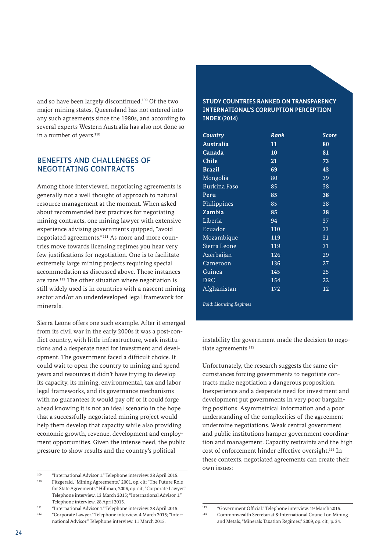and so have been largely discontinued.109 Of the two major mining states, Queensland has not entered into any such agreements since the 1980s, and according to several experts Western Australia has also not done so in a number of years.<sup>110</sup>

### BENEFITS AND CHALLENGES OF NEGOTIATING CONTRACTS

Among those interviewed, negotiating agreements is generally not a well thought of approach to natural resource management at the moment. When asked about recommended best practices for negotiating mining contracts, one mining lawyer with extensive experience advising governments quipped, "avoid negotiated agreements."111 As more and more countries move towards licensing regimes you hear very few justifications for negotiation. One is to facilitate extremely large mining projects requiring special accommodation as discussed above. Those instances are rare.112 The other situation where negotiation is still widely used is in countries with a nascent mining sector and/or an underdeveloped legal framework for minerals.

Sierra Leone offers one such example. After it emerged from its civil war in the early 2000s it was a post-conflict country, with little infrastructure, weak institutions and a desperate need for investment and development. The government faced a difficult choice. It could wait to open the country to mining and spend years and resources it didn't have trying to develop its capacity, its mining, environmental, tax and labor legal frameworks, and its governance mechanisms with no guarantees it would pay off or it could forge ahead knowing it is not an ideal scenario in the hope that a successfully negotiated mining project would help them develop that capacity while also providing economic growth, revenue, development and employment opportunities. Given the intense need, the public pressure to show results and the country's political

### **STUDY COUNTRIES RANKED ON TRANSPARENCY INTERNATIONAL'S CORRUPTION PERCEPTION INDEX (2014)**

| Country                        | Rank | <b>Score</b> |
|--------------------------------|------|--------------|
| Australia                      | 11   | 80           |
| Canada                         | 10   | 81           |
| <b>Chile</b>                   | 21   | 73           |
| <b>Brazil</b>                  | 69   | 43           |
| Mongolia                       | 80   | 39           |
| <b>Burkina Faso</b>            | 85   | 38           |
| Peru                           | 85   | 38           |
| Philippines                    | 85   | 38           |
| Zambia                         | 85   | 38           |
| Liberia                        | 94   | 37           |
| Ecuador                        | 110  | 33           |
| Mozambique                     | 119  | 31           |
| Sierra Leone                   | 119  | 31           |
| Azerbaijan                     | 126  | 29           |
| Cameroon                       | 136  | 27           |
| Guinea                         | 145  | 25           |
| <b>DRC</b>                     | 154  | 22           |
| Afghanistan                    | 172  | 12           |
| <b>Bold: Licensing Regimes</b> |      |              |

instability the government made the decision to negotiate agreements.<sup>113</sup>

Unfortunately, the research suggests the same circumstances forcing governments to negotiate contracts make negotiation a dangerous proposition. Inexperience and a desperate need for investment and development put governments in very poor bargaining positions. Asymmetrical information and a poor understanding of the complexities of the agreement undermine negotiations. Weak central government and public institutions hamper government coordination and management. Capacity restraints and the high cost of enforcement hinder effective oversight.114 In these contexts, negotiated agreements can create their own issues:

<sup>109</sup> "International Advisor 1." Telephone interview. 28 April 2015. <sup>110</sup> Fitzgerald, "Mining Agreements," 2001, op. cit; "The Future Role for State Agreements," Hillman, 2006, op. cit; "Corporate Lawyer." Telephone interview. 13 March 2015; "International Advisor 1." Telephone interview. 28 April 2015.

<sup>111 &</sup>quot;International Advisor 1." Telephone interview. 28 April 2015.<br>"Corporate Lawyer" Telephone interview. 4 March 2015: "Inte

<sup>&</sup>quot;Corporate Lawyer." Telephone interview. 4 March 2015; "International Advisor." Telephone interview. 11 March 2015.

<sup>113</sup> "Government Official." Telephone interview. 19 March 2015.

<sup>114</sup> Commonwealth Secretariat & International Council on Mining and Metals, "Minerals Taxation Regimes," 2009, op. cit., p. 34.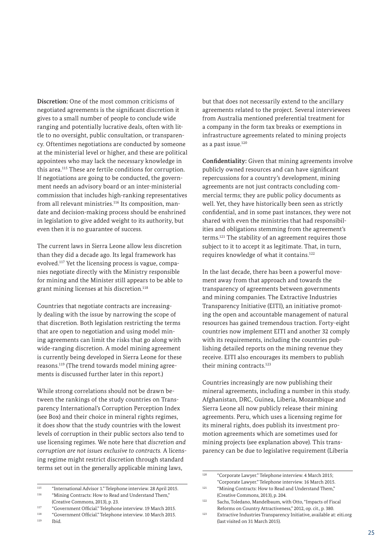**Discretion:** One of the most common criticisms of negotiated agreements is the significant discretion it gives to a small number of people to conclude wide ranging and potentially lucrative deals, often with little to no oversight, public consultation, or transparency. Oftentimes negotiations are conducted by someone at the ministerial level or higher, and these are political appointees who may lack the necessary knowledge in this area.115 These are fertile conditions for corruption. If negotiations are going to be conducted, the government needs an advisory board or an inter-ministerial commission that includes high-ranking representatives from all relevant ministries.<sup>116</sup> Its composition, mandate and decision-making process should be enshrined in legislation to give added weight to its authority, but even then it is no guarantee of success.

The current laws in Sierra Leone allow less discretion than they did a decade ago. Its legal framework has evolved.117 Yet the licensing process is vague, companies negotiate directly with the Ministry responsible for mining and the Minister still appears to be able to grant mining licenses at his discretion.<sup>118</sup>

Countries that negotiate contracts are increasingly dealing with the issue by narrowing the scope of that discretion. Both legislation restricting the terms that are open to negotiation and using model mining agreements can limit the risks that go along with wide-ranging discretion. A model mining agreement is currently being developed in Sierra Leone for these reasons.119 (The trend towards model mining agreements is discussed further later in this report.)

While strong correlations should not be drawn between the rankings of the study countries on Transparency International's Corruption Perception Index (see Box) and their choice in mineral rights regimes, it does show that the study countries with the lowest levels of corruption in their public sectors also tend to use licensing regimes. We note here that *discretion and corruption are not issues exclusive to contracts.* A licensing regime might restrict discretion through standard terms set out in the generally applicable mining laws,

but that does not necessarily extend to the ancillary agreements related to the project. Several interviewees from Australia mentioned preferential treatment for a company in the form tax breaks or exemptions in infrastructure agreements related to mining projects as a past issue.<sup>120</sup>

**Confidentiality:** Given that mining agreements involve publicly owned resources and can have significant repercussions for a country's development, mining agreements are not just contracts concluding commercial terms; they are public policy documents as well. Yet, they have historically been seen as strictly confidential, and in some past instances, they were not shared with even the ministries that had responsibilities and obligations stemming from the agreement's terms.121 The stability of an agreement requires those subject to it to accept it as legitimate. That, in turn, requires knowledge of what it contains.122

In the last decade, there has been a powerful movement away from that approach and towards the transparency of agreements between governments and mining companies. The Extractive Industries Transparency Initiative (EITI), an initiative promoting the open and accountable management of natural resources has gained tremendous traction. Forty-eight countries now implement EITI and another 32 comply with its requirements, including the countries publishing detailed reports on the mining revenue they receive. EITI also encourages its members to publish their mining contracts.<sup>123</sup>

Countries increasingly are now publishing their mineral agreements, including a number in this study. Afghanistan, DRC, Guinea, Liberia, Mozambique and Sierra Leone all now publicly release their mining agreements. Peru, which uses a licensing regime for its mineral rights, does publish its investment promotion agreements which are sometimes used for mining projects (see explanation above). This transparency can be due to legislative requirement (Liberia

<sup>115</sup> "International Advisor 1." Telephone interview. 28 April 2015. <sup>116</sup> "Mining Contracts: How to Read and Understand Them," (Creative Commons, 2013), p. 23.

<sup>117</sup> "Government Official." Telephone interview. 19 March 2015.

<sup>118</sup> "Government Official." Telephone interview. 10 March 2015.

Ibid.

<sup>120</sup> "Corporate Lawyer." Telephone interview. 4 March 2015; "Corporate Lawyer." Telephone interview. 16 March 2015.

<sup>&</sup>lt;sup>121</sup> "Mining Contracts: How to Read and Understand Them," (Creative Commons, 2013), p. 204.

<sup>122</sup> Sachs, Toledano, Mandelbaum, with Otto, "Impacts of Fiscal Reforms on Country Attractiveness," 2012, op. cit., p. 380.

<sup>123</sup> Extractive Industries Transparency Initiative, available at: eiti.org (last visited on 31 March 2015).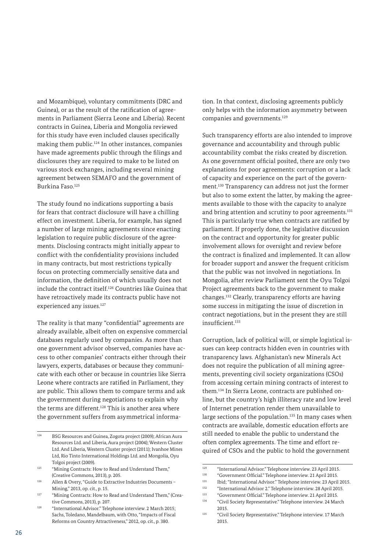and Mozambique), voluntary commitments (DRC and Guinea), or as the result of the ratification of agreements in Parliament (Sierra Leone and Liberia). Recent contracts in Guinea, Liberia and Mongolia reviewed for this study have even included clauses specifically making them public.124 In other instances, companies have made agreements public through the filings and disclosures they are required to make to be listed on various stock exchanges, including several mining agreement between SEMAFO and the government of Burkina Faso.125

The study found no indications supporting a basis for fears that contract disclosure will have a chilling effect on investment. Liberia, for example, has signed a number of large mining agreements since enacting legislation to require public disclosure of the agreements. Disclosing contracts might initially appear to conflict with the confidentiality provisions included in many contracts, but most restrictions typically focus on protecting commercially sensitive data and information, the definition of which usually does not include the contract itself.126 Countries like Guinea that have retroactively made its contracts public have not experienced any issues.<sup>127</sup>

The reality is that many "confidential" agreements are already available, albeit often on expensive commercial databases regularly used by companies. As more than one government advisor observed, companies have access to other companies' contracts either through their lawyers, experts, databases or because they communicate with each other or because in countries like Sierra Leone where contracts are ratified in Parliament, they are public. This allows them to compare terms and ask the government during negotiations to explain why the terms are different.<sup>128</sup> This is another area where the government suffers from asymmetrical information. In that context, disclosing agreements publicly only helps with the information asymmetry between companies and governments.129

Such transparency efforts are also intended to improve governance and accountability and through public accountability combat the risks created by discretion. As one government official posited, there are only two explanations for poor agreements: corruption or a lack of capacity and experience on the part of the government.130 Transparency can address not just the former but also to some extent the latter, by making the agreements available to those with the capacity to analyze and bring attention and scrutiny to poor agreements.<sup>131</sup> This is particularly true when contracts are ratified by parliament. If properly done, the legislative discussion on the contract and opportunity for greater public involvement allows for oversight and review before the contract is finalized and implemented. It can allow for broader support and answer the frequent criticism that the public was not involved in negotiations. In Mongolia, after review Parliament sent the Oyu Tolgoi Project agreements back to the government to make changes.132 Clearly, transparency efforts are having some success in mitigating the issue of discretion in contract negotiations, but in the present they are still insufficient<sup>133</sup>

Corruption, lack of political will, or simple logistical issues can keep contracts hidden even in countries with transparency laws. Afghanistan's new Minerals Act does not require the publication of all mining agreements, preventing civil society organizations (CSOs) from accessing certain mining contracts of interest to them.134 In Sierra Leone, contracts are published online, but the country's high illiteracy rate and low level of Internet penetration render them unavailable to large sections of the population.<sup>135</sup> In many cases when contracts are available, domestic education efforts are still needed to enable the public to understand the often complex agreements. The time and effort required of CSOs and the public to hold the government

<sup>124</sup> BSG Resources and Guinea, Zogota project (2009); African Aura Resources Ltd. and Liberia, Aura project (2004); Western Cluster Ltd. And Liberia, Western Cluster project (2011); Ivanhoe Mines Ltd, Rio Tinto International Holdings Ltd. and Mongolia, Oyu Tolgoi project (2009).

<sup>125 &</sup>quot;Mining Contracts: How to Read and Understand Them," (Creative Commons, 2013), p. 205.

<sup>126</sup> Allen & Overy, "Guide to Extractive Industries Documents – Mining," 2013, op. cit., p. 15.

<sup>127</sup> "Mining Contracts: How to Read and Understand Them," (Creative Commons, 2013), p. 207.

<sup>128</sup> "International Advisor." Telephone interview. 2 March 2015; Sachs, Toledano, Mandelbaum, with Otto, "Impacts of Fiscal Reforms on Country Attractiveness," 2012, op. cit., p. 380.

<sup>&</sup>lt;sup>129</sup> "International Advisor." Telephone interview. 23 April 2015.

<sup>130</sup> "Government Official." Telephone interview. 21 April 2015.

<sup>131</sup> Ibid; "International Advisor." Telephone interview. 23 April 2015.

<sup>132</sup> "International Advisor 2." Telephone interview. 28 April 2015.

<sup>133</sup> "Government Official." Telephone interview. 21 April 2015. <sup>134</sup> "Civil Society Representative." Telephone interview. 24 March

<sup>2015.</sup>

<sup>135</sup> "Civil Society Representative." Telephone interview. 17 March 2015.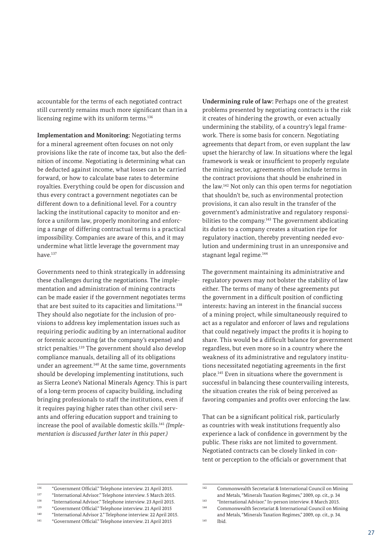accountable for the terms of each negotiated contract still currently remains much more significant than in a licensing regime with its uniform terms.<sup>136</sup>

**Implementation and Monitoring:** Negotiating terms for a mineral agreement often focuses on not only provisions like the rate of income tax, but also the definition of income. Negotiating is determining what can be deducted against income, what losses can be carried forward, or how to calculate base rates to determine royalties. Everything could be open for discussion and thus every contract a government negotiates can be different down to a definitional level. For a country lacking the institutional capacity to monitor and enforce a uniform law, properly monitoring and enforcing a range of differing contractual terms is a practical impossibility. Companies are aware of this, and it may undermine what little leverage the government may have.137

Governments need to think strategically in addressing these challenges during the negotiations. The implementation and administration of mining contracts can be made easier if the government negotiates terms that are best suited to its capacities and limitations.<sup>138</sup> They should also negotiate for the inclusion of provisions to address key implementation issues such as requiring periodic auditing by an international auditor or forensic accounting (at the company's expense) and strict penalties.139 The government should also develop compliance manuals, detailing all of its obligations under an agreement.140 At the same time, governments should be developing implementing institutions, such as Sierra Leone's National Minerals Agency. This is part of a long-term process of capacity building, including bringing professionals to staff the institutions, even if it requires paying higher rates than other civil servants and offering education support and training to increase the pool of available domestic skills.141 *(Implementation is discussed further later in this paper.)* 

**Undermining rule of law:** Perhaps one of the greatest problems presented by negotiating contracts is the risk it creates of hindering the growth, or even actually undermining the stability, of a country's legal framework. There is some basis for concern. Negotiating agreements that depart from, or even supplant the law upset the hierarchy of law. In situations where the legal framework is weak or insufficient to properly regulate the mining sector, agreements often include terms in the contract provisions that should be enshrined in the law.142 Not only can this open terms for negotiation that shouldn't be, such as environmental protection provisions, it can also result in the transfer of the government's administrative and regulatory responsibilities to the company.<sup>143</sup> The government abdicating its duties to a company creates a situation ripe for regulatory inaction, thereby preventing needed evolution and undermining trust in an unresponsive and stagnant legal regime.<sup>144</sup>

The government maintaining its administrative and regulatory powers may not bolster the stability of law either. The terms of many of these agreements put the government in a difficult position of conflicting interests: having an interest in the financial success of a mining project, while simultaneously required to act as a regulator and enforcer of laws and regulations that could negatively impact the profits it is hoping to share. This would be a difficult balance for government regardless, but even more so in a country where the weakness of its administrative and regulatory institutions necessitated negotiating agreements in the first place.145 Even in situations where the government is successful in balancing these countervailing interests, the situation creates the risk of being perceived as favoring companies and profits over enforcing the law.

That can be a significant political risk, particularly as countries with weak institutions frequently also experience a lack of confidence in government by the public. These risks are not limited to government. Negotiated contracts can be closely linked in content or perception to the officials or government that

<sup>136</sup> "Government Official." Telephone interview. 21 April 2015.

<sup>137</sup> "International Advisor." Telephone interview. 5 March 2015.

<sup>138</sup> "International Advisor." Telephone interview. 23 April 2015. <sup>139</sup> "Government Official." Telephone interview. 21 April 2015

<sup>140</sup> "International Advisor 2." Telephone interview. 22 April 2015. <sup>141</sup> "Government Official." Telephone interview. 21 April 2015

<sup>142</sup> Commonwealth Secretariat & International Council on Mining and Metals, "Minerals Taxation Regimes," 2009, op. cit., p. 34

<sup>143</sup> "International Advisor." In-person interview. 8 March 2015. Commonwealth Secretariat & International Council on Mining

and Metals, "Minerals Taxation Regimes," 2009, op. cit., p. 34.

<sup>145</sup> Ibid.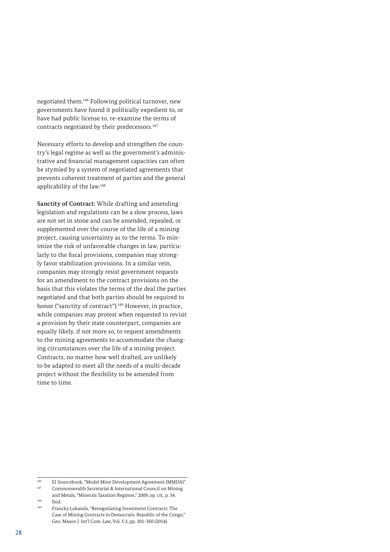negotiated them.146 Following political turnover, new governments have found it politically expedient to, or have had public license to, re-examine the terms of contracts negotiated by their predecessors.<sup>147</sup>

Necessary efforts to develop and strengthen the country's legal regime as well as the government's administrative and financial management capacities can often be stymied by a system of negotiated agreements that prevents coherent treatment of parties and the general applicability of the law.148

**Sanctity of Contract:** While drafting and amending legislation and regulations can be a slow process, laws are not set in stone and can be amended, repealed, or supplemented over the course of the life of a mining project, causing uncertainty as to the terms. To minimize the risk of unfavorable changes in law, particularly to the fiscal provisions, companies may strongly favor stabilization provisions. In a similar vein, companies may strongly resist government requests for an amendment to the contract provisions on the basis that this violates the terms of the deal the parties negotiated and that both parties should be required to honor ("sanctity of contract").<sup>149</sup> However, in practice, while companies may protest when requested to revisit a provision by their state counterpart, companies are equally likely, if not more so, to request amendments to the mining agreements to accommodate the changing circumstances over the life of a mining project. Contracts, no matter how well drafted, are unlikely to be adapted to meet all the needs of a multi-decade project without the flexibility to be amended from time to time.

<sup>&</sup>lt;sup>146</sup> EI Sourcebook, "Model Mine Development Agreement (MMDA)".<br>Commonwealth Socretarist & International Council on Mining.

Commonwealth Secretariat & International Council on Mining and Metals, "Minerals Taxation Regimes," 2009, op. cit., p. 34.

 $148$  Ibid.

Francky Lukanda, "Renegotiating Investment Contracts: The Case of Mining Contracts in Democratic Republic of the Congo," Geo. Mason J. Int'l Com. Law, Vol. 5:3, pp. 301-360 (2014).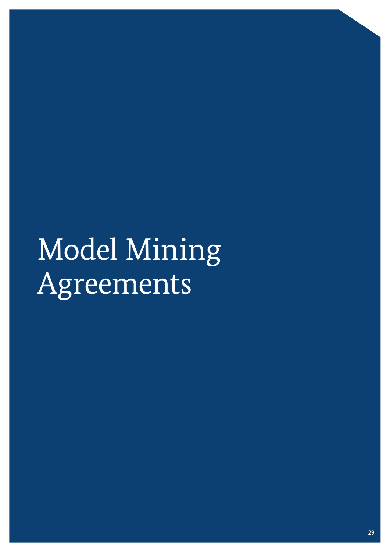# Model Mining Agreements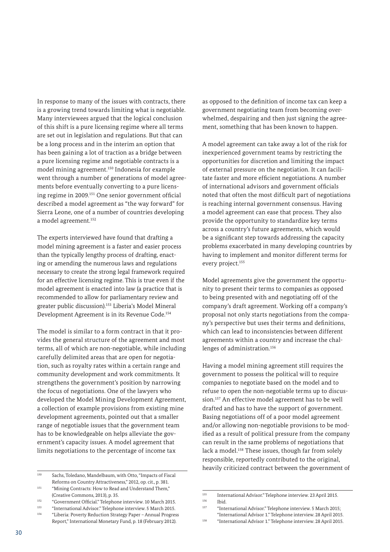In response to many of the issues with contracts, there is a growing trend towards limiting what is negotiable. Many interviewees argued that the logical conclusion of this shift is a pure licensing regime where all terms are set out in legislation and regulations. But that can be a long process and in the interim an option that has been gaining a lot of traction as a bridge between a pure licensing regime and negotiable contracts is a model mining agreement.150 Indonesia for example went through a number of generations of model agreements before eventually converting to a pure licensing regime in 2009.151 One senior government official described a model agreement as "the way forward" for Sierra Leone, one of a number of countries developing a model agreement.152

The experts interviewed have found that drafting a model mining agreement is a faster and easier process than the typically lengthy process of drafting, enacting or amending the numerous laws and regulations necessary to create the strong legal framework required for an effective licensing regime. This is true even if the model agreement is enacted into law (a practice that is recommended to allow for parliamentary review and greater public discussion).153 Liberia's Model Mineral Development Agreement is in its Revenue Code.154

The model is similar to a form contract in that it provides the general structure of the agreement and most terms, all of which are non-negotiable, while including carefully delimited areas that are open for negotiation, such as royalty rates within a certain range and community development and work commitments. It strengthens the government's position by narrowing the focus of negotiations. One of the lawyers who developed the Model Mining Development Agreement, a collection of example provisions from existing mine development agreements, pointed out that a smaller range of negotiable issues that the government team has to be knowledgeable on helps alleviate the government's capacity issues. A model agreement that limits negotiations to the percentage of income tax

<sup>150</sup> Sachs, Toledano, Mandelbaum, with Otto, "Impacts of Fiscal Reforms on Country Attractiveness," 2012, op. cit., p. 381.

<sup>151</sup> "Mining Contracts: How to Read and Understand Them," (Creative Commons, 2013), p. 35.

<sup>152</sup> "Government Official." Telephone interview. 10 March 2015.

<sup>153</sup> "International Advisor." Telephone interview. 5 March 2015. <sup>154</sup> "Liberia: Poverty Reduction Strategy Paper – Annual Progress

Report," International Monetary Fund, p. 18 (February 2012).

as opposed to the definition of income tax can keep a government negotiating team from becoming overwhelmed, despairing and then just signing the agreement, something that has been known to happen.

A model agreement can take away a lot of the risk for inexperienced government teams by restricting the opportunities for discretion and limiting the impact of external pressure on the negotiation. It can facilitate faster and more efficient negotiations. A number of international advisors and government officials noted that often the most difficult part of negotiations is reaching internal government consensus. Having a model agreement can ease that process. They also provide the opportunity to standardize key terms across a country's future agreements, which would be a significant step towards addressing the capacity problems exacerbated in many developing countries by having to implement and monitor different terms for every project.<sup>155</sup>

Model agreements give the government the opportunity to present their terms to companies as opposed to being presented with and negotiating off of the company's draft agreement. Working off a company's proposal not only starts negotiations from the company's perspective but uses their terms and definitions, which can lead to inconsistencies between different agreements within a country and increase the challenges of administration.156

Having a model mining agreement still requires the government to possess the political will to require companies to negotiate based on the model and to refuse to open the non-negotiable terms up to discussion.157 An effective model agreement has to be well drafted and has to have the support of government. Basing negotiations off of a poor model agreement and/or allowing non-negotiable provisions to be modified as a result of political pressure from the company can result in the same problems of negotiations that lack a model.<sup>158</sup> These issues, though far from solely responsible, reportedly contributed to the original, heavily criticized contract between the government of

<sup>&</sup>lt;sup>155</sup> International Advisor." Telephone interview. 23 April 2015.  $156$  Ibid.<br> $157$  "Inte

<sup>&</sup>quot;International Advisor." Telephone interview. 5 March 2015; "International Advisor 1." Telephone interview. 28 April 2015.

<sup>158</sup> "International Advisor 1." Telephone interview. 28 April 2015.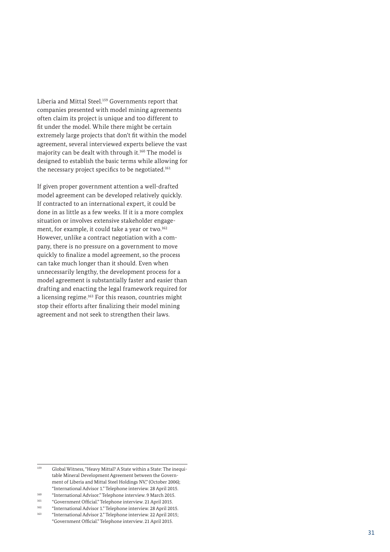Liberia and Mittal Steel.159 Governments report that companies presented with model mining agreements often claim its project is unique and too different to fit under the model. While there might be certain extremely large projects that don't fit within the model agreement, several interviewed experts believe the vast majority can be dealt with through it.160 The model is designed to establish the basic terms while allowing for the necessary project specifics to be negotiated.<sup>161</sup>

If given proper government attention a well-drafted model agreement can be developed relatively quickly. If contracted to an international expert, it could be done in as little as a few weeks. If it is a more complex situation or involves extensive stakeholder engagement, for example, it could take a year or two.<sup>162</sup> However, unlike a contract negotiation with a company, there is no pressure on a government to move quickly to finalize a model agreement, so the process can take much longer than it should. Even when unnecessarily lengthy, the development process for a model agreement is substantially faster and easier than drafting and enacting the legal framework required for a licensing regime.163 For this reason, countries might stop their efforts after finalizing their model mining agreement and not seek to strengthen their laws.

<sup>159</sup> Global Witness, "Heavy Mittal? A State within a State: The inequitable Mineral Development Agreement between the Government of Liberia and Mittal Steel Holdings NV," (October 2006); "International Advisor 1." Telephone interview. 28 April 2015.

<sup>160</sup> "International Advisor." Telephone interview. 9 March 2015.

<sup>161</sup> "Government Official." Telephone interview. 21 April 2015.

<sup>162</sup> "International Advisor 1." Telephone interview. 28 April 2015.

<sup>&</sup>quot;International Advisor 2." Telephone interview. 22 April 2015;

<sup>&</sup>quot;Government Official." Telephone interview. 21 April 2015.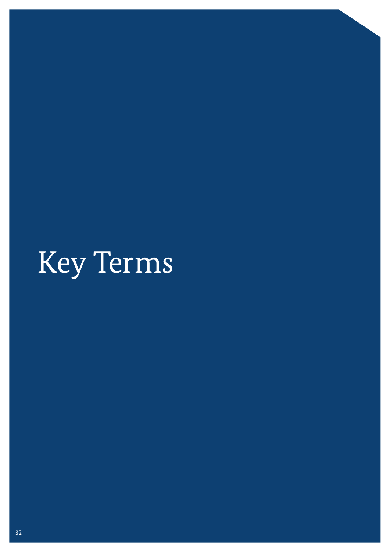# Key Terms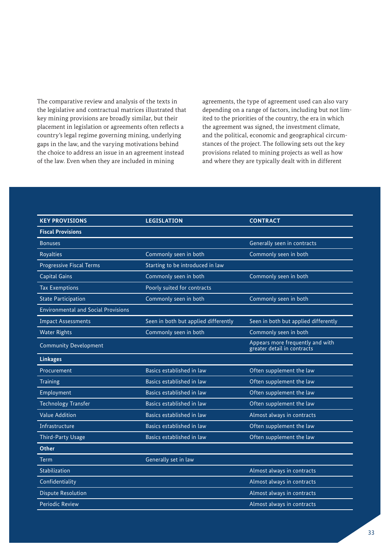The comparative review and analysis of the texts in the legislative and contractual matrices illustrated that key mining provisions are broadly similar, but their placement in legislation or agreements often reflects a country's legal regime governing mining, underlying gaps in the law, and the varying motivations behind the choice to address an issue in an agreement instead of the law. Even when they are included in mining

agreements, the type of agreement used can also vary depending on a range of factors, including but not limited to the priorities of the country, the era in which the agreement was signed, the investment climate, and the political, economic and geographical circumstances of the project. The following sets out the key provisions related to mining projects as well as how and where they are typically dealt with in different

| <b>KEY PROVISIONS</b>                      | <b>LEGISLATION</b>                   | <b>CONTRACT</b>                                                 |
|--------------------------------------------|--------------------------------------|-----------------------------------------------------------------|
| <b>Fiscal Provisions</b>                   |                                      |                                                                 |
| <b>Bonuses</b>                             |                                      | Generally seen in contracts                                     |
| <b>Royalties</b>                           | Commonly seen in both                | Commonly seen in both                                           |
| <b>Progressive Fiscal Terms</b>            | Starting to be introduced in law     |                                                                 |
| <b>Capital Gains</b>                       | Commonly seen in both                | Commonly seen in both                                           |
| <b>Tax Exemptions</b>                      | Poorly suited for contracts          |                                                                 |
| <b>State Participation</b>                 | Commonly seen in both                | Commonly seen in both                                           |
| <b>Environmental and Social Provisions</b> |                                      |                                                                 |
| <b>Impact Assessments</b>                  | Seen in both but applied differently | Seen in both but applied differently                            |
| <b>Water Rights</b>                        | Commonly seen in both                | Commonly seen in both                                           |
| <b>Community Development</b>               |                                      | Appears more frequently and with<br>greater detail in contracts |
| <b>Linkages</b>                            |                                      |                                                                 |
| Procurement                                | Basics established in law            | Often supplement the law                                        |
| Training                                   | Basics established in law            | Often supplement the law                                        |
| Employment                                 | Basics established in law            | Often supplement the law                                        |
| <b>Technology Transfer</b>                 | Basics established in law            | Often supplement the law                                        |
| <b>Value Addition</b>                      | Basics established in law            | Almost always in contracts                                      |
| Infrastructure                             | Basics established in law            | Often supplement the law                                        |
| <b>Third-Party Usage</b>                   | Basics established in law            | Often supplement the law                                        |
| <b>Other</b>                               |                                      |                                                                 |
| Term                                       | Generally set in law                 |                                                                 |
| <b>Stabilization</b>                       |                                      | Almost always in contracts                                      |
| Confidentiality                            |                                      | Almost always in contracts                                      |
| <b>Dispute Resolution</b>                  |                                      | Almost always in contracts                                      |
| <b>Periodic Review</b>                     |                                      | Almost always in contracts                                      |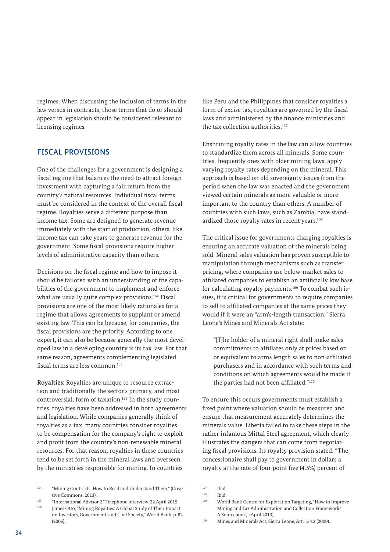regimes. When discussing the inclusion of terms in the law versus in contracts, those terms that do or should appear in legislation should be considered relevant to licensing regimes.

# FISCAL PROVISIONS

One of the challenges for a government is designing a fiscal regime that balances the need to attract foreign investment with capturing a fair return from the country's natural resources. Individual fiscal terms must be considered in the context of the overall fiscal regime. Royalties serve a different purpose than income tax. Some are designed to generate revenue immediately with the start of production, others, like income tax can take years to generate revenue for the government. Some fiscal provisions require higher levels of administrative capacity than others.

Decisions on the fiscal regime and how to impose it should be tailored with an understanding of the capabilities of the government to implement and enforce what are usually quite complex provisions.<sup>164</sup> Fiscal provisions are one of the most likely rationales for a regime that allows agreements to supplant or amend existing law. This can be because, for companies, the fiscal provisions are the priority. According to one expert, it can also be because generally the most developed law in a developing country is its tax law. For that same reason, agreements complementing legislated fiscal terms are less common.<sup>165</sup>

**Royalties:** Royalties are unique to resource extraction and traditionally the sector's primary, and most controversial, form of taxation.166 In the study countries, royalties have been addressed in both agreements and legislation. While companies generally think of royalties as a tax, many countries consider royalties to be compensation for the company's right to exploit and profit from the country's non-renewable mineral resources. For that reason, royalties in these countries tend to be set forth in the mineral laws and overseen by the ministries responsible for mining. In countries

like Peru and the Philippines that consider royalties a form of excise tax, royalties are governed by the fiscal laws and administered by the finance ministries and the tax collection authorities.<sup>167</sup>

Enshrining royalty rates in the law can allow countries to standardize them across all minerals. Some countries, frequently ones with older mining laws, apply varying royalty rates depending on the mineral. This approach is based on old sovereignty issues from the period when the law was enacted and the government viewed certain minerals as more valuable or more important to the country than others. A number of countries with such laws, such as Zambia, have standardized those royalty rates in recent years.<sup>168</sup>

The critical issue for governments charging royalties is ensuring an accurate valuation of the minerals being sold. Mineral sales valuation has proven susceptible to manipulation through mechanisms such as transfer pricing, where companies use below-market sales to affiliated companies to establish an artificially low base for calculating royalty payments.169 To combat such issues, it is critical for governments to require companies to sell to affiliated companies at the same prices they would if it were an "arm's-length transaction." Sierra Leone's Mines and Minerals Act state:

"[T]he holder of a mineral right shall make sales commitments to affiliates only at prices based on or equivalent to arms length sales to non-affiliated purchasers and in accordance with such terms and conditions on which agreements would be made if the parties had not been affiliated."170

To ensure this occurs governments must establish a fixed point where valuation should be measured and ensure that measurement accurately determines the minerals value. Liberia failed to take these steps in the rather infamous Mittal Steel agreement, which clearly illustrates the dangers that can come from negotiating fiscal provisions. Its royalty provision stated: "The concessionaire shall pay to government in dollars a royalty at the rate of four point five (4.5%) percent of

<sup>164</sup> "Mining Contracts: How to Read and Understand Them," (Creative Commons, 2013).

<sup>165</sup> "International Advisor 2." Telephone interview. 22 April 2015. James Otto, "Mining Royalties: A Global Study of Their Impact on Investors, Government, and Civil Society," World Bank, p. 82 (2006).

<sup>167</sup> Ibid.

 $168$  Ibid.

<sup>169</sup> World Bank Centre for Exploration Targeting, "How to Improve Mining and Tax Administration and Collection Frameworks: A Sourcebook," (April 2013).

<sup>170</sup> Mines and Minerals Act, Sierra Leone, Art. 154.2 (2009).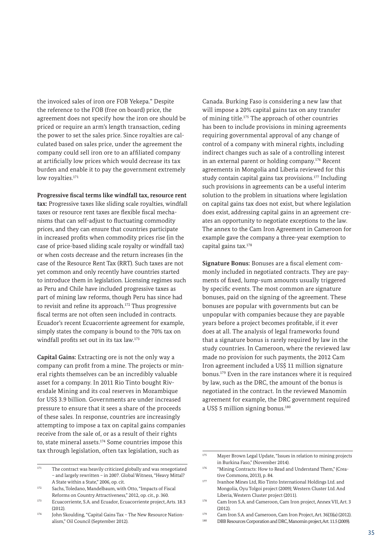the invoiced sales of iron ore FOB Yekepa." Despite the reference to the FOB (free on board) price, the agreement does not specify how the iron ore should be priced or require an arm's length transaction, ceding the power to set the sales price. Since royalties are calculated based on sales price, under the agreement the company could sell iron ore to an affiliated company at artificially low prices which would decrease its tax burden and enable it to pay the government extremely low royalties.<sup>171</sup>

#### **Progressive fiscal terms like windfall tax, resource rent**

**tax:** Progressive taxes like sliding scale royalties, windfall taxes or resource rent taxes are flexible fiscal mechanisms that can self-adjust to fluctuating commodity prices, and they can ensure that countries participate in increased profits when commodity prices rise (in the case of price-based sliding scale royalty or windfall tax) or when costs decrease and the return increases (in the case of the Resource Rent Tax (RRT). Such taxes are not yet common and only recently have countries started to introduce them in legislation. Licensing regimes such as Peru and Chile have included progressive taxes as part of mining law reforms, though Peru has since had to revisit and refine its approach.<sup>172</sup> Thus progressive fiscal terms are not often seen included in contracts. Ecuador's recent Ecuacorriente agreement for example, simply states the company is bound to the 70% tax on windfall profits set out in its tax law.173

**Capital Gains:** Extracting ore is not the only way a company can profit from a mine. The projects or mineral rights themselves can be an incredibly valuable asset for a company. In 2011 Rio Tinto bought Riversdale Mining and its coal reserves in Mozambique for US\$ 3.9 billion. Governments are under increased pressure to ensure that it sees a share of the proceeds of these sales. In response, countries are increasingly attempting to impose a tax on capital gains companies receive from the sale of, or as a result of their rights to, state mineral assets.174 Some countries impose this tax through legislation, often tax legislation, such as

Canada. Burking Faso is considering a new law that will impose a 20% capital gains tax on any transfer of mining title.175 The approach of other countries has been to include provisions in mining agreements requiring governmental approval of any change of control of a company with mineral rights, including indirect changes such as sale of a controlling interest in an external parent or holding company.176 Recent agreements in Mongolia and Liberia reviewed for this study contain capital gains tax provisions.177 Including such provisions in agreements can be a useful interim solution to the problem in situations where legislation on capital gains tax does not exist, but where legislation does exist, addressing capital gains in an agreement creates an opportunity to negotiate exceptions to the law. The annex to the Cam Iron Agreement in Cameroon for example gave the company a three-year exemption to capital gains tax.178

**Signature Bonus:** Bonuses are a fiscal element commonly included in negotiated contracts. They are payments of fixed, lump-sum amounts usually triggered by specific events. The most common are signature bonuses, paid on the signing of the agreement. These bonuses are popular with governments but can be unpopular with companies because they are payable years before a project becomes profitable, if it ever does at all. The analysis of legal frameworks found that a signature bonus is rarely required by law in the study countries. In Cameroon, where the reviewed law made no provision for such payments, the 2012 Cam Iron agreement included a US\$ 11 million signature bonus.179 Even in the rare instances where it is required by law, such as the DRC, the amount of the bonus is negotiated in the contract. In the reviewed Manomin agreement for example, the DRC government required a US\$ 5 million signing bonus.<sup>180</sup>

<sup>&</sup>lt;sup>171</sup> The contract was heavily criticized globally and was renegotiated – and largely rewritten – in 2007. Global Witness, "Heavy Mittal? A State within a State," 2006, op. cit.

<sup>172</sup> Sachs, Toledano, Mandelbaum, with Otto, "Impacts of Fiscal Reforms on Country Attractiveness," 2012, op. cit., p. 360.

<sup>173</sup> Ecuacorriente, S.A. and Ecuador, Ecuacorriente project, Arts. 18.3  $(2.012)$ 

<sup>174</sup> John Skoulding, "Capital Gains Tax - The New Resource Nationalism," Oil Council (September 2012).

<sup>175</sup> Mayer Brown Legal Update, "Issues in relation to mining projects in Burkina Faso" (November 2014).

<sup>176 &</sup>quot;Mining Contracts: How to Read and Understand Them," (Creative Commons, 2013), p. 84.

<sup>177</sup> Ivanhoe Mines Ltd, Rio Tinto International Holdings Ltd. and Mongolia, Oyu Tolgoi project (2009); Western Cluster Ltd. And Liberia, Western Cluster project (2011).

<sup>178</sup> Cam Iron S.A. and Cameroon, Cam Iron project, Annex VII, Art. 3  $(2.012)$ 

<sup>&</sup>lt;sup>179</sup> Cam Iron S.A. and Cameroon, Cam Iron Project, Art. 36(3)(a) (2012).<br> **DRIP PREQUESS CONOGRAPY OF ALL STRAINER CONOGRAPY** 

<sup>180</sup> DBB Resources Corporation and DRC, Manomin project, Art. 11.5 (2009).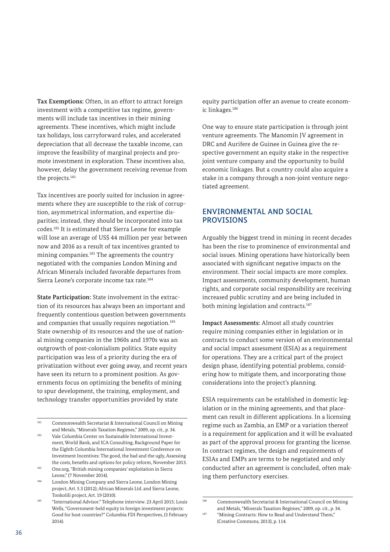**Tax Exemptions:** Often, in an effort to attract foreign investment with a competitive tax regime, governments will include tax incentives in their mining agreements. These incentives, which might include tax holidays, loss carryforward rules, and accelerated depreciation that all decrease the taxable income, can improve the feasibility of marginal projects and promote investment in exploration. These incentives also, however, delay the government receiving revenue from the projects.181

Tax incentives are poorly suited for inclusion in agreements where they are susceptible to the risk of corruption, asymmetrical information, and expertise disparities; instead, they should be incorporated into tax codes.182 It is estimated that Sierra Leone for example will lose an average of US\$ 44 million per year between now and 2016 as a result of tax incentives granted to mining companies.183 The agreements the country negotiated with the companies London Mining and African Minerals included favorable departures from Sierra Leone's corporate income tax rate.184

**State Participation:** State involvement in the extraction of its resources has always been an important and frequently contentious question between governments and companies that usually requires negotiation.<sup>185</sup> State ownership of its resources and the use of national mining companies in the 1960s and 1970s was an outgrowth of post-colonialism politics. State equity participation was less of a priority during the era of privatization without ever going away, and recent years have seen its return to a prominent position. As governments focus on optimizing the benefits of mining to spur development, the training, employment, and technology transfer opportunities provided by state

Leone," (7 November 2014).

<sup>184</sup> London Mining Company and Sierra Leone, London Mining project, Art. 5.3 (2012); African Minerals Ltd. and Sierra Leone, Tonkolili project, Art. 19 (2010).

equity participation offer an avenue to create economic linkages.186

One way to ensure state participation is through joint venture agreements. The Manomin JV agreement in DRC and Aurifere de Guinee in Guinea give the respective government an equity stake in the respective joint venture company and the opportunity to build economic linkages. But a country could also acquire a stake in a company through a non-joint venture negotiated agreement.

# ENVIRONMENTAL AND SOCIAL **PROVISIONS**

Arguably the biggest trend in mining in recent decades has been the rise to prominence of environmental and social issues. Mining operations have historically been associated with significant negative impacts on the environment. Their social impacts are more complex. Impact assessments, community development, human rights, and corporate social responsibility are receiving increased public scrutiny and are being included in both mining legislation and contracts.<sup>187</sup>

**Impact Assessments:** Almost all study countries require mining companies either in legislation or in contracts to conduct some version of an environmental and social impact assessment (ESIA) as a requirement for operations. They are a critical part of the project design phase, identifying potential problems, considering how to mitigate them, and incorporating those considerations into the project's planning.

ESIA requirements can be established in domestic legislation or in the mining agreements, and that placement can result in different applications. In a licensing regime such as Zambia, an EMP or a variation thereof is a requirement for application and it will be evaluated as part of the approval process for granting the license. In contract regimes, the design and requirements of ESIAs and EMPs are terms to be negotiated and only conducted after an agreement is concluded, often making them perfunctory exercises.

<sup>181</sup> Commonwealth Secretariat & International Council on Mining and Metals, "Minerals Taxation Regimes," 2009, op. cit., p. 34. <sup>182</sup> Vale Columbia Center on Sustainable International Invest-

ment, World Bank, and ICA Consulting, Background Paper for the Eighth Columbia International Investment Conference on Investment Incentives: The good, the bad and the ugly, Assessing the costs, benefits and options for policy reform, November 2013. <sup>183</sup> One.org, "British mining companies' exploitation in Sierra

<sup>185</sup> "International Advisor." Telephone interview. 23 April 2015; Louis Wells, "Government-held equity in foreign investment projects: Good for host countries?" Columbia FDI Perspectives, (3 February 2014).

<sup>186</sup> Commonwealth Secretariat & International Council on Mining and Metals, "Minerals Taxation Regimes," 2009, op. cit., p. 34.

<sup>187</sup> "Mining Contracts: How to Read and Understand Them," (Creative Commons, 2013), p. 114.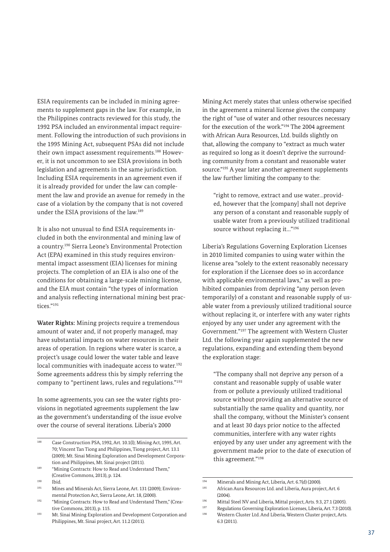ESIA requirements can be included in mining agreements to supplement gaps in the law. For example, in the Philippines contracts reviewed for this study, the 1992 PSA included an environmental impact requirement. Following the introduction of such provisions in the 1995 Mining Act, subsequent PSAs did not include their own impact assessment requirements.<sup>188</sup> However, it is not uncommon to see ESIA provisions in both legislation and agreements in the same jurisdiction. Including ESIA requirements in an agreement even if it is already provided for under the law can complement the law and provide an avenue for remedy in the case of a violation by the company that is not covered under the ESIA provisions of the law.189

It is also not unusual to find ESIA requirements included in both the environmental and mining law of a country.190 Sierra Leone's Environmental Protection Act (EPA) examined in this study requires environmental impact assessment (EIA) licenses for mining projects. The completion of an EIA is also one of the conditions for obtaining a large-scale mining license, and the EIA must contain "the types of information and analysis reflecting international mining best practices."191

**Water Rights:** Mining projects require a tremendous amount of water and, if not properly managed, may have substantial impacts on water resources in their areas of operation. In regions where water is scarce, a project's usage could lower the water table and leave local communities with inadequate access to water.<sup>192</sup> Some agreements address this by simply referring the company to "pertinent laws, rules and regulations."193

In some agreements, you can see the water rights provisions in negotiated agreements supplement the law as the government's understanding of the issue evolve over the course of several iterations. Liberia's 2000

 $190$  Ibid.<br> $191$  Min

Mining Act merely states that unless otherwise specified in the agreement a mineral license gives the company the right of "use of water and other resources necessary for the execution of the work."194 The 2004 agreement with African Aura Resources, Ltd. builds slightly on that, allowing the company to "extract as much water as required so long as it doesn't deprive the surrounding community from a constant and reasonable water source."195 A year later another agreement supplements the law further limiting the company to the:

"right to remove, extract and use water…provided, however that the [company] shall not deprive any person of a constant and reasonable supply of usable water from a previously utilized traditional source without replacing it..."<sup>196</sup>

Liberia's Regulations Governing Exploration Licenses in 2010 limited companies to using water within the license area "solely to the extent reasonably necessary for exploration if the Licensee does so in accordance with applicable environmental laws," as well as prohibited companies from depriving "any person (even temporarily) of a constant and reasonable supply of usable water from a previously utilized traditional source without replacing it, or interfere with any water rights enjoyed by any user under any agreement with the Government."197 The agreement with Western Cluster Ltd. the following year again supplemented the new regulations, expanding and extending them beyond the exploration stage:

"The company shall not deprive any person of a constant and reasonable supply of usable water from or pollute a previously utilized traditional source without providing an alternative source of substantially the same quality and quantity, nor shall the company, without the Minister's consent and at least 30 days prior notice to the affected communities, interfere with any water rights enjoyed by any user under any agreement with the government made prior to the date of execution of this agreement."198

<sup>&</sup>lt;sup>188</sup> Case Construction PSA, 1992, Art. 10.1(l); Mining Act, 1995, Art. 70; Vincent Tan Tiong and Philippines, Tiong project, Art. 13.1 (2009); Mt. Sinai Mining Exploration and Development Corporation and Philippines, Mt. Sinai project (2011).

<sup>189 &</sup>quot;Mining Contracts: How to Read and Understand Them," (Creative Commons, 2013), p. 124.

Mines and Minerals Act, Sierra Leone, Art. 131 (2009); Environmental Protection Act, Sierra Leone, Art. 18, (2000).

<sup>192</sup> "Mining Contracts: How to Read and Understand Them," (Creative Commons, 2013), p. 115.

<sup>193</sup> Mt. Sinai Mining Exploration and Development Corporation and Philippines, Mt. Sinai project, Art. 11.2 (2011).

<sup>194</sup> Minerals and Mining Act, Liberia, Art. 6.7(d) (2000).<br>
African Aura Besources Itd. and Liberia, Aura proj.

African Aura Resources Ltd. and Liberia, Aura project, Art. 6  $(2004)$ 

<sup>196</sup> Mittal Steel NV and Liberia, Mittal project, Arts. 9.3, 27.1 (2005).<br>
Regulations Coverning European Liberia, Art 7.2 (2014).

Regulations Governing Exploration Licenses, Liberia, Art. 7.3 (2010).

<sup>198</sup> Western Cluster Ltd. And Liberia, Western Cluster project, Arts. 6.3 (2011).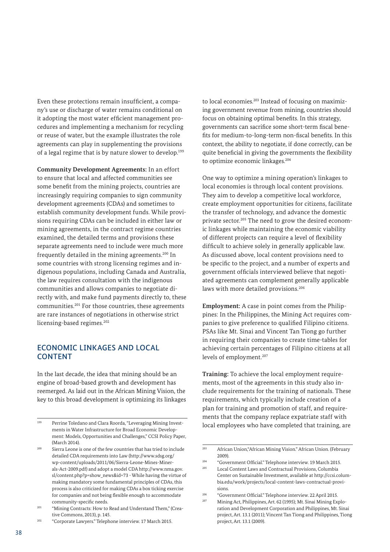Even these protections remain insufficient, a company's use or discharge of water remains conditional on it adopting the most water efficient management procedures and implementing a mechanism for recycling or reuse of water, but the example illustrates the role agreements can play in supplementing the provisions of a legal regime that is by nature slower to develop.<sup>199</sup>

**Community Development Agreements:** In an effort to ensure that local and affected communities see some benefit from the mining projects, countries are increasingly requiring companies to sign community development agreements (CDAs) and sometimes to establish community development funds. While provisions requiring CDAs can be included in either law or mining agreements, in the contract regime countries examined, the detailed terms and provisions these separate agreements need to include were much more frequently detailed in the mining agreements.200 In some countries with strong licensing regimes and indigenous populations, including Canada and Australia, the law requires consultation with the indigenous communities and allows companies to negotiate directly with, and make fund payments directly to, these communities.201 For those countries, these agreements are rare instances of negotiations in otherwise strict licensing-based regimes.<sup>202</sup>

# ECONOMIC LINKAGES AND LOCAL CONTENT

In the last decade, the idea that mining should be an engine of broad-based growth and development has reemerged. As laid out in the African Mining Vision, the key to this broad development is optimizing its linkages

<sup>202</sup> "Corporate Lawyers." Telephone interview. 17 March 2015.

to local economies.<sup>203</sup> Instead of focusing on maximizing government revenue from mining, countries should focus on obtaining optimal benefits. In this strategy, governments can sacrifice some short-term fiscal benefits for medium-to-long-term non-fiscal benefits. In this context, the ability to negotiate, if done correctly, can be quite beneficial in giving the governments the flexibility to optimize economic linkages.<sup>204</sup>

One way to optimize a mining operation's linkages to local economies is through local content provisions. They aim to develop a competitive local workforce, create employment opportunities for citizens, facilitate the transfer of technology, and advance the domestic private sector.205 The need to grow the desired economic linkages while maintaining the economic viability of different projects can require a level of flexibility difficult to achieve solely in generally applicable law. As discussed above, local content provisions need to be specific to the project, and a number of experts and government officials interviewed believe that negotiated agreements can complement generally applicable laws with more detailed provisions.<sup>206</sup>

**Employment:** A case in point comes from the Philippines: In the Philippines, the Mining Act requires companies to give preference to qualified Filipino citizens. PSAs like Mt. Sinai and Vincent Tan Tiong go further in requiring their companies to create time-tables for achieving certain percentages of Filipino citizens at all levels of employment.<sup>207</sup>

**Training:** To achieve the local employment requirements, most of the agreements in this study also include requirements for the training of nationals. These requirements, which typically include creation of a plan for training and promotion of staff, and requirements that the company replace expatriate staff with local employees who have completed that training, are

<sup>199</sup> Perrine Toledano and Clara Roorda, "Leveraging Mining Investments in Water Infrastructure for Broad Economic Development: Models, Opportunities and Challenges," CCSI Policy Paper, (March 2014).

<sup>&</sup>lt;sup>200</sup> Sierra Leone is one of the few countries that has tried to include detailed CDA requirements into Law ([http://www.sdsg.org/](http://www.sdsg.org/wp-content/uploads/2011/06/Sierra-Leone-Mines-Minerals-Act-2009.pdf) [wp-content/uploads/2011/06/Sierra-Leone-Mines-Miner](http://www.sdsg.org/wp-content/uploads/2011/06/Sierra-Leone-Mines-Minerals-Act-2009.pdf)[als-Act-2009.pdf\)](http://www.sdsg.org/wp-content/uploads/2011/06/Sierra-Leone-Mines-Minerals-Act-2009.pdf) and adopt a model CDA [http://www.nma.gov.](http://www.nma.gov.sl/content.php?p=show_news&id=73) [sl/content.php?p=show\\_news&id=73](http://www.nma.gov.sl/content.php?p=show_news&id=73) - While having the virtue of making mandatory some fundamental principles of CDAs, this process is also criticized for making CDAs a box ticking exercise for companies and not being flexible enough to accommodate community-specific needs.

<sup>&</sup>lt;sup>201</sup> "Mining Contracts: How to Read and Understand Them," (Creative Commons, 2013), p. 145.

<sup>203</sup> African Union,"African Mining Vision." African Union. (February 2009).

<sup>204</sup> "Government Official." Telephone interview. 19 March 2015.

<sup>205</sup> Local Content Laws and Contractual Provisions, Columbia Center on Sustainable Investment, available at [http://ccsi.colum](http://ccsi.columbia.edu/work/projects/local-content-laws-contractual-provisions)[bia.edu/work/projects/local-content-laws-contractual-provi](http://ccsi.columbia.edu/work/projects/local-content-laws-contractual-provisions)[sions.](http://ccsi.columbia.edu/work/projects/local-content-laws-contractual-provisions)

<sup>206</sup> "Government Official." Telephone interview. 22 April 2015.

Mining Act, Philippines, Art. 62 (1995); Mt. Sinai Mining Exploration and Development Corporation and Philippines, Mt. Sinai project, Art. 13.1 (2011); Vincent Tan Tiong and Philippines, Tiong project, Art. 13.1 (2009).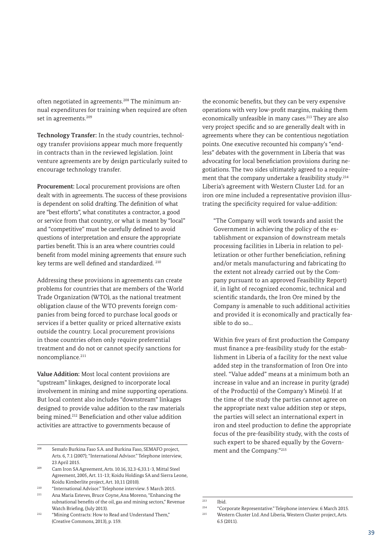often negotiated in agreements.208 The minimum annual expenditures for training when required are often set in agreements.<sup>209</sup>

**Technology Transfer:** In the study countries, technology transfer provisions appear much more frequently in contracts than in the reviewed legislation. Joint venture agreements are by design particularly suited to encourage technology transfer.

**Procurement:** Local procurement provisions are often dealt with in agreements. The success of these provisions is dependent on solid drafting. The definition of what are "best efforts", what constitutes a contractor, a good or service from that country, or what is meant by "local" and "competitive" must be carefully defined to avoid questions of interpretation and ensure the appropriate parties benefit. This is an area where countries could benefit from model mining agreements that ensure such key terms are well defined and standardized. 210

Addressing these provisions in agreements can create problems for countries that are members of the World Trade Organization (WTO), as the national treatment obligation clause of the WTO prevents foreign companies from being forced to purchase local goods or services if a better quality or priced alternative exists outside the country. Local procurement provisions in those countries often only require preferential treatment and do not or cannot specify sanctions for noncompliance.211

**Value Addition:** Most local content provisions are "upstream" linkages, designed to incorporate local involvement in mining and mine supporting operations. But local content also includes "downstream" linkages designed to provide value addition to the raw materials being mined.<sup>212</sup> Beneficiation and other value addition activities are attractive to governments because of

<sup>211</sup> Ana Maria Esteves, Bruce Coyne, Ana Moreno, "Enhancing the subnational benefits of the oil, gas and mining sectors," Revenue Watch Briefing, (July 2013).

the economic benefits, but they can be very expensive operations with very low-profit margins, making them economically unfeasible in many cases.<sup>213</sup> They are also very project specific and so are generally dealt with in agreements where they can be contentious negotiation points. One executive recounted his company's "endless" debates with the government in Liberia that was advocating for local beneficiation provisions during negotiations. The two sides ultimately agreed to a requirement that the company undertake a feasibility study.<sup>214</sup> Liberia's agreement with Western Cluster Ltd. for an iron ore mine included a representative provision illustrating the specificity required for value-addition:

"The Company will work towards and assist the Government in achieving the policy of the establishment or expansion of downstream metals processing facilities in Liberia in relation to pelletization or other further beneficiation, refining and/or metals manufacturing and fabricating (to the extent not already carried out by the Company pursuant to an approved Feasibility Report) if, in light of recognized economic, technical and scientific standards, the Iron Ore mined by the Company is amenable to such additional activities and provided it is economically and practically feasible to do so…

Within five years of first production the Company must finance a pre-feasibility study for the establishment in Liberia of a facility for the next value added step in the transformation of Iron Ore into steel. "Value added" means at a minimum both an increase in value and an increase in purity (grade) of the Product(s) of the Company's Mine(s). If at the time of the study the parties cannot agree on the appropriate next value addition step or steps, the parties will select an international expert in iron and steel production to define the appropriate focus of the pre-feasibility study, with the costs of such expert to be shared equally by the Government and the Company."215

<sup>208</sup> Semafo Burkina Faso S.A. and Burkina Faso, SEMAFO project, Arts. 6, 7.1 (2007); "International Advisor." Telephone interview, 23 April 2015.

<sup>209</sup> Cam Iron SA Agreement, Arts. 10.16, 32.3-6,33.1-3, Mittal Steel Agreement, 2005, Art. 11-13; Koidu Holdings SA and Sierra Leone, Koidu Kimberlite project, Art. 10,11 (2010).

<sup>210</sup> "International Advisor." Telephone interview. 5 March 2015.

<sup>&</sup>lt;sup>212</sup> "Mining Contracts: How to Read and Understand Them," (Creative Commons, 2013), p. 159.

<sup>&</sup>lt;sup>213</sup> Ibid.<br><sup>214</sup> "Can

<sup>214</sup> "Corporate Representative." Telephone interview. 6 March 2015.

<sup>215</sup> Western Cluster Ltd. And Liberia, Western Cluster project, Arts. 6.5 (2011).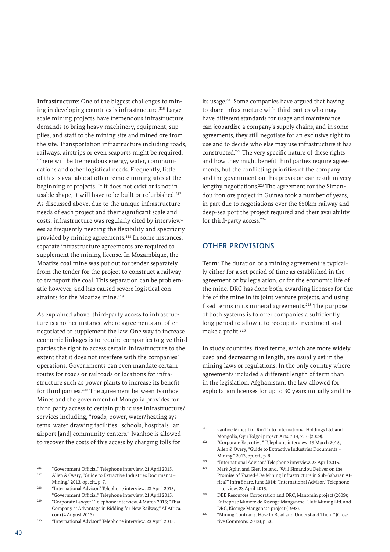**Infrastructure:** One of the biggest challenges to mining in developing countries is infrastructure.<sup>216</sup> Largescale mining projects have tremendous infrastructure demands to bring heavy machinery, equipment, supplies, and staff to the mining site and mined ore from the site. Transportation infrastructure including roads, railways, airstrips or even seaports might be required. There will be tremendous energy, water, communications and other logistical needs. Frequently, little of this is available at often remote mining sites at the beginning of projects. If it does not exist or is not in usable shape, it will have to be built or refurbished.<sup>217</sup> As discussed above, due to the unique infrastructure needs of each project and their significant scale and costs, infrastructure was regularly cited by interviewees as frequently needing the flexibility and specificity provided by mining agreements.218 In some instances, separate infrastructure agreements are required to supplement the mining license. In Mozambique, the Moatize coal mine was put out for tender separately from the tender for the project to construct a railway to transport the coal. This separation can be problematic however, and has caused severe logistical constraints for the Moatize mine.<sup>219</sup>

As explained above, third-party access to infrastructure is another instance where agreements are often negotiated to supplement the law. One way to increase economic linkages is to require companies to give third parties the right to access certain infrastructure to the extent that it does not interfere with the companies' operations. Governments can even mandate certain routes for roads or railroads or locations for infrastructure such as power plants to increase its benefit for third parties.<sup>220</sup> The agreement between Ivanhoe Mines and the government of Mongolia provides for third party access to certain public use infrastructure/ services including, "roads, power, water/heating systems, water drawing facilities…schools, hospitals…an airport [and] community centers." Ivanhoe is allowed to recover the costs of this access by charging tolls for

<sup>220</sup> "International Advisor." Telephone interview. 23 April 2015.

its usage.221 Some companies have argued that having to share infrastructure with third parties who may have different standards for usage and maintenance can jeopardize a company's supply chains, and in some agreements, they still negotiate for an exclusive right to use and to decide who else may use infrastructure it has constructed.222 The very specific nature of these rights and how they might benefit third parties require agreements, but the conflicting priorities of the company and the government on this provision can result in very lengthy negotiations.223 The agreement for the Simandou iron ore project in Guinea took a number of years, in part due to negotiations over the 650km railway and deep-sea port the project required and their availability for third-party access.<sup>224</sup>

### OTHER PROVISIONS

**Term:** The duration of a mining agreement is typically either for a set period of time as established in the agreement or by legislation, or for the economic life of the mine. DRC has done both, awarding licenses for the life of the mine in its joint venture projects, and using fixed terms in its mineral agreements.<sup>225</sup> The purpose of both systems is to offer companies a sufficiently long period to allow it to recoup its investment and make a profit.<sup>226</sup>

In study countries, fixed terms, which are more widely used and decreasing in length, are usually set in the mining laws or regulations. In the only country where agreements included a different length of term than in the legislation, Afghanistan, the law allowed for exploitation licenses for up to 30 years initially and the

<sup>216</sup> "Government Official." Telephone interview. 21 April 2015.

<sup>217</sup> Allen & Overy, "Guide to Extractive Industries Documents – Mining," 2013, op. cit., p. 7.

<sup>218</sup> "International Advisor." Telephone interview. 23 April 2015; "Government Official." Telephone interview. 21 April 2015.

<sup>219</sup> "Corporate Lawyer." Telephone interview. 4 March 2015; "Thai Company at Advantage in Bidding for New Railway," AllAfrica. com (4 August 2013).

<sup>221</sup> vanhoe Mines Ltd, Rio Tinto International Holdings Ltd. and Mongolia, Oyu Tolgoi project, Arts. 7.14, 7.16 (2009).

<sup>222</sup> "Corporate Executive." Telephone interview. 19 March 2015; Allen & Overy, "Guide to Extractive Industries Documents – Mining," 2013, op. cit., p. 8.

<sup>223</sup> "International Advisor." Telephone interview. 23 April 2015.

<sup>224</sup> Mark Aplin and Glen Ireland, "Will Simandou Deliver on the Promise of Shared-Use Mining Infrastructure in Sub-Saharan Africa?" Infra Share, June 2014; "International Advisor." Telephone interview. 23 April 2015.

 $225$  DBB Resources Corporation and DRC, Manomin project (2009); Entreprise Minière de Kisenge Manganese, Cluff Mining Ltd. and DRC, Kisenge Manganese project (1998).

<sup>&</sup>lt;sup>226</sup> "Mining Contracts: How to Read and Understand Them," (Creative Commons, 2013), p. 20.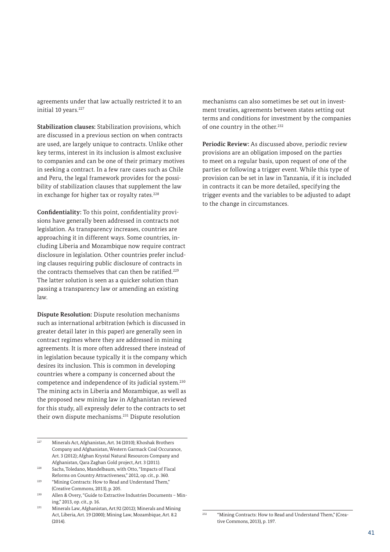agreements under that law actually restricted it to an initial 10 years.<sup>227</sup>

**Stabilization clauses:** Stabilization provisions, which are discussed in a previous section on when contracts are used, are largely unique to contracts. Unlike other key terms, interest in its inclusion is almost exclusive to companies and can be one of their primary motives in seeking a contract. In a few rare cases such as Chile and Peru, the legal framework provides for the possibility of stabilization clauses that supplement the law in exchange for higher tax or royalty rates. $228$ 

**Confidentiality:** To this point, confidentiality provisions have generally been addressed in contracts not legislation. As transparency increases, countries are approaching it in different ways. Some countries, including Liberia and Mozambique now require contract disclosure in legislation. Other countries prefer including clauses requiring public disclosure of contracts in the contracts themselves that can then be ratified.<sup>229</sup> The latter solution is seen as a quicker solution than passing a transparency law or amending an existing law.

**Dispute Resolution:** Dispute resolution mechanisms such as international arbitration (which is discussed in greater detail later in this paper) are generally seen in contract regimes where they are addressed in mining agreements. It is more often addressed there instead of in legislation because typically it is the company which desires its inclusion. This is common in developing countries where a company is concerned about the competence and independence of its judicial system.<sup>230</sup> The mining acts in Liberia and Mozambique, as well as the proposed new mining law in Afghanistan reviewed for this study, all expressly defer to the contracts to set their own dispute mechanisms.231 Dispute resolution

- <sup>227</sup> Minerals Act, Afghanistan, Art. 34 (2010); Khoshak Brothers Company and Afghanistan, Western Garmack Coal Occurance, Art. 3 (2012); Afghan Krystal Natural Resources Company and Afghanistan, Qara Zaghan Gold project, Art. 3 (2011).
- <sup>228</sup> Sachs, Toledano, Mandelbaum, with Otto, "Impacts of Fiscal Reforms on Country Attractiveness," 2012, op. cit., p. 360.
- <sup>229</sup> "Mining Contracts: How to Read and Understand Them," (Creative Commons, 2013), p. 205.
- <sup>230</sup> Allen & Overy, "Guide to Extractive Industries Documents Mining," 2013, op. cit., p. 16.

mechanisms can also sometimes be set out in investment treaties, agreements between states setting out terms and conditions for investment by the companies of one country in the other.<sup>232</sup>

**Periodic Review:** As discussed above, periodic review provisions are an obligation imposed on the parties to meet on a regular basis, upon request of one of the parties or following a trigger event. While this type of provision can be set in law in Tanzania, if it is included in contracts it can be more detailed, specifying the trigger events and the variables to be adjusted to adapt to the change in circumstances.

<sup>231</sup> Minerals Law, Afghanistan, Art.92 (2012); Minerals and Mining Act, Liberia, Art. 19 (2000); Mining Law, Mozambique, Art. 8.2 (2014).

<sup>&</sup>lt;sup>232</sup> "Mining Contracts: How to Read and Understand Them," (Creative Commons, 2013), p. 197.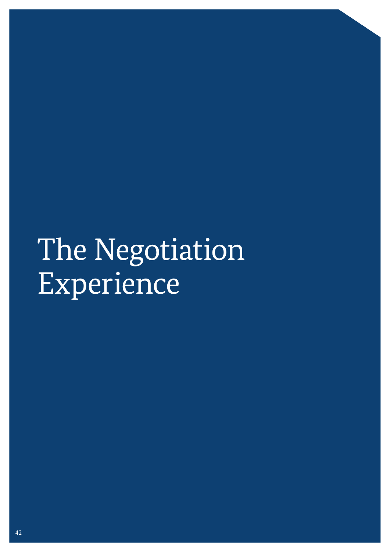# The Negotiation Experience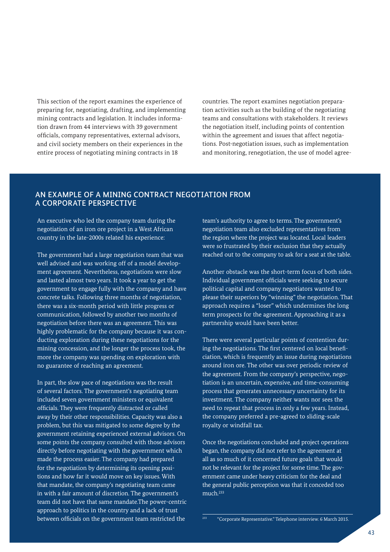This section of the report examines the experience of preparing for, negotiating, drafting, and implementing mining contracts and legislation. It includes information drawn from 44 interviews with 39 government officials, company representatives, external advisors, and civil society members on their experiences in the entire process of negotiating mining contracts in 18

countries. The report examines negotiation preparation activities such as the building of the negotiating teams and consultations with stakeholders. It reviews the negotiation itself, including points of contention within the agreement and issues that affect negotiations. Post-negotiation issues, such as implementation and monitoring, renegotiation, the use of model agree-

# AN EXAMPLE OF A MINING CONTRACT NEGOTIATION FROM A CORPORATE PERSPECTIVE

An executive who led the company team during the negotiation of an iron ore project in a West African country in the late-2000s related his experience:

The government had a large negotiation team that was well advised and was working off of a model development agreement. Nevertheless, negotiations were slow and lasted almost two years. It took a year to get the government to engage fully with the company and have concrete talks. Following three months of negotiation, there was a six-month period with little progress or communication, followed by another two months of negotiation before there was an agreement. This was highly problematic for the company because it was conducting exploration during these negotiations for the mining concession, and the longer the process took, the more the company was spending on exploration with no guarantee of reaching an agreement.

In part, the slow pace of negotiations was the result of several factors. The government's negotiating team included seven government ministers or equivalent officials. They were frequently distracted or called away by their other responsibilities. Capacity was also a problem, but this was mitigated to some degree by the government retaining experienced external advisors. On some points the company consulted with those advisors directly before negotiating with the government which made the process easier. The company had prepared for the negotiation by determining its opening positions and how far it would move on key issues. With that mandate, the company's negotiating team came in with a fair amount of discretion. The government's team did not have that same mandate.The power-centric approach to politics in the country and a lack of trust between officials on the government team restricted the

team's authority to agree to terms. The government's negotiation team also excluded representatives from the region where the project was located. Local leaders were so frustrated by their exclusion that they actually reached out to the company to ask for a seat at the table.

Another obstacle was the short-term focus of both sides. Individual government officials were seeking to secure political capital and company negotiators wanted to please their superiors by "winning" the negotiation. That approach requires a "loser" which undermines the long term prospects for the agreement. Approaching it as a partnership would have been better.

There were several particular points of contention during the negotiations. The first centered on local beneficiation, which is frequently an issue during negotiations around iron ore. The other was over periodic review of the agreement. From the company's perspective, negotiation is an uncertain, expensive, and time-consuming process that generates unnecessary uncertainty for its investment. The company neither wants nor sees the need to repeat that process in only a few years. Instead, the company preferred a pre-agreed to sliding-scale royalty or windfall tax.

Once the negotiations concluded and project operations began, the company did not refer to the agreement at all as so much of it concerned future goals that would not be relevant for the project for some time. The government came under heavy criticism for the deal and the general public perception was that it conceded too much.233

<sup>233</sup> "Corporate Representative." Telephone interview. 6 March 2015.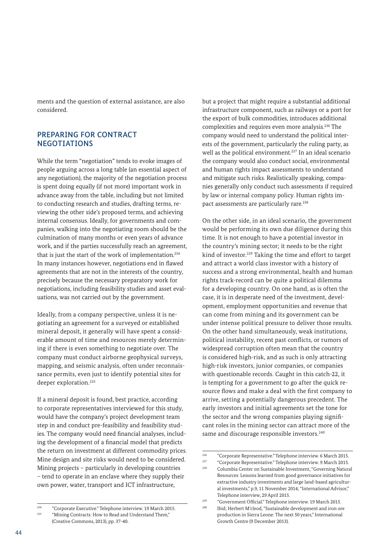ments and the question of external assistance, are also considered.

### PREPARING FOR CONTRACT NEGOTIATIONS

While the term "negotiation" tends to evoke images of people arguing across a long table (an essential aspect of any negotiation), the majority of the negotiation process is spent doing equally (if not more) important work in advance away from the table, including but not limited to conducting research and studies, drafting terms, reviewing the other side's proposed terms, and achieving internal consensus. Ideally, for governments and companies, walking into the negotiating room should be the culmination of many months or even years of advance work, and if the parties successfully reach an agreement, that is just the start of the work of implementation.<sup>234</sup> In many instances however, negotiations end in flawed agreements that are not in the interests of the country, precisely because the necessary preparatory work for negotiations, including feasibility studies and asset evaluations, was not carried out by the government.

Ideally, from a company perspective, unless it is negotiating an agreement for a surveyed or established mineral deposit, it generally will have spent a considerable amount of time and resources merely determining if there is even something to negotiate over. The company must conduct airborne geophysical surveys, mapping, and seismic analysis, often under reconnaissance permits, even just to identify potential sites for deeper exploration.<sup>235</sup>

If a mineral deposit is found, best practice, according to corporate representatives interviewed for this study, would have the company's project development team step in and conduct pre-feasibility and feasibility studies. The company would need financial analyses, including the development of a financial model that predicts the return on investment at different commodity prices. Mine design and site risks would need to be considered. Mining projects – particularly in developing countries – tend to operate in an enclave where they supply their own power, water, transport and ICT infrastructure,

but a project that might require a substantial additional infrastructure component, such as railways or a port for the export of bulk commodities, introduces additional complexities and requires even more analysis.236 The company would need to understand the political interests of the government, particularly the ruling party, as well as the political environment.<sup>237</sup> In an ideal scenario the company would also conduct social, environmental and human rights impact assessments to understand and mitigate such risks. Realistically speaking, companies generally only conduct such assessments if required by law or internal company policy. Human rights impact assessments are particularly rare.<sup>238</sup>

On the other side, in an ideal scenario, the government would be performing its own due diligence during this time. It is not enough to have a potential investor in the country's mining sector; it needs to be the right kind of investor.<sup>239</sup> Taking the time and effort to target and attract a world class investor with a history of success and a strong environmental, health and human rights track-record can be quite a political dilemma for a developing country. On one hand, as is often the case, it is in desperate need of the investment, development, employment opportunities and revenue that can come from mining and its government can be under intense political pressure to deliver those results. On the other hand simultaneously, weak institutions, political instability, recent past conflicts, or rumors of widespread corruption often mean that the country is considered high-risk, and as such is only attracting high-risk investors, junior companies, or companies with questionable records. Caught in this catch-22, it is tempting for a government to go after the quick resource flows and make a deal with the first company to arrive, setting a potentially dangerous precedent. The early investors and initial agreements set the tone for the sector and the wrong companies playing significant roles in the mining sector can attract more of the same and discourage responsible investors.<sup>240</sup>

<sup>&</sup>lt;sup>234</sup> "Corporate Executive." Telephone interview. 19 March 2015.<br><sup>235</sup> "Mining Contracts: How to Pead and Understand Tham." "Mining Contracts: How to Read and Understand Them," (Creative Commons, 2013), pp. 37-40.

 $\frac{236}{2}$  "Corporate Representative." Telephone interview. 6 March 2015.

<sup>237</sup> "Corporate Representative." Telephone interview. 9 March 2015.

Columbia Center on Sustainable Investment, "Governing Natural Resources: Lessons learned from good governance initiatives for extractive industry investments and large land-based agricultural investments," p.9, 11 November 2014; "International Advisor," Telephone interview, 29 April 2015.

<sup>&</sup>lt;sup>239</sup> "Government Official." Telephone interview. 19 March 2015. Ibid; Herbert M'cleod, "Sustainable development and iron ore

production in Sierra Leone: The next 50 years," International Growth Centre (9 December 2013).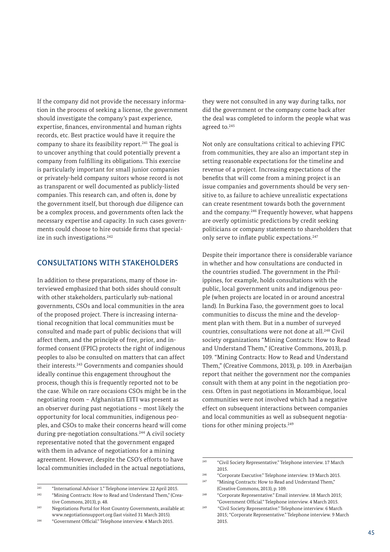If the company did not provide the necessary information in the process of seeking a license, the government should investigate the company's past experience, expertise, finances, environmental and human rights records, etc. Best practice would have it require the company to share its feasibility report.<sup>241</sup> The goal is to uncover anything that could potentially prevent a company from fulfilling its obligations. This exercise is particularly important for small junior companies or privately-held company suitors whose record is not as transparent or well documented as publicly-listed companies. This research can, and often is, done by the government itself, but thorough due diligence can be a complex process, and governments often lack the necessary expertise and capacity. In such cases governments could choose to hire outside firms that specialize in such investigations.<sup>242</sup>

### CONSULTATIONS WITH STAKEHOLDERS

In addition to these preparations, many of those interviewed emphasized that both sides should consult with other stakeholders, particularly sub-national governments, CSOs and local communities in the area of the proposed project. There is increasing international recognition that local communities must be consulted and made part of public decisions that will affect them, and the principle of free, prior, and informed consent (FPIC) protects the right of indigenous peoples to also be consulted on matters that can affect their interests.243 Governments and companies should ideally continue this engagement throughout the process, though this is frequently reported not to be the case. While on rare occasions CSOs might be in the negotiating room – Afghanistan EITI was present as an observer during past negotiations – most likely the opportunity for local communities, indigenous peoples, and CSOs to make their concerns heard will come during pre-negotiation consultations.<sup>244</sup> A civil society representative noted that the government engaged with them in advance of negotiations for a mining agreement. However, despite the CSO's efforts to have local communities included in the actual negotiations,

they were not consulted in any way during talks, nor did the government or the company come back after the deal was completed to inform the people what was agreed to.245

Not only are consultations critical to achieving FPIC from communities, they are also an important step in setting reasonable expectations for the timeline and revenue of a project. Increasing expectations of the benefits that will come from a mining project is an issue companies and governments should be very sensitive to, as failure to achieve unrealistic expectations can create resentment towards both the government and the company.246 Frequently however, what happens are overly optimistic predictions by credit seeking politicians or company statements to shareholders that only serve to inflate public expectations.<sup>247</sup>

Despite their importance there is considerable variance in whether and how consultations are conducted in the countries studied. The government in the Philippines, for example, holds consultations with the public, local government units and indigenous people (when projects are located in or around ancestral land). In Burkina Faso, the government goes to local communities to discuss the mine and the development plan with them. But in a number of surveyed countries, consultations were not done at all.<sup>248</sup> Civil society organizations "Mining Contracts: How to Read and Understand Them," (Creative Commons, 2013), p. 109. "Mining Contracts: How to Read and Understand Them," (Creative Commons, 2013), p. 109. in Azerbaijan report that neither the government nor the companies consult with them at any point in the negotiation process. Often in past negotiations in Mozambique, local communities were not involved which had a negative effect on subsequent interactions between companies and local communities as well as subsequent negotiations for other mining projects.<sup>249</sup>

<sup>241</sup> "International Advisor 1." Telephone interview. 22 April 2015.

<sup>&</sup>lt;sup>242</sup> "Mining Contracts: How to Read and Understand Them," (Creative Commons, 2013), p. 48.

<sup>243</sup> Negotiations Portal for Host Country Governments, available at: www.negotiationsupport.org (last visited 31 March 2015).

<sup>244</sup> "Government Official." Telephone interview. 4 March 2015.

<sup>245</sup> "Civil Society Representative." Telephone interview. 17 March 2015.

<sup>246</sup> "Corporate Executive." Telephone interview. 19 March 2015. <sup>247</sup> "Mining Contracts: How to Read and Understand Them," (Creative Commons, 2013), p. 109.

<sup>248</sup> "Corporate Representative." Email interview. 18 March 2015; "Government Official." Telephone interview. 4 March 2015.

<sup>249</sup> "Civil Society Representative." Telephone interview. 6 March 2015; "Corporate Representative." Telephone interview. 9 March 2015.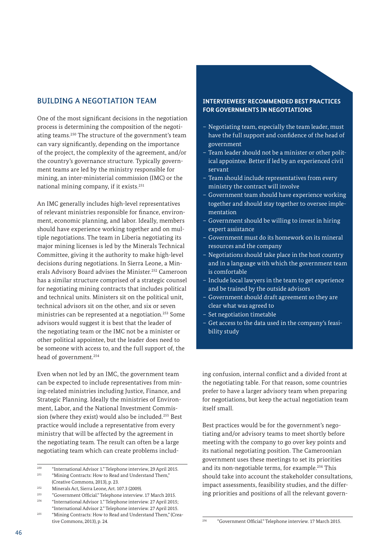# BUILDING A NEGOTIATION TEAM

One of the most significant decisions in the negotiation process is determining the composition of the negotiating teams.250 The structure of the government's team can vary significantly, depending on the importance of the project, the complexity of the agreement, and/or the country's governance structure. Typically government teams are led by the ministry responsible for mining, an inter-ministerial commission (IMC) or the national mining company, if it exists.251

An IMC generally includes high-level representatives of relevant ministries responsible for finance, environment, economic planning, and labor. Ideally, members should have experience working together and on multiple negotiations. The team in Liberia negotiating its major mining licenses is led by the Minerals Technical Committee, giving it the authority to make high-level decisions during negotiations. In Sierra Leone, a Minerals Advisory Board advises the Minister.<sup>252</sup> Cameroon has a similar structure comprised of a strategic counsel for negotiating mining contracts that includes political and technical units. Ministers sit on the political unit, technical advisors sit on the other, and six or seven ministries can be represented at a negotiation.253 Some advisors would suggest it is best that the leader of the negotiating team or the IMC not be a minister or other political appointee, but the leader does need to be someone with access to, and the full support of, the head of government.<sup>254</sup>

Even when not led by an IMC, the government team can be expected to include representatives from mining-related ministries including Justice, Finance, and Strategic Planning. Ideally the ministries of Environment, Labor, and the National Investment Commission (where they exist) would also be included.255 Best practice would include a representative from every ministry that will be affected by the agreement in the negotiating team. The result can often be a large negotiating team which can create problems includ-

#### **INTERVIEWEES' RECOMMENDED BEST PRACTICES FOR GOVERNMENTS IN NEGOTIATIONS**

- Negotiating team, especially the team leader, must have the full support and confidence of the head of government
- Team leader should not be a minister or other political appointee. Better if led by an experienced civil servant
- Team should include representatives from every ministry the contract will involve
- Government team should have experience working together and should stay together to oversee implementation
- Government should be willing to invest in hiring expert assistance
- Government must do its homework on its mineral resources and the company
- Negotiations should take place in the host country and in a language with which the government team is comfortable
- Include local lawyers in the team to get experience and be trained by the outside advisors
- Government should draft agreement so they are clear what was agreed to
- Set negotiation timetable
- Get access to the data used in the company's feasibility study

ing confusion, internal conflict and a divided front at the negotiating table. For that reason, some countries prefer to have a larger advisory team when preparing for negotiations, but keep the actual negotiation team itself small.

Best practices would be for the government's negotiating and/or advisory teams to meet shortly before meeting with the company to go over key points and its national negotiating position. The Cameroonian government uses these meetings to set its priorities and its non-negotiable terms, for example.256 This should take into account the stakeholder consultations, impact assessments, feasibility studies, and the differing priorities and positions of all the relevant govern-

<sup>250</sup> "International Advisor 1." Telephone interview, 29 April 2015. <sup>251</sup> "Mining Contracts: How to Read and Understand Them,"

<sup>(</sup>Creative Commons, 2013), p. 23. <sup>252</sup> Minerals Act, Sierra Leone, Art. 107.3 (2009).

 $^{253}$  "Government Official." Telephone interview. 17 March 2015. <sup>254</sup> "International Advisor 1." Telephone interview. 27 April 2015;

<sup>&</sup>quot;International Advisor 2." Telephone interview. 27 April 2015. <sup>255</sup> "Mining Contracts: How to Read and Understand Them," (Creative Commons, 2013), p. 24.

<sup>256</sup> "Government Official." Telephone interview. 17 March 2015.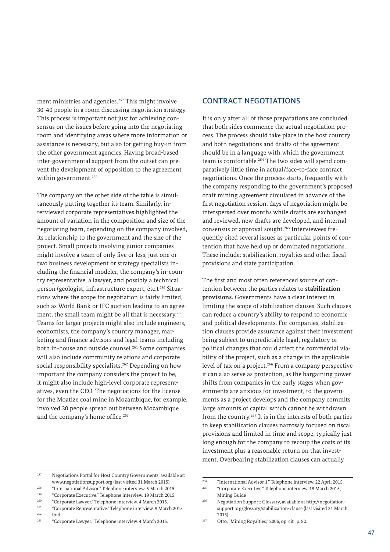ment ministries and agencies.<sup>257</sup> This might involve 30-40 people in a room discussing negotiation strategy. This process is important not just for achieving consensus on the issues before going into the negotiating room and identifying areas where more information or assistance is necessary, but also for getting buy-in from the other government agencies. Having broad-based inter-governmental support from the outset can prevent the development of opposition to the agreement within government.<sup>258</sup>

The company on the other side of the table is simultaneously putting together its team. Similarly, interviewed corporate representatives highlighted the amount of variation in the composition and size of the negotiating team, depending on the company involved, its relationship to the government and the size of the project. Small projects involving junior companies might involve a team of only five or less, just one or two business development or strategy specialists including the financial modeler, the company's in-country representative, a lawyer, and possibly a technical person (geologist, infrastructure expert, etc.).259 Situations where the scope for negotiation is fairly limited, such as World Bank or IFC auction leading to an agreement, the small team might be all that is necessary.<sup>260</sup> Teams for larger projects might also include engineers, economists, the company's country manager, marketing and finance advisors and legal teams including both in-house and outside counsel.261 Some companies will also include community relations and corporate social responsibility specialists.<sup>262</sup> Depending on how important the company considers the project to be, it might also include high-level corporate representatives, even the CEO. The negotiations for the license for the Moatize coal mine in Mozambique, for example, involved 20 people spread out between Mozambique and the company's home office.<sup>263</sup>

### CONTRACT NEGOTIATIONS

It is only after all of those preparations are concluded that both sides commence the actual negotiation process. The process should take place in the host country and both negotiations and drafts of the agreement should be in a language with which the government team is comfortable.264 The two sides will spend comparatively little time in actual/face-to-face contract negotiations. Once the process starts, frequently with the company responding to the government's proposed draft mining agreement circulated in advance of the first negotiation session, days of negotiation might be interspersed over months while drafts are exchanged and reviewed, new drafts are developed, and internal consensus or approval sought.265 Interviewees frequently cited several issues as particular points of contention that have held up or dominated negotiations. These include: stabilization, royalties and other fiscal provisions and state participation.

The first and most often referenced source of contention between the parties relates to **stabilization provisions.** Governments have a clear interest in limiting the scope of stabilization clauses. Such clauses can reduce a country's ability to respond to economic and political developments. For companies, stabilization clauses provide assurance against their investment being subject to unpredictable legal, regulatory or political changes that could affect the commercial viability of the project, such as a change in the applicable level of tax on a project.<sup>266</sup> From a company perspective it can also serve as protection, as the bargaining power shifts from companies in the early stages when governments are anxious for investment, to the governments as a project develops and the company commits large amounts of capital which cannot be withdrawn from the country.267 It is in the interests of both parties to keep stabilization clauses narrowly focused on fiscal provisions and limited in time and scope, typically just long enough for the company to recoup the costs of its investment plus a reasonable return on that investment. Overbearing stabilization clauses can actually

 $\frac{262}{263}$  Ibid.

<sup>257</sup> Negotiations Portal for Host Country Governments, available at: www.negotiationsupport.org (last visited 31 March 2015).

<sup>258</sup> "International Advisor." Telephone interview. 5 March 2015.

<sup>&</sup>lt;sup>259</sup> "Corporate Executive." Telephone interview. 19 March 2015.<br><sup>260</sup> "Corporate Laurear" Telephone interview. 4 March 2015.

 $^{260}$  "Corporate Lawyer." Telephone interview. 4 March 2015. <sup>261</sup> "Corporate Representative." Telephone interview. 9 March 2015.

<sup>263</sup> "Corporate Lawyer." Telephone interview. 4 March 2015.

<sup>264</sup> "International Advisor 1." Telephone interview. 22 April 2015.

<sup>265</sup> "Corporate Executive." Telephone interview. 19 March 2015; Mining Guide

<sup>266</sup> Negotiation Support: Glossary, available at [http://negotiation](http://negotiationsupport.org/glossary/stabilization-clause)[support.org/glossary/stabilization-clause](http://negotiationsupport.org/glossary/stabilization-clause) (last visited 31 March 2015).

<sup>267</sup> Otto, "Mining Royalties," 2006, op. cit., p. 82.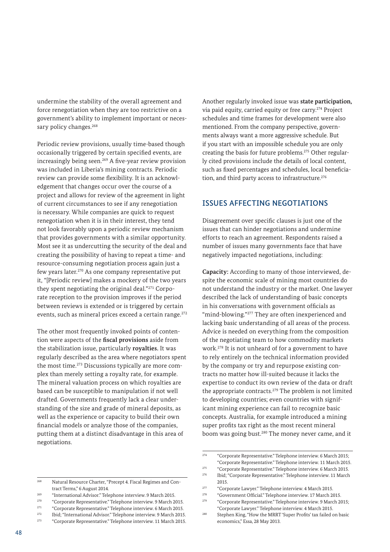undermine the stability of the overall agreement and force renegotiation when they are too restrictive on a government's ability to implement important or necessary policy changes.<sup>268</sup>

Periodic review provisions, usually time-based though occasionally triggered by certain specified events, are increasingly being seen.269 A five-year review provision was included in Liberia's mining contracts. Periodic review can provide some flexibility. It is an acknowledgement that changes occur over the course of a project and allows for review of the agreement in light of current circumstances to see if any renegotiation is necessary. While companies are quick to request renegotiation when it is in their interest, they tend not look favorably upon a periodic review mechanism that provides governments with a similar opportunity. Most see it as undercutting the security of the deal and creating the possibility of having to repeat a time- and resource-consuming negotiation process again just a few years later.270 As one company representative put it, "[Periodic review] makes a mockery of the two years they spent negotiating the original deal."271 Corporate reception to the provision improves if the period between reviews is extended or is triggered by certain events, such as mineral prices exceed a certain range.<sup>272</sup>

The other most frequently invoked points of contention were aspects of the **fiscal provisions** aside from the stabilization issue, particularly **royalties.** It was regularly described as the area where negotiators spent the most time.273 Discussions typically are more complex than merely setting a royalty rate, for example. The mineral valuation process on which royalties are based can be susceptible to manipulation if not well drafted. Governments frequently lack a clear understanding of the size and grade of mineral deposits, as well as the experience or capacity to build their own financial models or analyze those of the companies, putting them at a distinct disadvantage in this area of negotiations.

<sup>268</sup> Natural Resource Charter, "Precept 4. Fiscal Regimes and Contract Terms," 6 August 2014.

<sup>270</sup> "Corporate Representative." Telephone interview. 9 March 2015.

Another regularly invoked issue was **state participation,** via paid equity, carried equity or free carry.<sup>274</sup> Project schedules and time frames for development were also mentioned. From the company perspective, governments always want a more aggressive schedule. But if you start with an impossible schedule you are only creating the basis for future problems.275 Other regularly cited provisions include the details of local content, such as fixed percentages and schedules, local beneficiation, and third party access to infrastructure.<sup>276</sup>

### ISSUES AFFECTING NEGOTIATIONS

Disagreement over specific clauses is just one of the issues that can hinder negotiations and undermine efforts to reach an agreement. Respondents raised a number of issues many governments face that have negatively impacted negotiations, including:

**Capacity:** According to many of those interviewed, despite the economic scale of mining most countries do not understand the industry or the market. One lawyer described the lack of understanding of basic concepts in his conversations with government officials as "mind-blowing."277 They are often inexperienced and lacking basic understanding of all areas of the process. Advice is needed on everything from the composition of the negotiating team to how commodity markets work.278 It is not unheard of for a government to have to rely entirely on the technical information provided by the company or try and repurpose existing contracts no matter how ill-suited because it lacks the expertise to conduct its own review of the data or draft the appropriate contracts.<sup>279</sup> The problem is not limited to developing countries; even countries with significant mining experience can fail to recognize basic concepts. Australia, for example introduced a mining super profits tax right as the most recent mineral boom was going bust.<sup>280</sup> The money never came, and it

<sup>269</sup> "International Advisor." Telephone interview. 9 March 2015.

<sup>271</sup> "Corporate Representative." Telephone interview. 6 March 2015.

<sup>272</sup> Ibid; "International Advisor." Telephone interview. 9 March 2015. <sup>273</sup> "Corporate Representative." Telephone interview. 11 March 2015.

 $274$  "Corporate Representative." Telephone interview. 6 March 2015; "Corporate Representative." Telephone interview. 11 March 2015.

<sup>275</sup> "Corporate Representative." Telephone interview. 6 March 2015.

<sup>276</sup> Ibid; "Corporate Representative." Telephone interview. 11 March 2015.

<sup>277</sup> "Corporate Lawyer." Telephone interview. 4 March 2015.

<sup>278</sup> "Government Official." Telephone interview. 17 March 2015. <sup>279</sup> "Corporate Representative." Telephone interview. 9 March 2015;

<sup>&</sup>quot;Corporate Lawyer." Telephone interview. 4 March 2015.

<sup>280</sup> Stephen King, "How the MRRT 'Super Profits' tax failed on basic economics," Essa, 28 May 2013.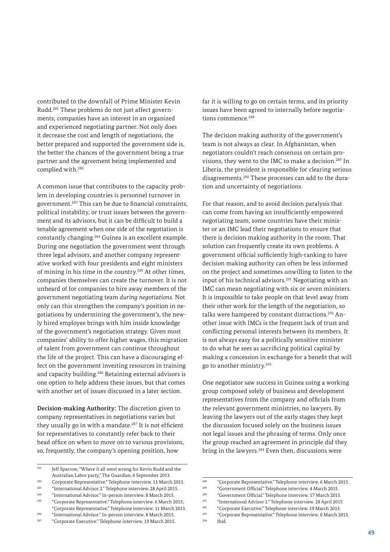contributed to the downfall of Prime Minister Kevin Rudd.281 These problems do not just affect governments; companies have an interest in an organized and experienced negotiating partner. Not only does it decrease the cost and length of negotiations, the better prepared and supported the government side is, the better the chances of the government being a true partner and the agreement being implemented and complied with.282

A common issue that contributes to the capacity problem in developing countries is personnel turnover in government.283 This can be due to financial constraints, political instability, or trust issues between the government and its advisors, but it can be difficult to build a tenable agreement when one side of the negotiation is constantly changing.284 Guinea is an excellent example. During one negotiation the government went through three legal advisors, and another company representative worked with four presidents and eight ministers of mining in his time in the country.285 At other times, companies themselves can create the turnover. It is not unheard of for companies to hire away members of the government negotiating team *during negotiations.* Not only can this strengthen the company's position in negotiations by undermining the government's, the newly hired employee brings with him inside knowledge of the government's negotiation strategy. Given most companies' ability to offer higher wages, this migration of talent from government can continue throughout the life of the project. This can have a discouraging effect on the government investing resources in training and capacity building.286 Retaining external advisors is one option to help address these issues, but that comes with another set of issues discussed in a later section.

**Decision-making Authority:** The discretion given to company representatives in negotiations varies but they usually go in with a mandate.<sup>287</sup> It is not efficient for representatives to constantly refer back to their head office on when to move on to various provisions, so, frequently, the company's opening position, how

<sup>283</sup> "International Advisor 2." Telephone interview. 28 April 2015.

<sup>287</sup> "Corporate Executive." Telephone interview. 19 March 2015.

far it is willing to go on certain terms, and its priority issues have been agreed to internally before negotiations commence.<sup>288</sup>

The decision making authority of the government's team is not always as clear. In Afghanistan, when negotiators couldn't reach consensus on certain provisions, they went to the IMC to make a decision.<sup>289</sup> In Liberia, the president is responsible for clearing serious disagreements.<sup>290</sup> These processes can add to the duration and uncertainty of negotiations.

For that reason, and to avoid decision paralysis that can come from having an insufficiently empowered negotiating team, some countries have their minister or an IMC lead their negotiations to ensure that there is decision making authority in the room. That solution can frequently create its own problems. A government official sufficiently high-ranking to have decision making authority can often be less informed on the project and sometimes unwilling to listen to the input of his technical advisors.<sup>291</sup> Negotiating with an IMC can mean negotiating with six or seven ministers. It is impossible to take people on that level away from their other work for the length of the negotiation, so talks were hampered by constant distractions.<sup>292</sup> Another issue with IMCs is the frequent lack of trust and conflicting personal interests between its members. It is not always easy for a politically sensitive minister to do what he sees as sacrificing political capital by making a concession in exchange for a benefit that will go to another ministry.293

One negotiator saw success in Guinea using a working group composed solely of business and development representatives from the company and officials from the relevant government ministries, no lawyers. By leaving the lawyers out of the early stages they kept the discussion focused solely on the business issues not legal issues and the phrasing of terms. Only once the group reached an agreement in principle did they bring in the lawyers.<sup>294</sup> Even then, discussions were

<sup>281</sup> Jeff Sparrow, "Where it all went wrong for Kevin Rudd and the Australian Labor party," The Guardian, 6 September 2013.

<sup>&</sup>lt;sup>282</sup> Corporate Representative." Telephone interview. 11 March 2015.<br><sup>283</sup> "International Advisor.<sup>2</sup>" Telephone interview. <sup>29</sup> April 2015.

<sup>284</sup> "International Advisor." In-person interview. 8 March 2015. <sup>285</sup> "Corporate Representative." Telephone interview. 6 March 2015; "Corporate Representative." Telephone interview. 11 March 2015.

<sup>286</sup> "International Advisor." In-person interview. 8 March 2015.

<sup>&</sup>lt;sup>288</sup> "Corporate Representative." Telephone interview. 6 March 2015.<br><sup>289</sup> "Covernment Official" Telephone interview. 4 March 2015.

<sup>289</sup> "Government Official." Telephone interview. 4 March 2015.

<sup>&</sup>lt;sup>290</sup> "Government Official." Telephone interview. 17 March 2015.<br><sup>291</sup> "International Advisor <sup>12</sup> Telephone interview. 29 April 2015.

<sup>&</sup>lt;sup>291</sup> "International Advisor 1." Telephone interview. 28 April 2015.<br><sup>292</sup> "Comparete Frequency" Telephone interview. 10 Marsh 2015.

<sup>292</sup> "Corporate Executive." Telephone interview. 19 March 2015.

<sup>&</sup>lt;sup>293</sup> "Corporate Representative." Telephone interview. 6 March 2015.<br><sup>294</sup> Ibid

Ibid.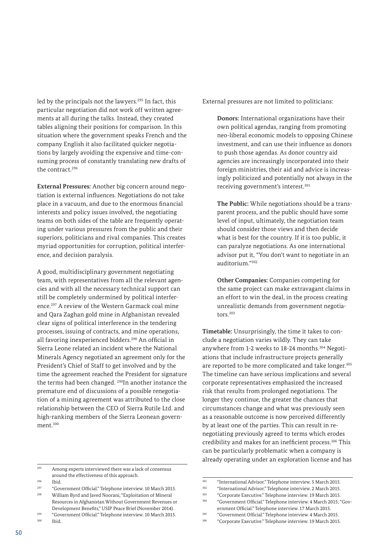led by the principals not the lawyers.<sup>295</sup> In fact, this particular negotiation did not work off written agreements at all during the talks. Instead, they created tables aligning their positions for comparison. In this situation where the government speaks French and the company English it also facilitated quicker negotiations by largely avoiding the expensive and time-consuming process of constantly translating new drafts of the contract.296

**External Pressures:** Another big concern around negotiation is external influences. Negotiations do not take place in a vacuum, and due to the enormous financial interests and policy issues involved, the negotiating teams on both sides of the table are frequently operating under various pressures from the public and their superiors, politicians and rival companies. This creates myriad opportunities for corruption, political interference, and decision paralysis.

A good, multidisciplinary government negotiating team, with representatives from all the relevant agencies and with all the necessary technical support can still be completely undermined by political interference.297 A review of the Western Garmack coal mine and Qara Zaghan gold mine in Afghanistan revealed clear signs of political interference in the tendering processes, issuing of contracts, and mine operations, all favoring inexperienced bidders.298 An official in Sierra Leone related an incident where the National Minerals Agency negotiated an agreement only for the President's Chief of Staff to get involved and by the time the agreement reached the President for signature the terms had been changed. <sup>299</sup>In another instance the premature end of discussions of a possible renegotiation of a mining agreement was attributed to the close relationship between the CEO of Sierra Rutile Ltd. and high-ranking members of the Sierra Leonean government.300

<sup>295</sup> Among experts interviewed there was a lack of consensus around the effectiveness of this approach.

 $\frac{296}{297}$  Ibid.

<sup>297</sup> "Government Official." Telephone interview. 10 March 2015. <sup>298</sup> William Byrd and Javed Noorani, "Exploitation of Mineral Resources in Afghanistan Without Government Revenues or Development Benefits," USIP Peace Brief (November 2014).

<sup>299</sup> "Government Official." Telephone interview. 10 March 2015.<br><sup>300</sup> Ibid Ibid.

External pressures are not limited to politicians:

**Donors:** International organizations have their own political agendas, ranging from promoting neo-liberal economic models to opposing Chinese investment, and can use their influence as donors to push those agendas. As donor country aid agencies are increasingly incorporated into their foreign ministries, their aid and advice is increasingly politicized and potentially not always in the receiving government's interest.301

**The Public:** While negotiations should be a transparent process, and the public should have some level of input, ultimately, the negotiation team should consider those views and then decide what is best for the country. If it is too public, it can paralyze negotiations. As one international advisor put it, "You don't want to negotiate in an auditorium<sup>"302</sup>

**Other Companies:** Companies competing for the same project can make extravagant claims in an effort to win the deal, in the process creating unrealistic demands from government negotiators.303

**Timetable:** Unsurprisingly, the time it takes to conclude a negotiation varies wildly. They can take anywhere from 1-2 weeks to 18-24 months.304 Negotiations that include infrastructure projects generally are reported to be more complicated and take longer.<sup>305</sup> The timeline can have serious implications and several corporate representatives emphasized the increased risk that results from prolonged negotiations. The longer they continue, the greater the chances that circumstances change and what was previously seen as a reasonable outcome is now perceived differently by at least one of the parties. This can result in renegotiating previously agreed to terms which erodes credibility and makes for an inefficient process.306 This can be particularly problematic when a company is already operating under an exploration license and has

<sup>301</sup> "International Advisor." Telephone interview. 5 March 2015.

<sup>302</sup> "International Advisor." Telephone interview. 2 March 2015.

<sup>303</sup> "Corporate Executive." Telephone interview. 19 March 2015.

<sup>304</sup> "Government Official." Telephone interview. 4 March 2015; "Government Official." Telephone interview. 17 March 2015.

<sup>305</sup> "Government Official." Telephone interview. 4 March 2015.

<sup>306</sup> "Corporate Executive." Telephone interview. 19 March 2015.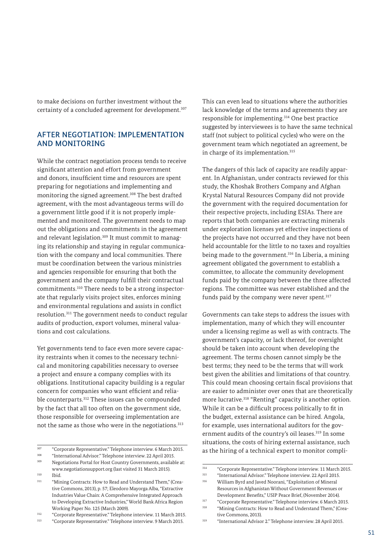to make decisions on further investment without the certainty of a concluded agreement for development.<sup>307</sup>

# AFTER NEGOTIATION: IMPLEMENTATION AND MONITORING

While the contract negotiation process tends to receive significant attention and effort from government and donors, insufficient time and resources are spent preparing for negotiations and implementing and monitoring the signed agreement.<sup>308</sup> The best drafted agreement, with the most advantageous terms will do a government little good if it is not properly implemented and monitored. The government needs to map out the obligations and commitments in the agreement and relevant legislation.<sup>309</sup> It must commit to managing its relationship and staying in regular communication with the company and local communities. There must be coordination between the various ministries and agencies responsible for ensuring that both the government and the company fulfill their contractual commitments.310 There needs to be a strong inspectorate that regularly visits project sites, enforces mining and environmental regulations and assists in conflict resolution.311 The government needs to conduct regular audits of production, export volumes, mineral valuations and cost calculations.

Yet governments tend to face even more severe capacity restraints when it comes to the necessary technical and monitoring capabilities necessary to oversee a project and ensure a company complies with its obligations. Institutional capacity building is a regular concern for companies who want efficient and reliable counterparts.<sup>312</sup> These issues can be compounded by the fact that all too often on the government side, those responsible for overseeing implementation are not the same as those who were in the negotiations.313

<sup>313</sup> "Corporate Representative." Telephone interview. 9 March 2015.

This can even lead to situations where the authorities lack knowledge of the terms and agreements they are responsible for implementing.314 One best practice suggested by interviewees is to have the same technical staff (not subject to political cycles) who were on the government team which negotiated an agreement, be in charge of its implementation.<sup>315</sup>

The dangers of this lack of capacity are readily apparent. In Afghanistan, under contracts reviewed for this study, the Khoshak Brothers Company and Afghan Krystal Natural Resources Company did not provide the government with the required documentation for their respective projects, including ESIAs. There are reports that both companies are extracting minerals under exploration licenses yet effective inspections of the projects have not occurred and they have not been held accountable for the little to no taxes and royalties being made to the government.<sup>316</sup> In Liberia, a mining agreement obligated the government to establish a committee, to allocate the community development funds paid by the company between the three affected regions. The committee was never established and the funds paid by the company were never spent.<sup>317</sup>

Governments can take steps to address the issues with implementation, many of which they will encounter under a licensing regime as well as with contracts. The government's capacity, or lack thereof, for oversight should be taken into account when developing the agreement. The terms chosen cannot simply be the best terms; they need to be the terms that will work best given the abilities and limitations of that country. This could mean choosing certain fiscal provisions that are easier to administer over ones that are theoretically more lucrative.<sup>318</sup> "Renting" capacity is another option. While it can be a difficult process politically to fit in the budget, external assistance can be hired. Angola, for example, uses international auditors for the government audits of the country's oil leases.<sup>319</sup> In some situations, the costs of hiring external assistance, such as the hiring of a technical expert to monitor compli-

<sup>&</sup>lt;sup>307</sup> "Corporate Representative." Telephone interview. 6 March 2015.

<sup>308</sup> "International Advisor." Telephone interview. 22 April 2015.

<sup>309</sup> Negotiations Portal for Host Country Governments, available at: www.negotiationsupport.org (last visited 31 March 2015). <sup>310</sup> Ibid.

<sup>&</sup>lt;sup>311</sup> "Mining Contracts: How to Read and Understand Them," (Creative Commons, 2013), p. 57; Eleodoro Mayorga Alba, "Extractive Industries Value Chain: A Comprehensive Integrated Approach to Developing Extractive Industries," World Bank Africa Region Working Paper No. 125 (March 2009).

<sup>312</sup> "Corporate Representative." Telephone interview. 11 March 2015.

<sup>&</sup>lt;sup>314</sup> "Corporate Representative." Telephone interview. 11 March 2015.

<sup>315</sup> "International Advisor." Telephone interview. 22 April 2015.

<sup>316</sup> William Byrd and Javed Noorani, "Exploitation of Mineral Resources in Afghanistan Without Government Revenues or Development Benefits," USIP Peace Brief, (November 2014).

<sup>&</sup>lt;sup>317</sup> "Corporate Representative." Telephone interview. 6 March 2015. "Mining Contracts: How to Read and Understand Them," (Crea-

tive Commons, 2013). <sup>319</sup> "International Advisor 2." Telephone interview. 28 April 2015.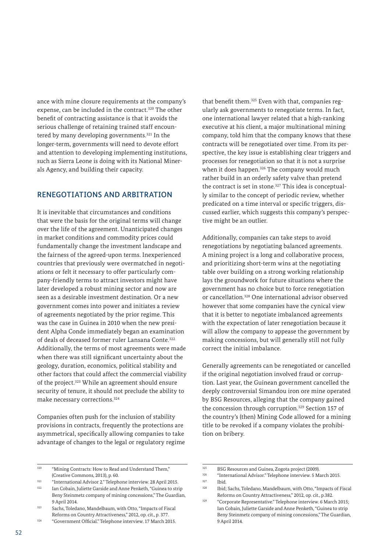ance with mine closure requirements at the company's expense, can be included in the contract.<sup>320</sup> The other benefit of contracting assistance is that it avoids the serious challenge of retaining trained staff encountered by many developing governments.<sup>321</sup> In the longer-term, governments will need to devote effort and attention to developing implementing institutions, such as Sierra Leone is doing with its National Minerals Agency, and building their capacity.

## RENEGOTIATIONS AND ARBITRATION

It is inevitable that circumstances and conditions that were the basis for the original terms will change over the life of the agreement. Unanticipated changes in market conditions and commodity prices could fundamentally change the investment landscape and the fairness of the agreed-upon terms. Inexperienced countries that previously were overmatched in negotiations or felt it necessary to offer particularly company-friendly terms to attract investors might have later developed a robust mining sector and now are seen as a desirable investment destination. Or a new government comes into power and initiates a review of agreements negotiated by the prior regime. This was the case in Guinea in 2010 when the new president Alpha Conde immediately began an examination of deals of deceased former ruler Lansana Conte.<sup>322</sup> Additionally, the terms of most agreements were made when there was still significant uncertainty about the geology, duration, economics, political stability and other factors that could affect the commercial viability of the project.<sup>323</sup> While an agreement should ensure security of tenure, it should not preclude the ability to make necessary corrections.324

Companies often push for the inclusion of stability provisions in contracts, frequently the protections are asymmetrical, specifically allowing companies to take advantage of changes to the legal or regulatory regime

that benefit them.325 Even with that, companies regularly ask governments to renegotiate terms. In fact, one international lawyer related that a high-ranking executive at his client, a major multinational mining company, told him that the company knows that these contracts will be renegotiated over time. From its perspective, the key issue is establishing clear triggers and processes for renegotiation so that it is not a surprise when it does happen.<sup>326</sup> The company would much rather build in an orderly safety valve than pretend the contract is set in stone.<sup>327</sup> This idea is conceptually similar to the concept of periodic review, whether predicated on a time interval or specific triggers, discussed earlier, which suggests this company's perspective might be an outlier.

Additionally, companies can take steps to avoid renegotiations by negotiating balanced agreements. A mining project is a long and collaborative process, and prioritizing short-term wins at the negotiating table over building on a strong working relationship lays the groundwork for future situations where the government has no choice but to force renegotiation or cancellation.328 One international advisor observed however that some companies have the cynical view that it is better to negotiate imbalanced agreements with the expectation of later renegotiation because it will allow the company to appease the government by making concessions, but will generally still not fully correct the initial imbalance.

Generally agreements can be renegotiated or cancelled if the original negotiation involved fraud or corruption. Last year, the Guinean government cancelled the deeply controversial Simandou iron ore mine operated by BSG Resources, alleging that the company gained the concession through corruption.329 Section 157 of the country's (then) Mining Code allowed for a mining title to be revoked if a company violates the prohibition on bribery.

<sup>320</sup> "Mining Contracts: How to Read and Understand Them," (Creative Commons, 2013), p. 60.

<sup>&</sup>lt;sup>321</sup> "International Advisor 2." Telephone interview. 28 April 2015.<br><sup>322</sup> International Uliette Garside and Appe Penketh "Guinea to str

Ian Cobain, Juliette Garside and Anne Penketh, "Guinea to strip Beny Steinmetz company of mining concessions," The Guardian, 9 April 2014.

<sup>323</sup> Sachs, Toledano, Mandelbaum, with Otto, "Impacts of Fiscal Reforms on Country Attractiveness," 2012, op. cit., p. 377.

<sup>324</sup> "Government Official." Telephone interview. 17 March 2015.

<sup>325</sup> BSG Resources and Guinea, Zogota project (2009).

<sup>326</sup> "International Advisor." Telephone interview. 5 March 2015.  $327$  Ibid.

Ibid; Sachs, Toledano, Mandelbaum, with Otto, "Impacts of Fiscal Reforms on Country Attractiveness," 2012, op. cit., p.382.

<sup>329</sup> "Corporate Representative." Telephone interview. 6 March 2015; Ian Cobain, Juliette Garside and Anne Penketh, "Guinea to strip Beny Steinmetz company of mining concessions," The Guardian, 9 April 2014.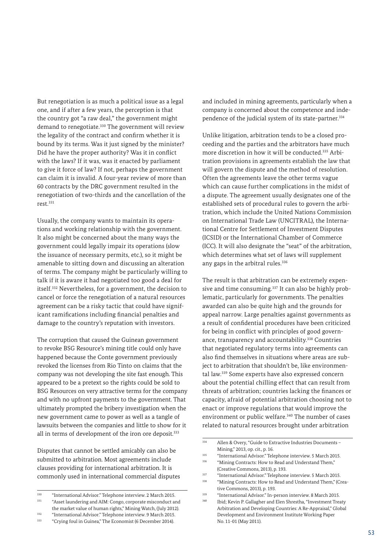But renegotiation is as much a political issue as a legal one, and if after a few years, the perception is that the country got "a raw deal," the government might demand to renegotiate.<sup>330</sup> The government will review the legality of the contract and confirm whether it is bound by its terms. Was it just signed by the minister? Did he have the proper authority? Was it in conflict with the laws? If it was, was it enacted by parliament to give it force of law? If not, perhaps the government can claim it is invalid. A four-year review of more than 60 contracts by the DRC government resulted in the renegotiation of two-thirds and the cancellation of the rest.331

Usually, the company wants to maintain its operations and working relationship with the government. It also might be concerned about the many ways the government could legally impair its operations (slow the issuance of necessary permits, etc.), so it might be amenable to sitting down and discussing an alteration of terms. The company might be particularly willing to talk if it is aware it had negotiated too good a deal for itself.332 Nevertheless, for a government, the decision to cancel or force the renegotiation of a natural resources agreement can be a risky tactic that could have significant ramifications including financial penalties and damage to the country's reputation with investors.

The corruption that caused the Guinean government to revoke BSG Resource's mining title could only have happened because the Conte government previously revoked the licenses from Rio Tinto on claims that the company was not developing the site fast enough. This appeared to be a pretext so the rights could be sold to BSG Resources on very attractive terms for the company and with no upfront payments to the government. That ultimately prompted the bribery investigation when the new government came to power as well as a tangle of lawsuits between the companies and little to show for it all in terms of development of the iron ore deposit.<sup>333</sup>

Disputes that cannot be settled amicably can also be submitted to arbitration. Most agreements include clauses providing for international arbitration. It is commonly used in international commercial disputes and included in mining agreements, particularly when a company is concerned about the competence and independence of the judicial system of its state-partner.<sup>334</sup>

Unlike litigation, arbitration tends to be a closed proceeding and the parties and the arbitrators have much more discretion in how it will be conducted.335 Arbitration provisions in agreements establish the law that will govern the dispute and the method of resolution. Often the agreements leave the other terms vague which can cause further complications in the midst of a dispute. The agreement usually designates one of the established sets of procedural rules to govern the arbitration, which include the United Nations Commission on International Trade Law (UNCITRAL), the International Centre for Settlement of Investment Disputes (ICSID) or the International Chamber of Commerce (ICC). It will also designate the "seat" of the arbitration, which determines what set of laws will supplement any gaps in the arbitral rules.<sup>336</sup>

The result is that arbitration can be extremely expensive and time consuming.<sup>337</sup> It can also be highly problematic, particularly for governments. The penalties awarded can also be quite high and the grounds for appeal narrow. Large penalties against governments as a result of confidential procedures have been criticized for being in conflict with principles of good governance, transparency and accountability.338 Countries that negotiated regulatory terms into agreements can also find themselves in situations where areas are subject to arbitration that shouldn't be, like environmental law.339 Some experts have also expressed concern about the potential chilling effect that can result from threats of arbitration; countries lacking the finances or capacity, afraid of potential arbitration choosing not to enact or improve regulations that would improve the environment or public welfare.<sup>340</sup> The number of cases related to natural resources brought under arbitration

<sup>&</sup>lt;sup>330</sup> "International Advisor." Telephone interview. 2 March 2015. "Asset laundering and AIM: Congo, corporate misconduct and the market value of human rights," Mining Watch, (July 2012).

<sup>&</sup>lt;sup>332</sup> "International Advisor." Telephone interview. 9 March 2015.<br><sup>333</sup> "Crying foul in Guinea" The Economist (6 December 2014). <sup>333</sup> "Crying foul in Guinea," The Economist (6 December 2014).

<sup>&</sup>lt;sup>334</sup> Allen & Overy, "Guide to Extractive Industries Documents – Mining," 2013, op. cit., p. 16.

<sup>&</sup>lt;sup>335</sup> "International Advisor." Telephone interview. 5 March 2015.<br><sup>336</sup> "Mining Contracts: How to Pead and Understand Them." <sup>336</sup> "Mining Contracts: How to Read and Understand Them,"

<sup>(</sup>Creative Commons, 2013), p. 193.

<sup>337</sup> "International Advisor." Telephone interview. 5 March 2015. <sup>338</sup> "Mining Contracts: How to Read and Understand Them," (Crea-

tive Commons, 2013), p. 193.

<sup>339</sup> "International Advisor." In-person interview. 8 March 2015. Ibid; Kevin P. Gallagher and Elen Shrestha, "Investment Treaty Arbitration and Developing Countries: A Re-Appraisal," Global Development and Environment Institute Working Paper No. 11-01 (May 2011).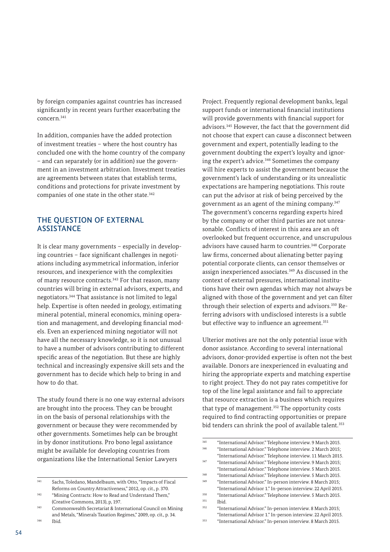by foreign companies against countries has increased significantly in recent years further exacerbating the concern.341

In addition, companies have the added protection of investment treaties – where the host country has concluded one with the home country of the company – and can separately (or in addition) sue the government in an investment arbitration. Investment treaties are agreements between states that establish terms, conditions and protections for private investment by companies of one state in the other state.<sup>342</sup>

# THE QUESTION OF EXTERNAL **ASSISTANCE**

It is clear many governments – especially in developing countries – face significant challenges in negotiations including asymmetrical information, inferior resources, and inexperience with the complexities of many resource contracts.<sup>343</sup> For that reason, many countries will bring in external advisors, experts, and negotiators.344 That assistance is not limited to legal help. Expertise is often needed in geology, estimating mineral potential, mineral economics, mining operation and management, and developing financial models. Even an experienced mining negotiator will not have all the necessary knowledge, so it is not unusual to have a number of advisors contributing to different specific areas of the negotiation. But these are highly technical and increasingly expensive skill sets and the government has to decide which help to bring in and how to do that.

The study found there is no one way external advisors are brought into the process. They can be brought in on the basis of personal relationships with the government or because they were recommended by other governments. Sometimes help can be brought in by donor institutions. Pro bono legal assistance might be available for developing countries from organizations like the International Senior Lawyers

Project. Frequently regional development banks, legal support funds or international financial institutions will provide governments with financial support for advisors.345 However, the fact that the government did not choose that expert can cause a disconnect between government and expert, potentially leading to the government doubting the expert's loyalty and ignoring the expert's advice.<sup>346</sup> Sometimes the company will hire experts to assist the government because the government's lack of understanding or its unrealistic expectations are hampering negotiations. This route can put the advisor at risk of being perceived by the government as an agent of the mining company.347 The government's concerns regarding experts hired by the company or other third parties are not unreasonable. Conflicts of interest in this area are an oft overlooked but frequent occurrence, and unscrupulous advisors have caused harm to countries.<sup>348</sup> Corporate law firms, concerned about alienating better paying potential corporate clients, can censor themselves or assign inexperienced associates.<sup>349</sup> As discussed in the context of external pressures, international institutions have their own agendas which may not always be aligned with those of the government and yet can filter through their selection of experts and advisors.350 Referring advisors with undisclosed interests is a subtle but effective way to influence an agreement.<sup>351</sup>

Ulterior motives are not the only potential issue with donor assistance. According to several international advisors, donor-provided expertise is often not the best available. Donors are inexperienced in evaluating and hiring the appropriate experts and matching expertise to right project. They do not pay rates competitive for top of the line legal assistance and fail to appreciate that resource extraction is a business which requires that type of management.<sup>352</sup> The opportunity costs required to find contracting opportunities or prepare bid tenders can shrink the pool of available talent.<sup>353</sup>

<sup>341</sup> Sachs, Toledano, Mandelbaum, with Otto, "Impacts of Fiscal Reforms on Country Attractiveness," 2012, op. cit., p. 370.

<sup>&</sup>lt;sup>342</sup> "Mining Contracts: How to Read and Understand Them," (Creative Commons, 2013), p, 197.

<sup>343</sup> Commonwealth Secretariat & International Council on Mining and Metals, "Minerals Taxation Regimes," 2009, op. cit., p. 34. <sup>344</sup> Ibid.

 $\frac{345}{345}$  "International Advisor." Telephone interview. 9 March 2015. <sup>346</sup> "International Advisor." Telephone interview. 2 March 2015;

<sup>&</sup>quot;International Advisor." Telephone interview. 11 March 2015. <sup>347</sup> "International Advisor." Telephone interview. 9 March 2015;

<sup>&</sup>quot;International Advisor." Telephone interview. 5 March 2015.

<sup>348</sup> "International Advisor." Telephone interview. 5 March 2015.

<sup>349</sup> "International Advisor." In-person interview. 8 March 2015; "International Advisor 1." In-person interview. 22 April 2015.

<sup>&</sup>lt;sup>350</sup> "International Advisor." Telephone interview. 5 March 2015.  $351$  Ibid.<br> $352$  "Inte

<sup>352</sup> "International Advisor." In-person interview. 8 March 2015; "International Advisor 1." In-person interview. 22 April 2015.

<sup>353</sup> "International Advisor." In-person interview. 8 March 2015.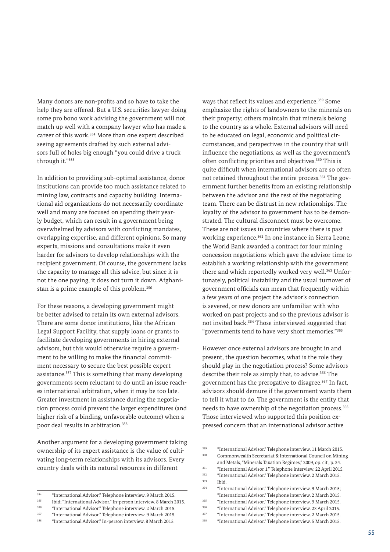Many donors are non-profits and so have to take the help they are offered. But a U.S. securities lawyer doing some pro bono work advising the government will not match up well with a company lawyer who has made a career of this work.354 More than one expert described seeing agreements drafted by such external advisors full of holes big enough "you could drive a truck through it."355

In addition to providing sub-optimal assistance, donor institutions can provide too much assistance related to mining law, contracts and capacity building. International aid organizations do not necessarily coordinate well and many are focused on spending their yearly budget, which can result in a government being overwhelmed by advisors with conflicting mandates, overlapping expertise, and different opinions. So many experts, missions and consultations make it even harder for advisors to develop relationships with the recipient government. Of course, the government lacks the capacity to manage all this advice, but since it is not the one paying, it does not turn it down. Afghanistan is a prime example of this problem.356

For these reasons, a developing government might be better advised to retain its own external advisors. There are some donor institutions, like the African Legal Support Facility, that supply loans or grants to facilitate developing governments in hiring external advisors, but this would otherwise require a government to be willing to make the financial commitment necessary to secure the best possible expert assistance.357 This is something that many developing governments seem reluctant to do until an issue reaches international arbitration, when it may be too late. Greater investment in assistance during the negotiation process could prevent the larger expenditures (and higher risk of a binding, unfavorable outcome) when a poor deal results in arbitration.358

Another argument for a developing government taking ownership of its expert assistance is the value of cultivating long-term relationships with its advisors. Every country deals with its natural resources in different

<sup>357</sup> "International Advisor." Telephone interview. 9 March 2015.

ways that reflect its values and experience.<sup>359</sup> Some emphasize the rights of landowners to the minerals on their property; others maintain that minerals belong to the country as a whole. External advisors will need to be educated on legal, economic and political circumstances, and perspectives in the country that will influence the negotiations, as well as the government's often conflicting priorities and objectives.<sup>360</sup> This is quite difficult when international advisors are so often not retained throughout the entire process.<sup>361</sup> The government further benefits from an existing relationship between the advisor and the rest of the negotiating team. There can be distrust in new relationships. The loyalty of the advisor to government has to be demonstrated. The cultural disconnect must be overcome. These are not issues in countries where there is past working experience.<sup>362</sup> In one instance in Sierra Leone, the World Bank awarded a contract for four mining concession negotiations which gave the advisor time to establish a working relationship with the government there and which reportedly worked very well.<sup>363</sup> Unfortunately, political instability and the usual turnover of government officials can mean that frequently within a few years of one project the advisor's connection is severed, or new donors are unfamiliar with who worked on past projects and so the previous advisor is not invited back.364 Those interviewed suggested that "governments tend to have very short memories."365

However once external advisors are brought in and present, the question becomes, what is the role they should play in the negotiation process? Some advisors describe their role as simply that, to advise.<sup>366</sup> The government has the prerogative to disagree.<sup>367</sup> In fact, advisors should demure if the government wants them to tell it what to do. The government is the entity that needs to have ownership of the negotiation process.<sup>368</sup> Those interviewed who supported this position expressed concern that an international advisor active

<sup>354</sup> "International Advisor." Telephone interview. 9 March 2015.

<sup>355</sup> Ibid; "International Advisor." In-person interview. 8 March 2015.

<sup>356</sup> "International Advisor." Telephone interview. 2 March 2015.

<sup>358</sup> "International Advisor." In-person interview. 8 March 2015.

<sup>&</sup>lt;sup>359</sup> "International Advisor." Telephone interview. 11 March 2015. <sup>360</sup> Commonwealth Secretariat & International Council on Mining and Metals, "Minerals Taxation Regimes," 2009, op. cit., p. 34.

<sup>361</sup> "International Advisor 1." Telephone interview. 22 April 2015.

<sup>362</sup> "International Advisor." Telephone interview. 2 March 2015.  $363$  Ibid.<br> $364$  "Inte

<sup>364</sup> "International Advisor." Telephone interview. 9 March 2015; "International Advisor." Telephone interview. 2 March 2015.

<sup>365</sup> "International Advisor." Telephone interview. 9 March 2015. <sup>366</sup> "International Advisor." Telephone interview. 23 April 2015.

<sup>367</sup> "International Advisor." Telephone interview. 2 March 2015. <sup>368</sup> "International Advisor." Telephone interview. 5 March 2015.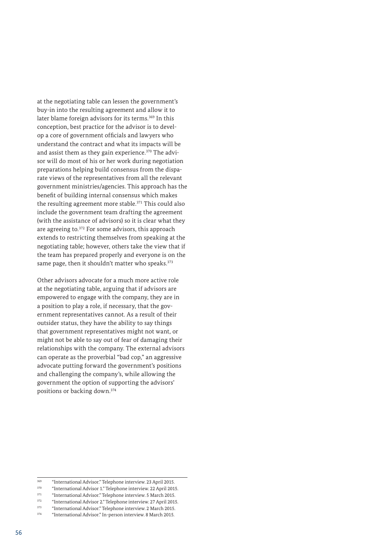at the negotiating table can lessen the government's buy-in into the resulting agreement and allow it to later blame foreign advisors for its terms.<sup>369</sup> In this conception, best practice for the advisor is to develop a core of government officials and lawyers who understand the contract and what its impacts will be and assist them as they gain experience.370 The advisor will do most of his or her work during negotiation preparations helping build consensus from the disparate views of the representatives from all the relevant government ministries/agencies. This approach has the benefit of building internal consensus which makes the resulting agreement more stable.<sup>371</sup> This could also include the government team drafting the agreement (with the assistance of advisors) so it is clear what they are agreeing to.372 For some advisors, this approach extends to restricting themselves from speaking at the negotiating table; however, others take the view that if the team has prepared properly and everyone is on the same page, then it shouldn't matter who speaks.<sup>373</sup>

Other advisors advocate for a much more active role at the negotiating table, arguing that if advisors are empowered to engage with the company, they are in a position to play a role, if necessary, that the government representatives cannot. As a result of their outsider status, they have the ability to say things that government representatives might not want, or might not be able to say out of fear of damaging their relationships with the company. The external advisors can operate as the proverbial "bad cop," an aggressive advocate putting forward the government's positions and challenging the company's, while allowing the government the option of supporting the advisors' positions or backing down.374

<sup>369</sup> "International Advisor." Telephone interview. 23 April 2015.

<sup>370</sup> "International Advisor 1." Telephone interview. 22 April 2015.

<sup>&</sup>lt;sup>371</sup> "International Advisor." Telephone interview. 5 March 2015.

 $372$  "International Advisor 2." Telephone interview. 27 April 2015. <sup>373</sup> "International Advisor." Telephone interview. 2 March 2015.

<sup>374</sup> "International Advisor." In-person interview. 8 March 2015.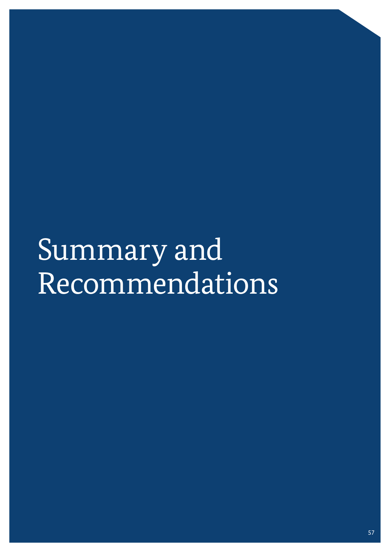# Summary and Recommendations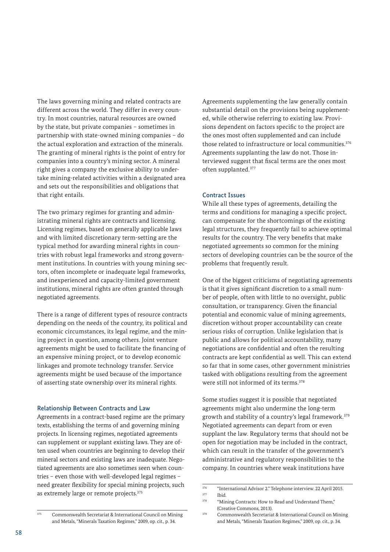The laws governing mining and related contracts are different across the world. They differ in every country. In most countries, natural resources are owned by the state, but private companies – sometimes in partnership with state-owned mining companies – do the actual exploration and extraction of the minerals. The granting of mineral rights is the point of entry for companies into a country's mining sector. A mineral right gives a company the exclusive ability to undertake mining-related activities within a designated area and sets out the responsibilities and obligations that that right entails.

The two primary regimes for granting and administrating mineral rights are contracts and licensing. Licensing regimes, based on generally applicable laws and with limited discretionary term-setting are the typical method for awarding mineral rights in countries with robust legal frameworks and strong government institutions. In countries with young mining sectors, often incomplete or inadequate legal frameworks, and inexperienced and capacity-limited government institutions, mineral rights are often granted through negotiated agreements.

There is a range of different types of resource contracts depending on the needs of the country, its political and economic circumstances, its legal regime, and the mining project in question, among others. Joint venture agreements might be used to facilitate the financing of an expensive mining project, or to develop economic linkages and promote technology transfer. Service agreements might be used because of the importance of asserting state ownership over its mineral rights.

#### Relationship Between Contracts and Law

Agreements in a contract-based regime are the primary texts, establishing the terms of and governing mining projects. In licensing regimes, negotiated agreements can supplement or supplant existing laws. They are often used when countries are beginning to develop their mineral sectors and existing laws are inadequate. Negotiated agreements are also sometimes seen when countries – even those with well-developed legal regimes – need greater flexibility for special mining projects, such as extremely large or remote projects.<sup>375</sup>

Agreements supplementing the law generally contain substantial detail on the provisions being supplemented, while otherwise referring to existing law. Provisions dependent on factors specific to the project are the ones most often supplemented and can include those related to infrastructure or local communities.<sup>376</sup> Agreements supplanting the law do not. Those interviewed suggest that fiscal terms are the ones most often supplanted.377

#### Contract Issues

While all these types of agreements, detailing the terms and conditions for managing a specific project, can compensate for the shortcomings of the existing legal structures, they frequently fail to achieve optimal results for the country. The very benefits that make negotiated agreements so common for the mining sectors of developing countries can be the source of the problems that frequently result.

One of the biggest criticisms of negotiating agreements is that it gives significant discretion to a small number of people, often with little to no oversight, public consultation, or transparency. Given the financial potential and economic value of mining agreements, discretion without proper accountability can create serious risks of corruption. Unlike legislation that is public and allows for political accountability, many negotiations are confidential and often the resulting contracts are kept confidential as well. This can extend so far that in some cases, other government ministries tasked with obligations resulting from the agreement were still not informed of its terms.<sup>378</sup>

Some studies suggest it is possible that negotiated agreements might also undermine the long-term growth and stability of a country's legal framework.379 Negotiated agreements can depart from or even supplant the law. Regulatory terms that should not be open for negotiation may be included in the contract, which can result in the transfer of the government's administrative and regulatory responsibilities to the company. In countries where weak institutions have

(Creative Commons, 2013).

<sup>376</sup> "International Advisor 2." Telephone interview. 22 April 2015.  $377$  Ibid. "Mining Contracts: How to Read and Understand Them,"

<sup>&</sup>lt;sup>375</sup> Commonwealth Secretariat & International Council on Mining and Metals, "Minerals Taxation Regimes," 2009, op. cit., p. 34.

<sup>379</sup> Commonwealth Secretariat & International Council on Mining and Metals, "Minerals Taxation Regimes," 2009, op. cit., p. 34.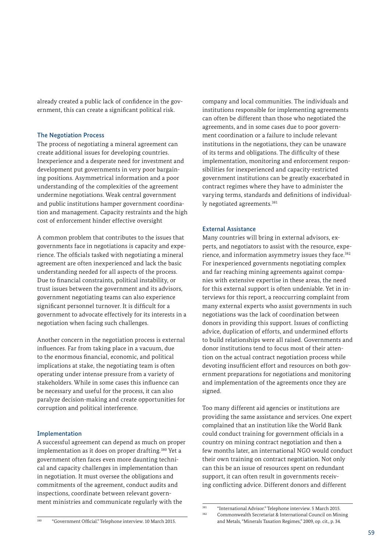already created a public lack of confidence in the government, this can create a significant political risk.

#### The Negotiation Process

The process of negotiating a mineral agreement can create additional issues for developing countries. Inexperience and a desperate need for investment and development put governments in very poor bargaining positions. Asymmetrical information and a poor understanding of the complexities of the agreement undermine negotiations. Weak central government and public institutions hamper government coordination and management. Capacity restraints and the high cost of enforcement hinder effective oversight

A common problem that contributes to the issues that governments face in negotiations is capacity and experience. The officials tasked with negotiating a mineral agreement are often inexperienced and lack the basic understanding needed for all aspects of the process. Due to financial constraints, political instability, or trust issues between the government and its advisors, government negotiating teams can also experience significant personnel turnover. It is difficult for a government to advocate effectively for its interests in a negotiation when facing such challenges.

Another concern in the negotiation process is external influences. Far from taking place in a vacuum, due to the enormous financial, economic, and political implications at stake, the negotiating team is often operating under intense pressure from a variety of stakeholders. While in some cases this influence can be necessary and useful for the process, it can also paralyze decision-making and create opportunities for corruption and political interference.

#### Implementation

A successful agreement can depend as much on proper implementation as it does on proper drafting.380 Yet a government often faces even more daunting technical and capacity challenges in implementation than in negotiation. It must oversee the obligations and commitments of the agreement, conduct audits and inspections, coordinate between relevant government ministries and communicate regularly with the

company and local communities. The individuals and institutions responsible for implementing agreements can often be different than those who negotiated the agreements, and in some cases due to poor government coordination or a failure to include relevant institutions in the negotiations, they can be unaware of its terms and obligations. The difficulty of these implementation, monitoring and enforcement responsibilities for inexperienced and capacity-restricted government institutions can be greatly exacerbated in contract regimes where they have to administer the varying terms, standards and definitions of individually negotiated agreements.<sup>381</sup>

#### External Assistance

Many countries will bring in external advisors, experts, and negotiators to assist with the resource, experience, and information asymmetry issues they face.<sup>382</sup> For inexperienced governments negotiating complex and far reaching mining agreements against companies with extensive expertise in these areas, the need for this external support is often undeniable. Yet in interviews for this report, a reoccurring complaint from many external experts who assist governments in such negotiations was the lack of coordination between donors in providing this support. Issues of conflicting advice, duplication of efforts, and undermined efforts to build relationships were all raised. Governments and donor institutions tend to focus most of their attention on the actual contract negotiation process while devoting insufficient effort and resources on both government preparations for negotiations and monitoring and implementation of the agreements once they are signed.

Too many different aid agencies or institutions are providing the same assistance and services. One expert complained that an institution like the World Bank could conduct training for government officials in a country on mining contract negotiation and then a few months later, an international NGO would conduct their own training on contract negotiation. Not only can this be an issue of resources spent on redundant support, it can often result in governments receiving conflicting advice. Different donors and different

<sup>&</sup>lt;sup>381</sup> "International Advisor." Telephone interview. 5 March 2015.

<sup>380</sup> "Government Official." Telephone interview. 10 March 2015.

<sup>382</sup> Commonwealth Secretariat & International Council on Mining

and Metals, "Minerals Taxation Regimes," 2009, op. cit., p. 34.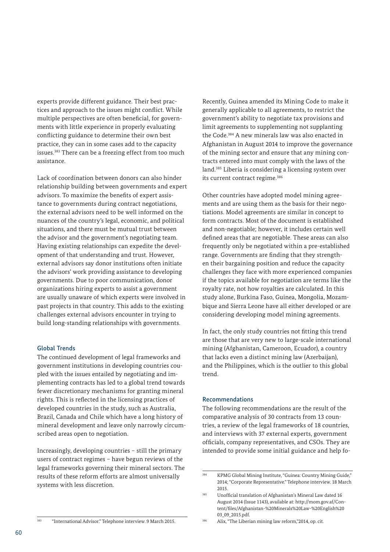experts provide different guidance. Their best practices and approach to the issues might conflict. While multiple perspectives are often beneficial, for governments with little experience in properly evaluating conflicting guidance to determine their own best practice, they can in some cases add to the capacity issues.383 There can be a freezing effect from too much assistance.

Lack of coordination between donors can also hinder relationship building between governments and expert advisors. To maximize the benefits of expert assistance to governments during contract negotiations, the external advisors need to be well informed on the nuances of the country's legal, economic, and political situations, and there must be mutual trust between the advisor and the government's negotiating team. Having existing relationships can expedite the development of that understanding and trust. However, external advisors say donor institutions often initiate the advisors' work providing assistance to developing governments. Due to poor communication, donor organizations hiring experts to assist a government are usually unaware of which experts were involved in past projects in that country. This adds to the existing challenges external advisors encounter in trying to build long-standing relationships with governments.

#### Global Trends

The continued development of legal frameworks and government institutions in developing countries coupled with the issues entailed by negotiating and implementing contracts has led to a global trend towards fewer discretionary mechanisms for granting mineral rights. This is reflected in the licensing practices of developed countries in the study, such as Australia, Brazil, Canada and Chile which have a long history of mineral development and leave only narrowly circumscribed areas open to negotiation.

Increasingly, developing countries – still the primary users of contract regimes – have begun reviews of the legal frameworks governing their mineral sectors. The results of these reform efforts are almost universally systems with less discretion.

Recently, Guinea amended its Mining Code to make it generally applicable to all agreements, to restrict the government's ability to negotiate tax provisions and limit agreements to supplementing not supplanting the Code.384 A new minerals law was also enacted in Afghanistan in August 2014 to improve the governance of the mining sector and ensure that any mining contracts entered into must comply with the laws of the land.385 Liberia is considering a licensing system over its current contract regime.<sup>386</sup>

Other countries have adopted model mining agreements and are using them as the basis for their negotiations. Model agreements are similar in concept to form contracts. Most of the document is established and non-negotiable; however, it includes certain well defined areas that are negotiable. These areas can also frequently only be negotiated within a pre-established range. Governments are finding that they strengthen their bargaining position and reduce the capacity challenges they face with more experienced companies if the topics available for negotiation are terms like the royalty rate, not how royalties are calculated. In this study alone, Burkina Faso, Guinea, Mongolia, Mozambique and Sierra Leone have all either developed or are considering developing model mining agreements.

In fact, the only study countries not fitting this trend are those that are very new to large-scale international mining (Afghanistan, Cameroon, Ecuador), a country that lacks even a distinct mining law (Azerbaijan), and the Philippines, which is the outlier to this global trend.

#### Recommendations

The following recommendations are the result of the comparative analysis of 30 contracts from 13 countries, a review of the legal frameworks of 18 countries, and interviews with 37 external experts, government officials, company representatives, and CSOs. They are intended to provide some initial guidance and help fo-

Alix, "The Liberian mining law reform,"2014, op. cit.

<sup>384</sup> KPMG Global Mining Institute, "Guinea: Country Mining Guide," 2014; "Corporate Representative." Telephone interview. 18 March 2015.

<sup>&</sup>lt;sup>385</sup> Unofficial translation of Afghanistan's Mineral Law dated 16 August 2014 (Issue 1143), available at: [http://mom.gov.af/Con](http://mom.gov.af/Content/files/Afghanistan-%20Minerals%20Law-%20English%2003_09_2015.pdf)[tent/files/Afghanistan-%20Minerals%20Law-%20English%20](http://mom.gov.af/Content/files/Afghanistan-%20Minerals%20Law-%20English%2003_09_2015.pdf) [03\\_09\\_2015.pdf](http://mom.gov.af/Content/files/Afghanistan-%20Minerals%20Law-%20English%2003_09_2015.pdf).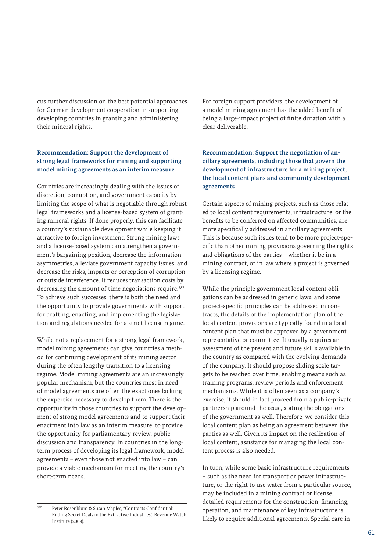cus further discussion on the best potential approaches for German development cooperation in supporting developing countries in granting and administering their mineral rights.

### **Recommendation: Support the development of strong legal frameworks for mining and supporting model mining agreements as an interim measure**

Countries are increasingly dealing with the issues of discretion, corruption, and government capacity by limiting the scope of what is negotiable through robust legal frameworks and a license-based system of granting mineral rights. If done properly, this can facilitate a country's sustainable development while keeping it attractive to foreign investment. Strong mining laws and a license-based system can strengthen a government's bargaining position, decrease the information asymmetries, alleviate government capacity issues, and decrease the risks, impacts or perception of corruption or outside interference. It reduces transaction costs by decreasing the amount of time negotiations require.<sup>387</sup> To achieve such successes, there is both the need and the opportunity to provide governments with support for drafting, enacting, and implementing the legislation and regulations needed for a strict license regime.

While not a replacement for a strong legal framework, model mining agreements can give countries a method for continuing development of its mining sector during the often lengthy transition to a licensing regime. Model mining agreements are an increasingly popular mechanism, but the countries most in need of model agreements are often the exact ones lacking the expertise necessary to develop them. There is the opportunity in those countries to support the development of strong model agreements and to support their enactment into law as an interim measure, to provide the opportunity for parliamentary review, public discussion and transparency. In countries in the longterm process of developing its legal framework, model agreements – even those not enacted into law – can provide a viable mechanism for meeting the country's short-term needs.

For foreign support providers, the development of a model mining agreement has the added benefit of being a large-impact project of finite duration with a clear deliverable.

### **Recommendation: Support the negotiation of ancillary agreements, including those that govern the development of infrastructure for a mining project, the local content plans and community development agreements**

Certain aspects of mining projects, such as those related to local content requirements, infrastructure, or the benefits to be conferred on affected communities, are more specifically addressed in ancillary agreements. This is because such issues tend to be more project-specific than other mining provisions governing the rights and obligations of the parties – whether it be in a mining contract, or in law where a project is governed by a licensing regime.

While the principle government local content obligations can be addressed in generic laws, and some project-specific principles can be addressed in contracts, the details of the implementation plan of the local content provisions are typically found in a local content plan that must be approved by a government representative or committee. It usually requires an assessment of the present and future skills available in the country as compared with the evolving demands of the company. It should propose sliding scale targets to be reached over time, enabling means such as training programs, review periods and enforcement mechanisms. While it is often seen as a company's exercise, it should in fact proceed from a public-private partnership around the issue, stating the obligations of the government as well. Therefore, we consider this local content plan as being an agreement between the parties as well. Given its impact on the realization of local content, assistance for managing the local content process is also needed.

In turn, while some basic infrastructure requirements – such as the need for transport or power infrastructure, or the right to use water from a particular source, may be included in a mining contract or license, detailed requirements for the construction, financing, operation, and maintenance of key infrastructure is likely to require additional agreements. Special care in

<sup>387</sup> Peter Rosenblum & Susan Maples, "Contracts Confidential: Ending Secret Deals in the Extractive Industries," Revenue Watch Institute (2009).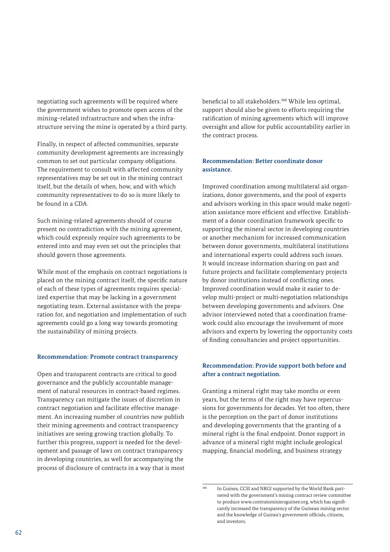negotiating such agreements will be required where the government wishes to promote open access of the mining–related infrastructure and when the infrastructure serving the mine is operated by a third party.

Finally, in respect of affected communities, separate community development agreements are increasingly common to set out particular company obligations. The requirement to consult with affected community representatives may be set out in the mining contract itself, but the details of when, how, and with which community representatives to do so is more likely to be found in a CDA.

Such mining-related agreements should of course present no contradiction with the mining agreement, which could expressly require such agreements to be entered into and may even set out the principles that should govern those agreements.

While most of the emphasis on contract negotiations is placed on the mining contract itself, the specific nature of each of these types of agreements requires specialized expertise that may be lacking in a government negotiating team. External assistance with the preparation for, and negotiation and implementation of such agreements could go a long way towards promoting the sustainability of mining projects.

#### **Recommendation: Promote contract transparency**

Open and transparent contracts are critical to good governance and the publicly accountable management of natural resources in contract-based regimes. Transparency can mitigate the issues of discretion in contract negotiation and facilitate effective management. An increasing number of countries now publish their mining agreements and contract transparency initiatives are seeing growing traction globally. To further this progress, support is needed for the development and passage of laws on contract transparency in developing countries, as well for accompanying the process of disclosure of contracts in a way that is most beneficial to all stakeholders.<sup>388</sup> While less optimal, support should also be given to efforts requiring the ratification of mining agreements which will improve oversight and allow for public accountability earlier in the contract process.

#### **Recommendation: Better coordinate donor assistance.**

Improved coordination among multilateral aid organizations, donor governments, and the pool of experts and advisors working in this space would make negotiation assistance more efficient and effective. Establishment of a donor coordination framework specific to supporting the mineral sector in developing countries or another mechanism for increased communication between donor governments, multilateral institutions and international experts could address such issues. It would increase information sharing on past and future projects and facilitate complementary projects by donor institutions instead of conflicting ones. Improved coordination would make it easier to develop multi-project or multi-negotiation relationships between developing governments and advisors. One advisor interviewed noted that a coordination framework could also encourage the involvement of more advisors and experts by lowering the opportunity costs of finding consultancies and project opportunities.

#### **Recommendation: Provide support both before and after a contract negotiation.**

Granting a mineral right may take months or even years, but the terms of the right may have repercussions for governments for decades. Yet too often, there is the perception on the part of donor institutions and developing governments that the granting of a mineral right is the final endpoint. Donor support in advance of a mineral right might include geological mapping, financial modeling, and business strategy

<sup>&</sup>lt;sup>388</sup> In Guinea, CCSI and NRGI supported by the World Bank partnered with the government's mining contract review committee to produce www.contratsminiersguinee.org, which has significantly increased the transparency of the Guinean mining sector and the knowledge of Guinea's government officials, citizens, and investors.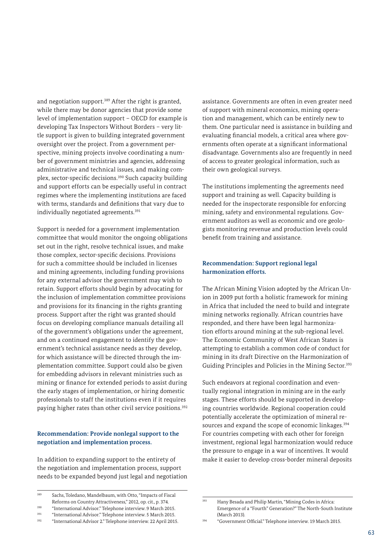and negotiation support.<sup>389</sup> After the right is granted, while there may be donor agencies that provide some level of implementation support – OECD for example is developing Tax Inspectors Without Borders – very little support is given to building integrated government oversight over the project. From a government perspective, mining projects involve coordinating a number of government ministries and agencies, addressing administrative and technical issues, and making complex, sector-specific decisions.390 Such capacity building and support efforts can be especially useful in contract regimes where the implementing institutions are faced with terms, standards and definitions that vary due to individually negotiated agreements.<sup>391</sup>

Support is needed for a government implementation committee that would monitor the ongoing obligations set out in the right, resolve technical issues, and make those complex, sector-specific decisions. Provisions for such a committee should be included in licenses and mining agreements, including funding provisions for any external advisor the government may wish to retain. Support efforts should begin by advocating for the inclusion of implementation committee provisions and provisions for its financing in the rights granting process. Support after the right was granted should focus on developing compliance manuals detailing all of the government's obligations under the agreement, and on a continued engagement to identify the government's technical assistance needs as they develop, for which assistance will be directed through the implementation committee. Support could also be given for embedding advisors in relevant ministries such as mining or finance for extended periods to assist during the early stages of implementation, or hiring domestic professionals to staff the institutions even if it requires paying higher rates than other civil service positions.392

#### **Recommendation: Provide nonlegal support to the negotiation and implementation process.**

In addition to expanding support to the entirety of the negotiation and implementation process, support needs to be expanded beyond just legal and negotiation assistance. Governments are often in even greater need of support with mineral economics, mining operation and management, which can be entirely new to them. One particular need is assistance in building and evaluating financial models, a critical area where governments often operate at a significant informational disadvantage. Governments also are frequently in need of access to greater geological information, such as their own geological surveys.

The institutions implementing the agreements need support and training as well. Capacity building is needed for the inspectorate responsible for enforcing mining, safety and environmental regulations. Government auditors as well as economic and ore geologists monitoring revenue and production levels could benefit from training and assistance.

#### **Recommendation: Support regional legal harmonization efforts.**

The African Mining Vision adopted by the African Union in 2009 put forth a holistic framework for mining in Africa that included the need to build and integrate mining networks regionally. African countries have responded, and there have been legal harmonization efforts around mining at the sub-regional level. The Economic Community of West African States is attempting to establish a common code of conduct for mining in its draft Directive on the Harmonization of Guiding Principles and Policies in the Mining Sector.<sup>393</sup>

Such endeavors at regional coordination and eventually regional integration in mining are in the early stages. These efforts should be supported in developing countries worldwide. Regional cooperation could potentially accelerate the optimization of mineral resources and expand the scope of economic linkages.<sup>394</sup> For countries competing with each other for foreign investment, regional legal harmonization would reduce the pressure to engage in a war of incentives. It would make it easier to develop cross-border mineral deposits

<sup>389</sup> Sachs, Toledano, Mandelbaum, with Otto, "Impacts of Fiscal Reforms on Country Attractiveness," 2012, op. cit., p. 374. <sup>390</sup> "International Advisor." Telephone interview. 9 March 2015.

<sup>&</sup>lt;sup>391</sup> "International Advisor." Telephone interview. 5 March 2015.<br><sup>392</sup> "International Advisor.<sup>2</sup>" Telephone interview. 22 April 2014

<sup>392</sup> "International Advisor 2." Telephone interview. 22 April 2015.

<sup>393</sup> Hany Besada and Philip Martin, "Mining Codes in Africa: Emergence of a "Fourth" Generation?" The North-South Institute (March 2013)

<sup>394</sup> "Government Official." Telephone interview. 19 March 2015.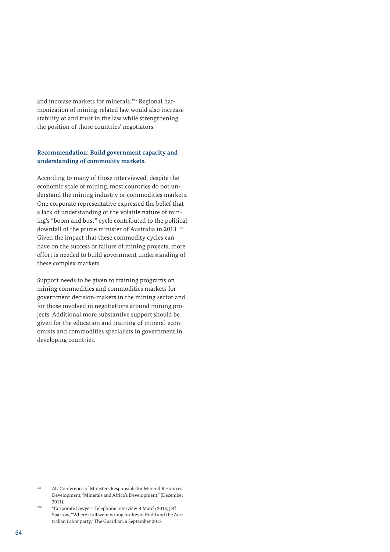and increase markets for minerals.<sup>395</sup> Regional harmonization of mining-related law would also increase stability of and trust in the law while strengthening the position of those countries' negotiators.

#### **Recommendation: Build government capacity and understanding of commodity markets.**

According to many of those interviewed, despite the economic scale of mining, most countries do not understand the mining industry or commodities markets. One corporate representative expressed the belief that a lack of understanding of the volatile nature of mining's "boom and bust" cycle contributed to the political downfall of the prime minister of Australia in 2013.396 Given the impact that these commodity cycles can have on the success or failure of mining projects, more effort is needed to build government understanding of these complex markets.

Support needs to be given to training programs on mining commodities and commodities markets for government decision-makers in the mining sector and for those involved in negotiations around mining projects. Additional more substantive support should be given for the education and training of mineral economists and commodities specialists in government in developing countries.

<sup>395</sup> AU Conference of Ministers Responsible for Mineral Resources Development, "Minerals and Africa's Development," (December 2011).

<sup>396</sup> "Corporate Lawyer." Telephone interview. 4 March 2015; Jeff Sparrow, "Where it all went wrong for Kevin Rudd and the Australian Labor party," The Guardian, 6 September 2013.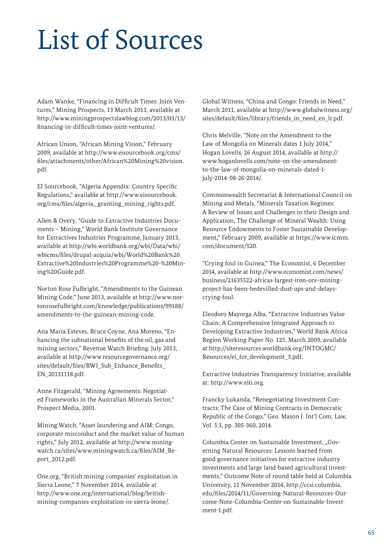# List of Sources

Adam Wanke, "Financing in Difficult Times: Joint Ventures," Mining Prospects, 13 March 2013, available at [http://www.miningprospectslawblog.com/2013/03/13/](http://www.miningprospectslawblog.com/2013/03/13/financing-in-difficult-times-joint-ventures/) [financing-in-difficult-times-joint-ventures/.](http://www.miningprospectslawblog.com/2013/03/13/financing-in-difficult-times-joint-ventures/)

African Union, "African Mining Vision," February 2009, available at [http://www.eisourcebook.org/cms/](http://www.eisourcebook.org/cms/files/attachments/other/African%20Mining%20vision.pdf) [files/attachments/other/African%20Mining%20vision.](http://www.eisourcebook.org/cms/files/attachments/other/African%20Mining%20vision.pdf) [pdf.](http://www.eisourcebook.org/cms/files/attachments/other/African%20Mining%20vision.pdf)

EI Sourcebook, "Algeria Appendix: Country Specific Regulations," available at [http://www.eisourcebook.](http://www.eisourcebook.org/cms/files/algeria,_granting_mining_rights.pdf) [org/cms/files/algeria,\\_granting\\_mining\\_rights.pdf.](http://www.eisourcebook.org/cms/files/algeria,_granting_mining_rights.pdf)

Allen & Overy, "Guide to Extractive Industries Documents – Mining," World Bank Institute Governance for Extractives Industries Programme, January 2013, available at [http://wbi.worldbank.org/wbi/Data/wbi/](http://wbi.worldbank.org/wbi/Data/wbi/wbicms/files/drupal-acquia/wbi/World%20Bank%20Extractive%20Industries%20Programme%20-%20Mining%20Guide.pdf) [wbicms/files/drupal-acquia/wbi/World%20Bank%20](http://wbi.worldbank.org/wbi/Data/wbi/wbicms/files/drupal-acquia/wbi/World%20Bank%20Extractive%20Industries%20Programme%20-%20Mining%20Guide.pdf) [Extractive%20Industries%20Programme%20-%20Min](http://wbi.worldbank.org/wbi/Data/wbi/wbicms/files/drupal-acquia/wbi/World%20Bank%20Extractive%20Industries%20Programme%20-%20Mining%20Guide.pdf)[ing%20Guide.pdf](http://wbi.worldbank.org/wbi/Data/wbi/wbicms/files/drupal-acquia/wbi/World%20Bank%20Extractive%20Industries%20Programme%20-%20Mining%20Guide.pdf).

Norton Rose Fulbright, "Amendments to the Guinean Mining Code," June 2013, available at [http://www.nor](http://www.nortonrosefulbright.com/knowledge/publications/99188/amendments-to-the-guinean-mining-code)[tonrosefulbright.com/knowledge/publications/99188/](http://www.nortonrosefulbright.com/knowledge/publications/99188/amendments-to-the-guinean-mining-code) [amendments-to-the-guinean-mining-code.](http://www.nortonrosefulbright.com/knowledge/publications/99188/amendments-to-the-guinean-mining-code)

Ana Maria Esteves, Bruce Coyne, Ana Moreno, "Enhancing the subnational benefits of the oil, gas and mining sectors," Revenue Watch Briefing, July 2013, available at [http://www.resourcegovernance.org/](http://www.resourcegovernance.org/sites/default/files/RWI_Sub_Enhance_Benefits_EN_20131118.pdf) [sites/default/files/RWI\\_Sub\\_Enhance\\_Benefits\\_](http://www.resourcegovernance.org/sites/default/files/RWI_Sub_Enhance_Benefits_EN_20131118.pdf) [EN\\_20131118.pdf.](http://www.resourcegovernance.org/sites/default/files/RWI_Sub_Enhance_Benefits_EN_20131118.pdf)

Anne Fitzgerald, "Mining Agreements: Negotiated Frameworks in the Australian Minerals Sector," Prospect Media, 2001.

Mining Watch, "Asset laundering and AIM: Congo, corporate misconduct and the market value of human rights," July 2012, available at [http://www.mining](http://www.miningwatch.ca/sites/www.miningwatch.ca/files/AIM_Report_2012.pdf)[watch.ca/sites/www.miningwatch.ca/files/AIM\\_Re](http://www.miningwatch.ca/sites/www.miningwatch.ca/files/AIM_Report_2012.pdf)[port\\_2012.pdf.](http://www.miningwatch.ca/sites/www.miningwatch.ca/files/AIM_Report_2012.pdf)

One.org, "British mining companies' exploitation in Sierra Leone," 7 November 2014, available at [http://www.one.org/international/blog/british](http://www.one.org/international/blog/british-mining-companies-exploitation-in-sierra-leone/)[mining-companies-exploitation-in-sierra-leone/](http://www.one.org/international/blog/british-mining-companies-exploitation-in-sierra-leone/).

Global Witness, "China and Congo: Friends in Need," March 2011, available at [http://www.globalwitness.org/](http://www.globalwitness.org/sites/default/files/library/friends_in_need_en_lr.pdf) [sites/default/files/library/friends\\_in\\_need\\_en\\_lr.pdf](http://www.globalwitness.org/sites/default/files/library/friends_in_need_en_lr.pdf).

Chris Melville, "Note on the Amendment to the Law of Mongolia on Minerals dates 1 July 2014," Hogan Lovells, 26 August 2014, available at [http://](http://www.hoganlovells.com/note-on-the-amendment-to-the-law-of-mongolia-on-minerals-dated-1-july-2014-08-26-2014/) [www.hoganlovells.com/note-on-the-amendment](http://www.hoganlovells.com/note-on-the-amendment-to-the-law-of-mongolia-on-minerals-dated-1-july-2014-08-26-2014/)[to-the-law-of-mongolia-on-minerals-dated-1](http://www.hoganlovells.com/note-on-the-amendment-to-the-law-of-mongolia-on-minerals-dated-1-july-2014-08-26-2014/) [july-2014-08-26-2014/](http://www.hoganlovells.com/note-on-the-amendment-to-the-law-of-mongolia-on-minerals-dated-1-july-2014-08-26-2014/).

Commonwealth Secretariat & International Council on Mining and Metals, "Minerals Taxation Regimes: A Review of Issues and Challenges in their Design and Application, The Challenge of Mineral Wealth: Using Resource Endowments to Foster Sustainable Development," February 2009, available at https://www.icmm. com/document/520.

"Crying foul in Guinea," The Economist, 6 December 2014, available at [http://www.economist.com/news/](http://www.economist.com/news/business/21635522-africas-largest-iron-ore-mining-project-has-been-bedevilled-dust-ups-and-delays-crying-foul) [business/21635522-africas-largest-iron-ore-mining](http://www.economist.com/news/business/21635522-africas-largest-iron-ore-mining-project-has-been-bedevilled-dust-ups-and-delays-crying-foul)[project-has-been-bedevilled-dust-ups-and-delays](http://www.economist.com/news/business/21635522-africas-largest-iron-ore-mining-project-has-been-bedevilled-dust-ups-and-delays-crying-foul)[crying-foul](http://www.economist.com/news/business/21635522-africas-largest-iron-ore-mining-project-has-been-bedevilled-dust-ups-and-delays-crying-foul).

Eleodoro Mayorga Alba, "Extractive Industries Value Chain: A Comprehensive Integrated Approach to Developing Extractive Industries," World Bank Africa Region Working Paper No. 125, March 2009, available at [http://siteresources.worldbank.org/INTOGMC/](http://siteresources.worldbank.org/INTOGMC/Resources/ei_for_development_3.pdf.) [Resources/ei\\_for\\_development\\_3.pdf](http://siteresources.worldbank.org/INTOGMC/Resources/ei_for_development_3.pdf.).

Extractive Industries Transparency Initiative, available at: [http://www.eiti.org.](http://www.eiti.org)

Francky Lukanda, "Renegotiating Investment Contracts: The Case of Mining Contracts in Democratic Republic of the Congo," Geo. Mason J. Int'l Com. Law, Vol. 5:3, pp. 305-360, 2014.

Columbia Center on Sustainable Investment, "Governing Natural Resources: Lessons learned from good governance initiatives for extractive industry investments and large land-based agricultural investments," Outcome Note of round table held at Columbia University, 11 November 2014, [http://ccsi.columbia.](http://ccsi.columbia.edu/files/2014/11/Governing-Natural-Resources-Outcome-Note-Columbia-Center-on-Sustainable-Investment-1.pdf) [edu/files/2014/11/Governing-Natural-Resources-Out](http://ccsi.columbia.edu/files/2014/11/Governing-Natural-Resources-Outcome-Note-Columbia-Center-on-Sustainable-Investment-1.pdf)[come-Note-Columbia-Center-on-Sustainable-Invest](http://ccsi.columbia.edu/files/2014/11/Governing-Natural-Resources-Outcome-Note-Columbia-Center-on-Sustainable-Investment-1.pdf)[ment-1.pdf](http://ccsi.columbia.edu/files/2014/11/Governing-Natural-Resources-Outcome-Note-Columbia-Center-on-Sustainable-Investment-1.pdf).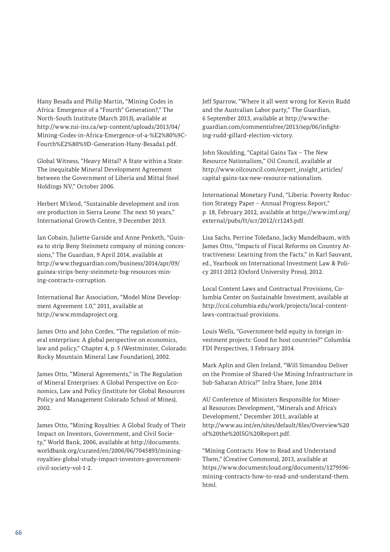Hany Besada and Philip Martin, "Mining Codes in Africa: Emergence of a "Fourth" Generation?," The North-South Institute (March 2013), available at [http://www.nsi-ins.ca/wp-content/uploads/2013/04/](http://www.nsi-ins.ca/wp-content/uploads/2013/04/Mining-Codes-in-Africa-Emergence-of-a-%E2%80%9CFourth%E2%80%9D-Generation-Hany-Besada1.pdf) [Mining-Codes-in-Africa-Emergence-of-a-%E2%80%9C-](http://www.nsi-ins.ca/wp-content/uploads/2013/04/Mining-Codes-in-Africa-Emergence-of-a-%E2%80%9CFourth%E2%80%9D-Generation-Hany-Besada1.pdf)[Fourth%E2%80%9D-Generation-Hany-Besada1.pdf](http://www.nsi-ins.ca/wp-content/uploads/2013/04/Mining-Codes-in-Africa-Emergence-of-a-%E2%80%9CFourth%E2%80%9D-Generation-Hany-Besada1.pdf).

Global Witness, "Heavy Mittal? A State within a State: The inequitable Mineral Development Agreement between the Government of Liberia and Mittal Steel Holdings NV," October 2006.

Herbert M'cleod, "Sustainable development and iron ore production in Sierra Leone: The next 50 years," International Growth Centre, 9 December 2013.

Ian Cobain, Juliette Garside and Anne Penketh, "Guinea to strip Beny Steinmetz company of mining concessions," The Guardian, 9 April 2014, available at [http://www.theguardian.com/business/2014/apr/09/](http://www.theguardian.com/business/2014/apr/09/guinea-strips-beny-steinmetz-bsg-resources-mining-contracts-corruption.) [guinea-strips-beny-steinmetz-bsg-resources-min](http://www.theguardian.com/business/2014/apr/09/guinea-strips-beny-steinmetz-bsg-resources-mining-contracts-corruption.)[ing-contracts-corruption.](http://www.theguardian.com/business/2014/apr/09/guinea-strips-beny-steinmetz-bsg-resources-mining-contracts-corruption.)

International Bar Association, "Model Mine Development Agreement 1.0," 2011, available at [http://www.mmdaproject.org](http://www.mmdaproject.org ).

James Otto and John Cordes, "The regulation of mineral enterprises: A global perspective on economics, law and policy," Chapter 4, p. 5 (Westminster, Colorado: Rocky Mountain Mineral Law Foundation), 2002.

James Otto, "Mineral Agreements," in The Regulation of Mineral Enterprises: A Global Perspective on Economics, Law and Policy (Institute for Global Resources Policy and Management Colorado School of Mines), 2002.

James Otto, "Mining Royalties: A Global Study of Their Impact on Investors, Government, and Civil Society," World Bank, 2006, available at [http://documents.](http://documents.worldbank.org/curated/en/2006/06/7045893/mining-royalties-global-study-impact-investors-government-civil-society-vol-1-2) [worldbank.org/curated/en/2006/06/7045893/mining](http://documents.worldbank.org/curated/en/2006/06/7045893/mining-royalties-global-study-impact-investors-government-civil-society-vol-1-2)[royalties-global-study-impact-investors-government](http://documents.worldbank.org/curated/en/2006/06/7045893/mining-royalties-global-study-impact-investors-government-civil-society-vol-1-2)[civil-society-vol-1-2.](http://documents.worldbank.org/curated/en/2006/06/7045893/mining-royalties-global-study-impact-investors-government-civil-society-vol-1-2)

Jeff Sparrow, "Where it all went wrong for Kevin Rudd and the Australian Labor party," The Guardian, 6 September 2013, available at [http://www.the](http://www.theguardian.com/commentisfree/2013/sep/06/infighting-rudd-gillard-election-victory)[guardian.com/commentisfree/2013/sep/06/infight](http://www.theguardian.com/commentisfree/2013/sep/06/infighting-rudd-gillard-election-victory)[ing-rudd-gillard-election-victory.](http://www.theguardian.com/commentisfree/2013/sep/06/infighting-rudd-gillard-election-victory)

John Skoulding, "Capital Gains Tax – The New Resource Nationalism," Oil Council, available at [http://www.oilcouncil.com/expert\\_insight\\_articles/](http://www.oilcouncil.com/expert_insight_articles/capital-gains-tax-new-resource-nationalism) [capital-gains-tax-new-resource-nationalism.](http://www.oilcouncil.com/expert_insight_articles/capital-gains-tax-new-resource-nationalism)

International Monetary Fund, "Liberia: Poverty Reduction Strategy Paper – Annual Progress Report," p. 18, February 2012, available at [https://www.imf.org/](https://www.imf.org/external/pubs/ft/scr/2012/cr1245.pdf.) [external/pubs/ft/scr/2012/cr1245.pdf](https://www.imf.org/external/pubs/ft/scr/2012/cr1245.pdf.).

Lisa Sachs, Perrine Toledano, Jacky Mandelbaum, with James Otto, "Impacts of Fiscal Reforms on Country Attractiveness: Learning from the Facts," in Karl Sauvant, ed., Yearbook on International Investment Law & Policy 2011-2012 (Oxford University Press), 2012.

Local Content Laws and Contractual Provisions, Columbia Center on Sustainable Investment, available at [http://ccsi.columbia.edu/work/projects/local-content](http://ccsi.columbia.edu/work/projects/local-content-laws-contractual-provisions)[laws-contractual-provisions](http://ccsi.columbia.edu/work/projects/local-content-laws-contractual-provisions).

Louis Wells, "Government-held equity in foreign investment projects: Good for host countries?" Columbia FDI Perspectives, 3 February 2014.

Mark Aplin and Glen Ireland, "Will Simandou Deliver on the Promise of Shared-Use Mining Infrastructure in Sub-Saharan Africa?" Infra Share, June 2014

AU Conference of Ministers Responsible for Mineral Resources Development, "Minerals and Africa's Development," December 2011, available at [http://www.au.int/en/sites/default/files/Overview%20](http://www.au.int/en/sites/default/files/Overview%20of%20the%20ISG%20Report.pdf) [of%20the%20ISG%20Report.pdf.](http://www.au.int/en/sites/default/files/Overview%20of%20the%20ISG%20Report.pdf)

"Mining Contracts: How to Read and Understand Them," (Creative Commons), 2013, available at [https://www.documentcloud.org/documents/1279596](https://www.documentcloud.org/documents/1279596-mining-contracts-how-to-read-and-understand-them.html) [mining-contracts-how-to-read-and-understand-them.](https://www.documentcloud.org/documents/1279596-mining-contracts-how-to-read-and-understand-them.html) [html](https://www.documentcloud.org/documents/1279596-mining-contracts-how-to-read-and-understand-them.html).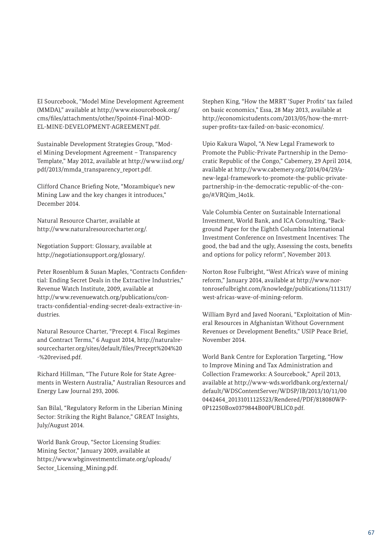EI Sourcebook, "Model Mine Development Agreement (MMDA)," available at [http://www.eisourcebook.org/](http://www.eisourcebook.org/cms/files/attachments/other/5point4-Final-MODEL-MINE-DEVELOPMENT-AGREEMENT.pdf) [cms/files/attachments/other/5point4-Final-MOD-](http://www.eisourcebook.org/cms/files/attachments/other/5point4-Final-MODEL-MINE-DEVELOPMENT-AGREEMENT.pdf)[EL-MINE-DEVELOPMENT-AGREEMENT.pdf.](http://www.eisourcebook.org/cms/files/attachments/other/5point4-Final-MODEL-MINE-DEVELOPMENT-AGREEMENT.pdf)

Sustainable Development Strategies Group, "Model Mining Development Agreement – Transparency Template," May 2012, available at [http://www.iisd.org/](http://www.iisd.org/pdf/2013/mmda_transparency_report.pdf) [pdf/2013/mmda\\_transparency\\_report.pdf.](http://www.iisd.org/pdf/2013/mmda_transparency_report.pdf)

Clifford Chance Briefing Note, "Mozambique's new Mining Law and the key changes it introduces," December 2014.

Natural Resource Charter, available at [http://www.naturalresourcecharter.org/.](http://www.naturalresourcecharter.org/)

Negotiation Support: Glossary, available at <http://negotiationsupport.org/glossary/>.

Peter Rosenblum & Susan Maples, "Contracts Confidential: Ending Secret Deals in the Extractive Industries," Revenue Watch Institute, 2009, available at [http://www.revenuewatch.org/publications/con](http://www.revenuewatch.org/publications/contracts-confidential-ending-secret-deals-extractive-industries)[tracts-confidential-ending-secret-deals-extractive-in](http://www.revenuewatch.org/publications/contracts-confidential-ending-secret-deals-extractive-industries)[dustries.](http://www.revenuewatch.org/publications/contracts-confidential-ending-secret-deals-extractive-industries)

Natural Resource Charter, "Precept 4. Fiscal Regimes and Contract Terms," 6 August 2014, [http://naturalre](http://naturalresourcecharter.org/sites/default/files/Precept%204%20-%20revised.pdf)[sourcecharter.org/sites/default/files/Precept%204%20](http://naturalresourcecharter.org/sites/default/files/Precept%204%20-%20revised.pdf) [-%20revised.pdf.](http://naturalresourcecharter.org/sites/default/files/Precept%204%20-%20revised.pdf)

Richard Hillman, "The Future Role for State Agreements in Western Australia," Australian Resources and Energy Law Journal 293, 2006.

San Bilal, "Regulatory Reform in the Liberian Mining Sector: Striking the Right Balance," GREAT Insights, July/August 2014.

World Bank Group, "Sector Licensing Studies: Mining Sector," January 2009, available at [https://www.wbginvestmentclimate.org/uploads/](https://www.wbginvestmentclimate.org/uploads/Sector_Licensing_Mining.pdf) [Sector\\_Licensing\\_Mining.pdf.](https://www.wbginvestmentclimate.org/uploads/Sector_Licensing_Mining.pdf)

Stephen King, "How the MRRT 'Super Profits' tax failed on basic economics," Essa, 28 May 2013, available at [http://economicstudents.com/2013/05/how-the-mrrt](http://economicstudents.com/2013/05/how-the-mrrt-super-profits-tax-failed-on-basic-economics/.)[super-profits-tax-failed-on-basic-economics/.](http://economicstudents.com/2013/05/how-the-mrrt-super-profits-tax-failed-on-basic-economics/.)

Upio Kakura Wapol, "A New Legal Framework to Promote the Public-Private Partnership in the Democratic Republic of the Congo," Cabemery, 29 April 2014, available at [http://www.cabemery.org/2014/04/29/a](http://www.cabemery.org/2014/04/29/a-new-legal-framework-to-promote-the-public-private-partnership-in-the-democratic-republic-of-the-congo/#.VRQim_l4o1k.)[new-legal-framework-to-promote-the-public-private](http://www.cabemery.org/2014/04/29/a-new-legal-framework-to-promote-the-public-private-partnership-in-the-democratic-republic-of-the-congo/#.VRQim_l4o1k.)[partnership-in-the-democratic-republic-of-the-con](http://www.cabemery.org/2014/04/29/a-new-legal-framework-to-promote-the-public-private-partnership-in-the-democratic-republic-of-the-congo/#.VRQim_l4o1k.)[go/#.VRQim\\_l4o1k.](http://www.cabemery.org/2014/04/29/a-new-legal-framework-to-promote-the-public-private-partnership-in-the-democratic-republic-of-the-congo/#.VRQim_l4o1k.)

Vale Columbia Center on Sustainable International Investment, World Bank, and ICA Consulting, "Background Paper for the Eighth Columbia International Investment Conference on Investment Incentives: The good, the bad and the ugly, Assessing the costs, benefits and options for policy reform", November 2013.

Norton Rose Fulbright, "West Africa's wave of mining reform," January 2014, available at [http://www.nor](http://www.nortonrosefulbright.com/knowledge/publications/111317/west-africas-wave-of-mining-reform)[tonrosefulbright.com/knowledge/publications/111317/](http://www.nortonrosefulbright.com/knowledge/publications/111317/west-africas-wave-of-mining-reform) [west-africas-wave-of-mining-reform.](http://www.nortonrosefulbright.com/knowledge/publications/111317/west-africas-wave-of-mining-reform)

William Byrd and Javed Noorani, "Exploitation of Mineral Resources in Afghanistan Without Government Revenues or Development Benefits," USIP Peace Brief, November 2014.

World Bank Centre for Exploration Targeting, "How to Improve Mining and Tax Administration and Collection Frameworks: A Sourcebook," April 2013, available at [http://www-wds.worldbank.org/external/](http://www-wds.worldbank.org/external/default/WDSContentServer/WDSP/IB/2013/10/11/000442464_20131011125523/Rendered/PDF/818080WP0P12250Box0379844B00PUBLIC0.pdf) [default/WDSContentServer/WDSP/IB/2013/10/11/00](http://www-wds.worldbank.org/external/default/WDSContentServer/WDSP/IB/2013/10/11/000442464_20131011125523/Rendered/PDF/818080WP0P12250Box0379844B00PUBLIC0.pdf) [0442464\\_20131011125523/Rendered/PDF/818080WP-](http://www-wds.worldbank.org/external/default/WDSContentServer/WDSP/IB/2013/10/11/000442464_20131011125523/Rendered/PDF/818080WP0P12250Box0379844B00PUBLIC0.pdf)[0P12250Box0379844B00PUBLIC0.pdf](http://www-wds.worldbank.org/external/default/WDSContentServer/WDSP/IB/2013/10/11/000442464_20131011125523/Rendered/PDF/818080WP0P12250Box0379844B00PUBLIC0.pdf).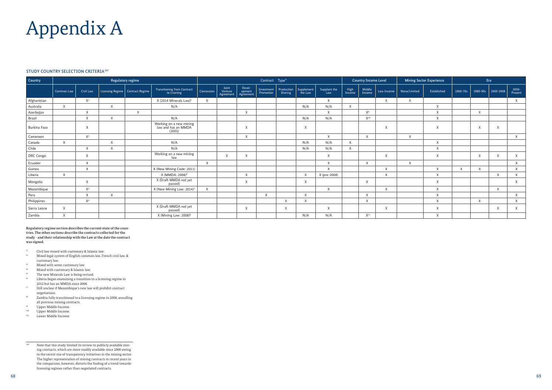# Appendix A

#### STUDY COUNTRY SELECTION CRITERIA<sup>397</sup>

**Regulatory regime section describes the current state of the countries. The other sections describe the contracts collected for the study - and their relationship with the Law at the date the contract was signed.** 

- <sup>t1</sup> Civil law mixed with customary & Islamic law.<br><sup>t2</sup> Mixed legal system of English common law Fre
- Mixed legal system of English common law, French civil law, & customary law.
- t3 Mixed with some customary law.
- t4 Mixed with customary & Islamic law.
- <sup>t5</sup> The new Minerals Law is being revised.<br> $^{16}$  I iberia began examining a transition to
- Liberia began examining a transition to a licensing regime in 2012 but has an MMDA since 2008.
- t7 Still unclear if Mozambique's new law will prohibit contract negotiations.
- t8 Zambia fully transitioned to a licensing regime in 2008, annulling all previous mining contracts.
- $^{t9}$  Upper Middle Income.<br> $^{t10}$  Upper Middle Income
- Upper Middle Income.
- t<sup>11</sup> Lower Middle Income.

| Country      | Regulatory regime |                |                         |                        |                                                          | Contract Type <sup>x</sup> |                               |                               |                         |                       |                       | <b>Country Income Level</b> |                |                  | <b>Mining Sector Experience</b> |              | Era          |          |          |              |                     |
|--------------|-------------------|----------------|-------------------------|------------------------|----------------------------------------------------------|----------------------------|-------------------------------|-------------------------------|-------------------------|-----------------------|-----------------------|-----------------------------|----------------|------------------|---------------------------------|--------------|--------------|----------|----------|--------------|---------------------|
|              | Common Law        | Civil Law      | <b>Licensing Regime</b> | <b>Contract Regime</b> | Transitioning from Contract<br>to Licening               | Concession                 | Joint<br>Venture<br>Agreement | Devel-<br>opment<br>Agreement | Investment<br>Promotion | Production<br>Sharing | Supplement<br>the Law | Supplant the<br>Law         | High<br>Income | Middle<br>Income | Low Income                      | None/Limited | Established  | 1960-70s | 1980-90s | 2000-2008    | $2009 -$<br>Present |
| Afghanistan  |                   | $X^1$          |                         |                        | X (2014 Minerals Law) <sup>5</sup>                       | $\times$                   |                               |                               |                         |                       |                       | $\times$                    |                |                  | X                               | $\times$     |              |          |          |              | X                   |
| Australia    | $\chi$            |                | $\times$                |                        | N/A                                                      |                            |                               |                               |                         |                       | N/A                   | N/A                         | $\mathsf{X}$   |                  |                                 |              | $\mathsf{X}$ |          |          |              |                     |
| Azerbaijan   |                   | $\times$       |                         | $\mathsf{X}$           |                                                          |                            |                               | X                             |                         |                       |                       | $\times$                    |                | $X^9$            |                                 |              | $\chi$       |          | $\sf X$  |              |                     |
| Brazil       |                   | $\times$       | $\times$                |                        | N/A                                                      |                            |                               |                               |                         |                       | N/A                   | N/A                         |                | $X^{10}$         |                                 |              | $\times$     |          |          |              |                     |
| Burkina Faso |                   |                |                         |                        | Working on a new mining<br>law and has an MMDA<br>(2005) |                            |                               |                               |                         |                       | $\times$              |                             |                |                  | X                               |              | $\times$     |          | X        | $\mathsf{X}$ |                     |
| Cameroon     |                   | $X^2$          |                         |                        |                                                          |                            |                               | $\mathsf{X}$                  |                         |                       |                       | X                           |                | X                |                                 | $\mathsf{X}$ |              |          |          |              | X                   |
| Canada       | $\chi$            |                | $\times$                |                        | N/A                                                      |                            |                               |                               |                         |                       | N/A                   | N/A                         | $\mathsf{X}$   |                  |                                 |              | $\times$     |          |          |              |                     |
| Chile        |                   | $\times$       | $\times$                |                        | N/A                                                      |                            |                               |                               |                         |                       | N/A                   | N/A                         | $\mathsf{X}$   |                  |                                 |              | $\mathsf{X}$ |          |          |              |                     |
| DRC Congo    |                   | X              |                         |                        | Working on a new mining<br>law                           |                            | X                             |                               |                         |                       |                       | X                           |                |                  | X                               |              | $\mathsf{X}$ |          | X        | $\mathsf{X}$ | X                   |
| Ecuador      |                   | $\times$       |                         |                        |                                                          | $\times$                   |                               |                               |                         |                       |                       | $\times$                    |                | X                |                                 | $\times$     |              |          |          |              | X                   |
| Guinea       |                   | $\times$       |                         |                        | X (New Mining Code: 2011)                                |                            |                               |                               |                         |                       |                       | $\chi$                      |                |                  | X                               |              | $\times$     | $\times$ | X        |              | $\times$            |
| Liberia      | $\chi$            |                |                         |                        | X (MMDA: 2008) <sup>6</sup>                              |                            |                               | X                             |                         |                       |                       | X (pre-2008)                |                |                  | X                               |              | X            |          |          | $\chi$       | X                   |
| Mongolia     |                   | $\times$       |                         |                        | X (Draft MMDA not yet<br>passed)                         |                            |                               | X                             |                         |                       | $\times$              |                             |                | X                |                                 |              | $\times$     |          |          |              | X                   |
| Mozambique   |                   | $X^3$          |                         |                        | X (New Mining Law: 2014) <sup>7</sup>                    | $\times$                   |                               |                               |                         |                       |                       | X                           |                |                  | X                               |              | $\times$     |          |          | $\chi$       |                     |
| Peru         |                   | $\times$       | X                       |                        |                                                          |                            |                               |                               | $\mathsf{X}$            |                       | X                     |                             |                | X                |                                 |              | $\times$     |          |          |              | $\times$            |
| Philippines  |                   | X <sup>4</sup> |                         |                        |                                                          |                            |                               |                               |                         | $\sqrt{ }$            | $\times$              |                             |                | X                |                                 |              | $\times$     |          | X        |              | X                   |
| Sierra Leone | $\chi$            |                |                         |                        | X (Draft MMDA not yet<br>passed)                         |                            |                               | X                             |                         | X                     |                       | $\times$                    |                |                  | X                               |              | $\times$     |          |          | $\mathsf{X}$ | X                   |
| Zambia       | $\mathsf{X}$      |                |                         |                        | X (Mining Law: 2008) <sup>8</sup>                        |                            |                               |                               |                         |                       | N/A                   | N/A                         |                | $X^{11}$         |                                 |              | $\mathsf{X}$ |          |          |              |                     |

<sup>397</sup> Note that this study limited its review to publicly available mining contracts, which are more readily available since 2000 owing to the recent rise of transparency initiatives in the mining sector. The higher representation of mining contracts in recent years in the comparison, however, distorts the finding of a trend towards licensing regimes rather than negotiated contracts.